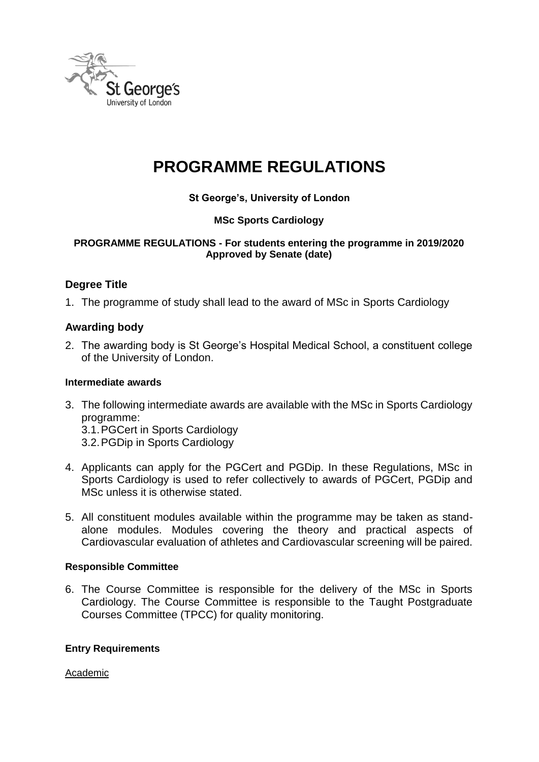

## **PROGRAMME REGULATIONS**

**St George's, University of London**

## **MSc Sports Cardiology**

#### **PROGRAMME REGULATIONS - For students entering the programme in 2019/2020 Approved by Senate (date)**

## **Degree Title**

1. The programme of study shall lead to the award of MSc in Sports Cardiology

#### **Awarding body**

2. The awarding body is St George's Hospital Medical School, a constituent college of the University of London.

#### **Intermediate awards**

3. The following intermediate awards are available with the MSc in Sports Cardiology programme:

3.1.PGCert in Sports Cardiology

3.2.PGDip in Sports Cardiology

- 4. Applicants can apply for the PGCert and PGDip. In these Regulations, MSc in Sports Cardiology is used to refer collectively to awards of PGCert, PGDip and MSc unless it is otherwise stated.
- 5. All constituent modules available within the programme may be taken as standalone modules. Modules covering the theory and practical aspects of Cardiovascular evaluation of athletes and Cardiovascular screening will be paired.

#### **Responsible Committee**

6. The Course Committee is responsible for the delivery of the MSc in Sports Cardiology. The Course Committee is responsible to the Taught Postgraduate Courses Committee (TPCC) for quality monitoring.

#### **Entry Requirements**

Academic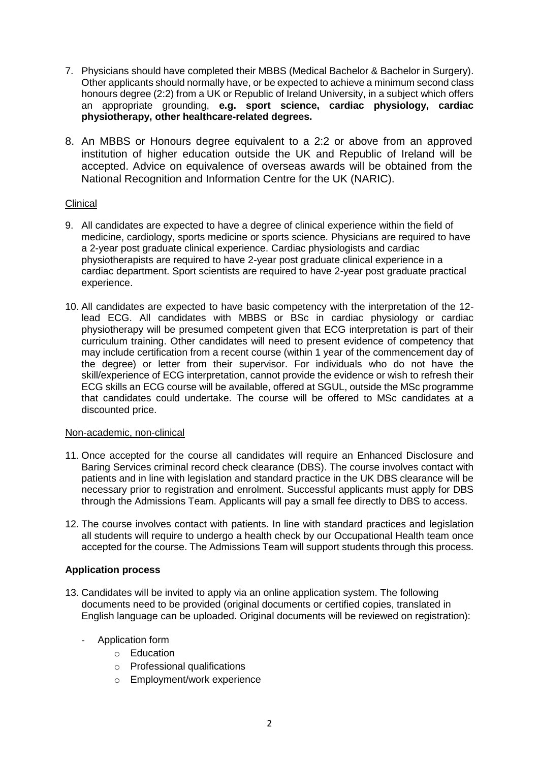- 7. Physicians should have completed their MBBS (Medical Bachelor & Bachelor in Surgery). Other applicants should normally have, or be expected to achieve a minimum second class honours degree (2:2) from a UK or Republic of Ireland University, in a subject which offers an appropriate grounding, **e.g. sport science, cardiac physiology, cardiac physiotherapy, other healthcare-related degrees.**
- 8. An MBBS or Honours degree equivalent to a 2:2 or above from an approved institution of higher education outside the UK and Republic of Ireland will be accepted. Advice on equivalence of overseas awards will be obtained from the National Recognition and Information Centre for the UK (NARIC).

#### **Clinical**

- 9. All candidates are expected to have a degree of clinical experience within the field of medicine, cardiology, sports medicine or sports science. Physicians are required to have a 2-year post graduate clinical experience. Cardiac physiologists and cardiac physiotherapists are required to have 2-year post graduate clinical experience in a cardiac department. Sport scientists are required to have 2-year post graduate practical experience.
- 10. All candidates are expected to have basic competency with the interpretation of the 12 lead ECG. All candidates with MBBS or BSc in cardiac physiology or cardiac physiotherapy will be presumed competent given that ECG interpretation is part of their curriculum training. Other candidates will need to present evidence of competency that may include certification from a recent course (within 1 year of the commencement day of the degree) or letter from their supervisor. For individuals who do not have the skill/experience of ECG interpretation, cannot provide the evidence or wish to refresh their ECG skills an ECG course will be available, offered at SGUL, outside the MSc programme that candidates could undertake. The course will be offered to MSc candidates at a discounted price.

#### Non-academic, non-clinical

- 11. Once accepted for the course all candidates will require an Enhanced Disclosure and Baring Services criminal record check clearance (DBS). The course involves contact with patients and in line with legislation and standard practice in the UK DBS clearance will be necessary prior to registration and enrolment. Successful applicants must apply for DBS through the Admissions Team. Applicants will pay a small fee directly to DBS to access.
- 12. The course involves contact with patients. In line with standard practices and legislation all students will require to undergo a health check by our Occupational Health team once accepted for the course. The Admissions Team will support students through this process.

#### **Application process**

- 13. Candidates will be invited to apply via an online application system. The following documents need to be provided (original documents or certified copies, translated in English language can be uploaded. Original documents will be reviewed on registration):
	- Application form
		- o Education
		- o Professional qualifications
		- o Employment/work experience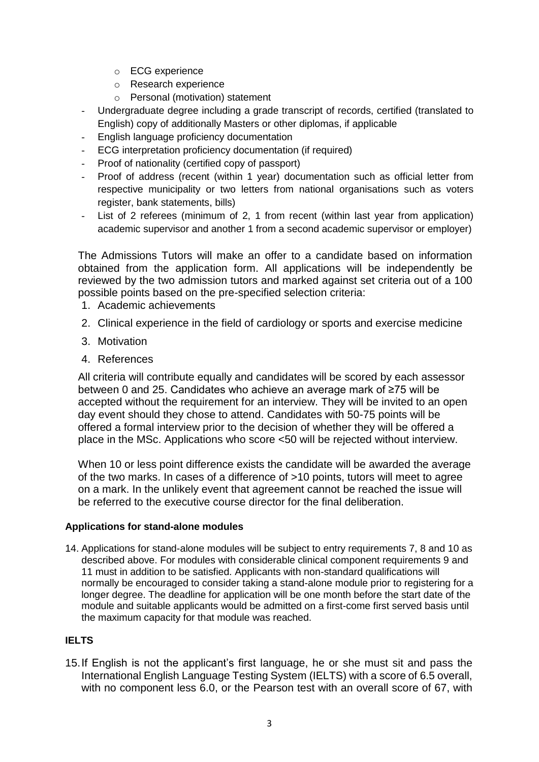- o ECG experience
- o Research experience
- o Personal (motivation) statement
- Undergraduate degree including a grade transcript of records, certified (translated to English) copy of additionally Masters or other diplomas, if applicable
- English language proficiency documentation
- ECG interpretation proficiency documentation (if required)
- Proof of nationality (certified copy of passport)
- Proof of address (recent (within 1 year) documentation such as official letter from respective municipality or two letters from national organisations such as voters register, bank statements, bills)
- List of 2 referees (minimum of 2, 1 from recent (within last year from application) academic supervisor and another 1 from a second academic supervisor or employer)

The Admissions Tutors will make an offer to a candidate based on information obtained from the application form. All applications will be independently be reviewed by the two admission tutors and marked against set criteria out of a 100 possible points based on the pre-specified selection criteria:

- 1. Academic achievements
- 2. Clinical experience in the field of cardiology or sports and exercise medicine
- 3. Motivation
- 4. References

All criteria will contribute equally and candidates will be scored by each assessor between 0 and 25. Candidates who achieve an average mark of ≥75 will be accepted without the requirement for an interview. They will be invited to an open day event should they chose to attend. Candidates with 50-75 points will be offered a formal interview prior to the decision of whether they will be offered a place in the MSc. Applications who score <50 will be rejected without interview.

When 10 or less point difference exists the candidate will be awarded the average of the two marks. In cases of a difference of >10 points, tutors will meet to agree on a mark. In the unlikely event that agreement cannot be reached the issue will be referred to the executive course director for the final deliberation.

#### **Applications for stand-alone modules**

14. Applications for stand-alone modules will be subject to entry requirements 7, 8 and 10 as described above. For modules with considerable clinical component requirements 9 and 11 must in addition to be satisfied. Applicants with non-standard qualifications will normally be encouraged to consider taking a stand-alone module prior to registering for a longer degree. The deadline for application will be one month before the start date of the module and suitable applicants would be admitted on a first-come first served basis until the maximum capacity for that module was reached.

#### **IELTS**

15.If English is not the applicant's first language, he or she must sit and pass the International English Language Testing System (IELTS) with a score of 6.5 overall, with no component less 6.0, or the Pearson test with an overall score of 67, with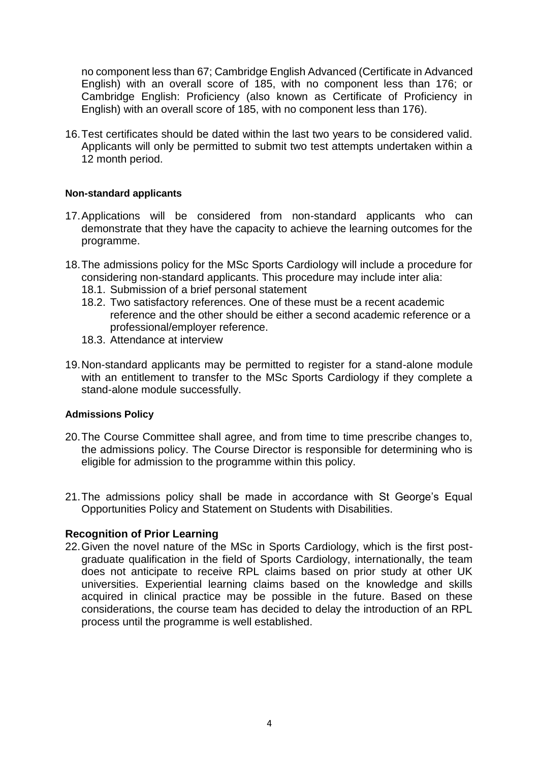no component less than 67; Cambridge English Advanced (Certificate in Advanced English) with an overall score of 185, with no component less than 176; or Cambridge English: Proficiency (also known as Certificate of Proficiency in English) with an overall score of 185, with no component less than 176).

16.Test certificates should be dated within the last two years to be considered valid. Applicants will only be permitted to submit two test attempts undertaken within a 12 month period.

#### **Non-standard applicants**

- 17.Applications will be considered from non-standard applicants who can demonstrate that they have the capacity to achieve the learning outcomes for the programme.
- 18.The admissions policy for the MSc Sports Cardiology will include a procedure for considering non-standard applicants. This procedure may include inter alia:
	- 18.1. Submission of a brief personal statement
	- 18.2. Two satisfactory references. One of these must be a recent academic reference and the other should be either a second academic reference or a professional/employer reference.
	- 18.3. Attendance at interview
- 19.Non-standard applicants may be permitted to register for a stand-alone module with an entitlement to transfer to the MSc Sports Cardiology if they complete a stand-alone module successfully.

#### **Admissions Policy**

- 20.The Course Committee shall agree, and from time to time prescribe changes to, the admissions policy. The Course Director is responsible for determining who is eligible for admission to the programme within this policy.
- 21.The admissions policy shall be made in accordance with St George's Equal Opportunities Policy and Statement on Students with Disabilities.

#### **Recognition of Prior Learning**

22.Given the novel nature of the MSc in Sports Cardiology, which is the first postgraduate qualification in the field of Sports Cardiology, internationally, the team does not anticipate to receive RPL claims based on prior study at other UK universities. Experiential learning claims based on the knowledge and skills acquired in clinical practice may be possible in the future. Based on these considerations, the course team has decided to delay the introduction of an RPL process until the programme is well established.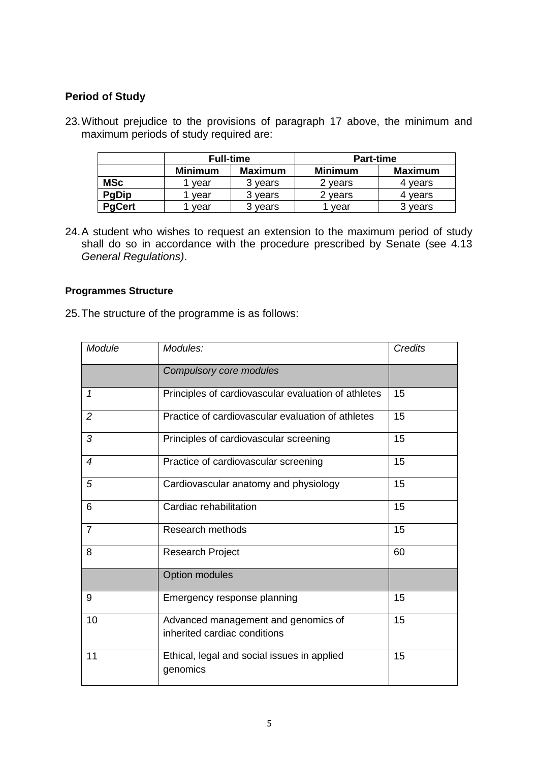## **Period of Study**

23.Without prejudice to the provisions of paragraph 17 above, the minimum and maximum periods of study required are:

|               | <b>Full-time</b> |                | <b>Part-time</b> |                |
|---------------|------------------|----------------|------------------|----------------|
|               | <b>Minimum</b>   | <b>Maximum</b> | <b>Minimum</b>   | <b>Maximum</b> |
| <b>MSc</b>    | vear             | 3 years        | 2 vears          | 4 vears        |
| <b>PgDip</b>  | vear             | 3 years        | vears            | 4 vears        |
| <b>PgCert</b> | vear             | 3 years        | vear             | 3 years        |

24.A student who wishes to request an extension to the maximum period of study shall do so in accordance with the procedure prescribed by Senate (see 4.13 *General Regulations)*.

#### **Programmes Structure**

25.The structure of the programme is as follows:

| Module         | Modules:                                                            | <b>Credits</b> |
|----------------|---------------------------------------------------------------------|----------------|
|                | Compulsory core modules                                             |                |
| 1              | Principles of cardiovascular evaluation of athletes                 | 15             |
| $\overline{2}$ | Practice of cardiovascular evaluation of athletes                   | 15             |
| 3              | Principles of cardiovascular screening                              | 15             |
| $\overline{4}$ | Practice of cardiovascular screening                                | 15             |
| 5              | Cardiovascular anatomy and physiology                               | 15             |
| 6              | Cardiac rehabilitation                                              | 15             |
| $\overline{7}$ | Research methods                                                    | 15             |
| 8              | Research Project                                                    | 60             |
|                | <b>Option modules</b>                                               |                |
| 9              | Emergency response planning                                         | 15             |
| 10             | Advanced management and genomics of<br>inherited cardiac conditions | 15             |
| 11             | Ethical, legal and social issues in applied<br>genomics             | 15             |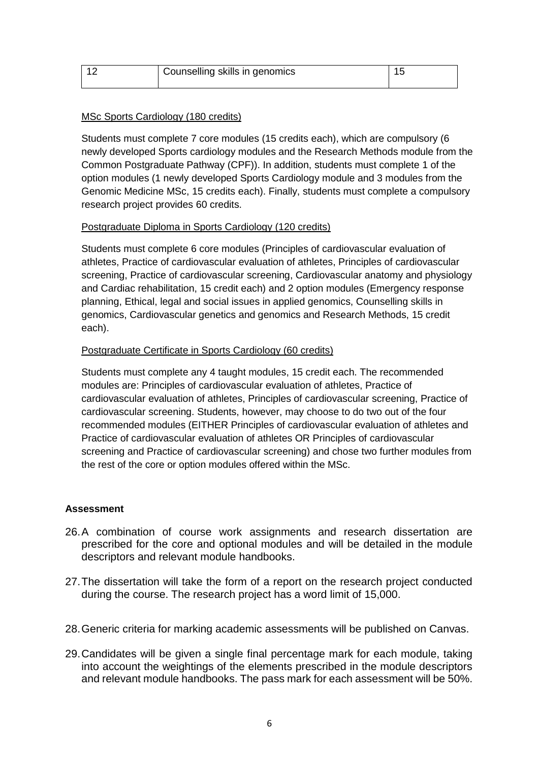| Counselling skills in genomics |  |
|--------------------------------|--|
|                                |  |

#### MSc Sports Cardiology (180 credits)

Students must complete 7 core modules (15 credits each), which are compulsory (6 newly developed Sports cardiology modules and the Research Methods module from the Common Postgraduate Pathway (CPF)). In addition, students must complete 1 of the option modules (1 newly developed Sports Cardiology module and 3 modules from the Genomic Medicine MSc, 15 credits each). Finally, students must complete a compulsory research project provides 60 credits.

#### Postgraduate Diploma in Sports Cardiology (120 credits)

Students must complete 6 core modules (Principles of cardiovascular evaluation of athletes, Practice of cardiovascular evaluation of athletes, Principles of cardiovascular screening, Practice of cardiovascular screening, Cardiovascular anatomy and physiology and Cardiac rehabilitation, 15 credit each) and 2 option modules (Emergency response planning, Ethical, legal and social issues in applied genomics, Counselling skills in genomics, Cardiovascular genetics and genomics and Research Methods, 15 credit each).

#### Postgraduate Certificate in Sports Cardiology (60 credits)

Students must complete any 4 taught modules, 15 credit each. The recommended modules are: Principles of cardiovascular evaluation of athletes, Practice of cardiovascular evaluation of athletes, Principles of cardiovascular screening, Practice of cardiovascular screening. Students, however, may choose to do two out of the four recommended modules (EITHER Principles of cardiovascular evaluation of athletes and Practice of cardiovascular evaluation of athletes OR Principles of cardiovascular screening and Practice of cardiovascular screening) and chose two further modules from the rest of the core or option modules offered within the MSc.

#### **Assessment**

- 26.A combination of course work assignments and research dissertation are prescribed for the core and optional modules and will be detailed in the module descriptors and relevant module handbooks.
- 27.The dissertation will take the form of a report on the research project conducted during the course. The research project has a word limit of 15,000.
- 28.Generic criteria for marking academic assessments will be published on Canvas.
- 29.Candidates will be given a single final percentage mark for each module, taking into account the weightings of the elements prescribed in the module descriptors and relevant module handbooks. The pass mark for each assessment will be 50%.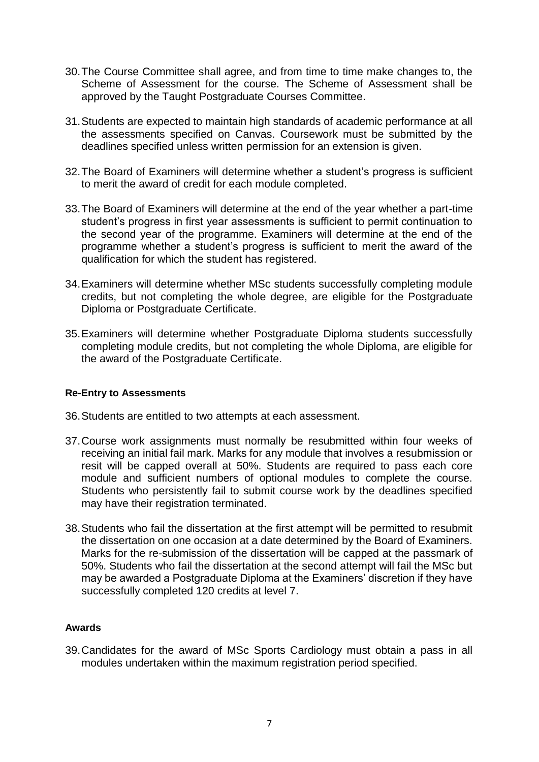- 30.The Course Committee shall agree, and from time to time make changes to, the Scheme of Assessment for the course. The Scheme of Assessment shall be approved by the Taught Postgraduate Courses Committee.
- 31.Students are expected to maintain high standards of academic performance at all the assessments specified on Canvas. Coursework must be submitted by the deadlines specified unless written permission for an extension is given.
- 32.The Board of Examiners will determine whether a student's progress is sufficient to merit the award of credit for each module completed.
- 33.The Board of Examiners will determine at the end of the year whether a part-time student's progress in first year assessments is sufficient to permit continuation to the second year of the programme. Examiners will determine at the end of the programme whether a student's progress is sufficient to merit the award of the qualification for which the student has registered.
- 34.Examiners will determine whether MSc students successfully completing module credits, but not completing the whole degree, are eligible for the Postgraduate Diploma or Postgraduate Certificate.
- 35.Examiners will determine whether Postgraduate Diploma students successfully completing module credits, but not completing the whole Diploma, are eligible for the award of the Postgraduate Certificate.

#### **Re-Entry to Assessments**

- 36.Students are entitled to two attempts at each assessment.
- 37.Course work assignments must normally be resubmitted within four weeks of receiving an initial fail mark. Marks for any module that involves a resubmission or resit will be capped overall at 50%. Students are required to pass each core module and sufficient numbers of optional modules to complete the course. Students who persistently fail to submit course work by the deadlines specified may have their registration terminated.
- 38.Students who fail the dissertation at the first attempt will be permitted to resubmit the dissertation on one occasion at a date determined by the Board of Examiners. Marks for the re-submission of the dissertation will be capped at the passmark of 50%. Students who fail the dissertation at the second attempt will fail the MSc but may be awarded a Postgraduate Diploma at the Examiners' discretion if they have successfully completed 120 credits at level 7.

#### **Awards**

39.Candidates for the award of MSc Sports Cardiology must obtain a pass in all modules undertaken within the maximum registration period specified.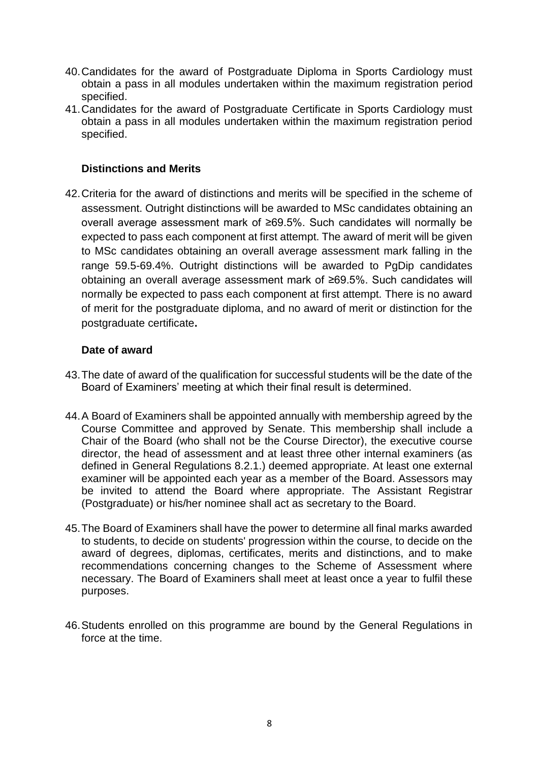- 40.Candidates for the award of Postgraduate Diploma in Sports Cardiology must obtain a pass in all modules undertaken within the maximum registration period specified.
- 41.Candidates for the award of Postgraduate Certificate in Sports Cardiology must obtain a pass in all modules undertaken within the maximum registration period specified.

## **Distinctions and Merits**

42.Criteria for the award of distinctions and merits will be specified in the scheme of assessment. Outright distinctions will be awarded to MSc candidates obtaining an overall average assessment mark of ≥69.5%. Such candidates will normally be expected to pass each component at first attempt. The award of merit will be given to MSc candidates obtaining an overall average assessment mark falling in the range 59.5-69.4%. Outright distinctions will be awarded to PgDip candidates obtaining an overall average assessment mark of ≥69.5%. Such candidates will normally be expected to pass each component at first attempt. There is no award of merit for the postgraduate diploma, and no award of merit or distinction for the postgraduate certificate**.**

#### **Date of award**

- 43.The date of award of the qualification for successful students will be the date of the Board of Examiners' meeting at which their final result is determined.
- 44.A Board of Examiners shall be appointed annually with membership agreed by the Course Committee and approved by Senate. This membership shall include a Chair of the Board (who shall not be the Course Director), the executive course director, the head of assessment and at least three other internal examiners (as defined in General Regulations 8.2.1.) deemed appropriate. At least one external examiner will be appointed each year as a member of the Board. Assessors may be invited to attend the Board where appropriate. The Assistant Registrar (Postgraduate) or his/her nominee shall act as secretary to the Board.
- 45.The Board of Examiners shall have the power to determine all final marks awarded to students, to decide on students' progression within the course, to decide on the award of degrees, diplomas, certificates, merits and distinctions, and to make recommendations concerning changes to the Scheme of Assessment where necessary. The Board of Examiners shall meet at least once a year to fulfil these purposes.
- 46.Students enrolled on this programme are bound by the General Regulations in force at the time.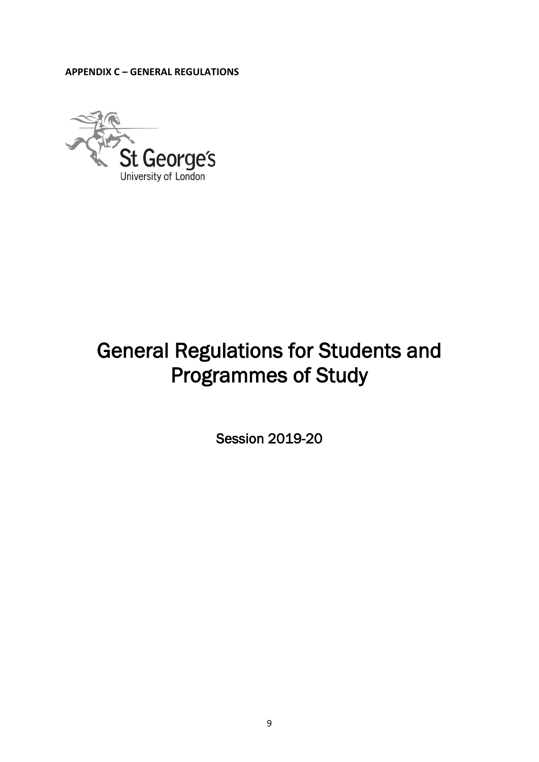**APPENDIX C – GENERAL REGULATIONS**



# General Regulations for Students and Programmes of Study

Session 2019-20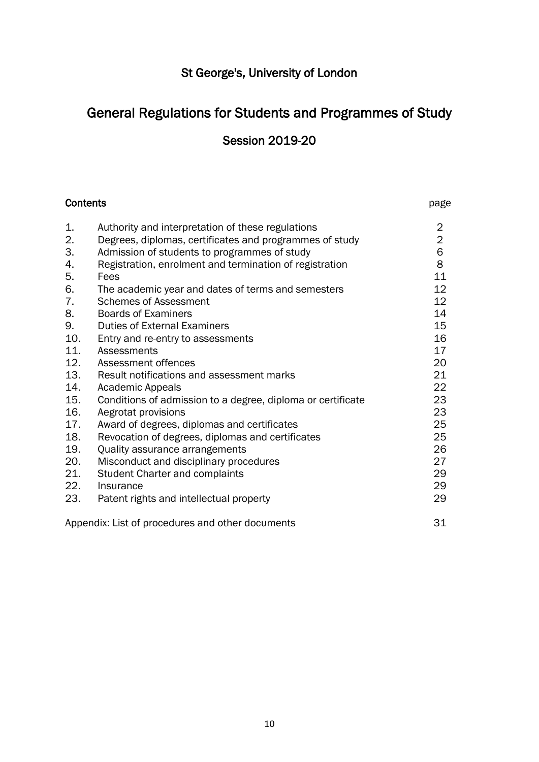## St George's, University of London

## General Regulations for Students and Programmes of Study

## Session 2019-20

| <b>Contents</b> |                                                             | page           |
|-----------------|-------------------------------------------------------------|----------------|
| 1.              | Authority and interpretation of these regulations           | $\overline{2}$ |
| 2.              | Degrees, diplomas, certificates and programmes of study     | $\overline{2}$ |
| 3.              | Admission of students to programmes of study                | 6              |
| 4.              | Registration, enrolment and termination of registration     | 8              |
| 5.              | Fees                                                        | 11             |
| 6.              | The academic year and dates of terms and semesters          | 12             |
| 7.              | <b>Schemes of Assessment</b>                                | 12             |
| 8.              | <b>Boards of Examiners</b>                                  | 14             |
| 9.              | <b>Duties of External Examiners</b>                         | 15             |
| 10.             | Entry and re-entry to assessments                           | 16             |
| 11.             | Assessments                                                 | 17             |
| 12.             | Assessment offences                                         | 20             |
| 13.             | Result notifications and assessment marks                   | 21             |
| 14.             | <b>Academic Appeals</b>                                     | 22             |
| 15.             | Conditions of admission to a degree, diploma or certificate | 23             |
| 16.             | Aegrotat provisions                                         | 23             |
| 17.             | Award of degrees, diplomas and certificates                 | 25             |
| 18.             | Revocation of degrees, diplomas and certificates            | 25             |
| 19.             | Quality assurance arrangements                              | 26             |
| 20.             | Misconduct and disciplinary procedures                      | 27             |
| 21.             | <b>Student Charter and complaints</b>                       | 29             |
| 22.             | Insurance                                                   | 29             |
| 23.             | Patent rights and intellectual property                     | 29             |
|                 | Appendix: List of procedures and other documents            | 31             |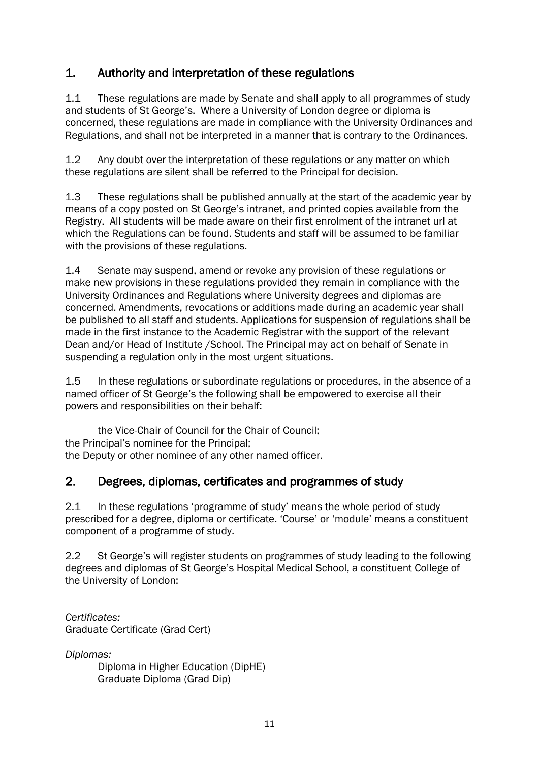## 1. Authority and interpretation of these regulations

1.1 These regulations are made by Senate and shall apply to all programmes of study and students of St George's. Where a University of London degree or diploma is concerned, these regulations are made in compliance with the University Ordinances and Regulations, and shall not be interpreted in a manner that is contrary to the Ordinances.

1.2 Any doubt over the interpretation of these regulations or any matter on which these regulations are silent shall be referred to the Principal for decision.

1.3 These regulations shall be published annually at the start of the academic year by means of a copy posted on St George's intranet, and printed copies available from the Registry. All students will be made aware on their first enrolment of the intranet url at which the Regulations can be found. Students and staff will be assumed to be familiar with the provisions of these regulations.

1.4 Senate may suspend, amend or revoke any provision of these regulations or make new provisions in these regulations provided they remain in compliance with the University Ordinances and Regulations where University degrees and diplomas are concerned. Amendments, revocations or additions made during an academic year shall be published to all staff and students. Applications for suspension of regulations shall be made in the first instance to the Academic Registrar with the support of the relevant Dean and/or Head of Institute /School. The Principal may act on behalf of Senate in suspending a regulation only in the most urgent situations.

1.5 In these regulations or subordinate regulations or procedures, in the absence of a named officer of St George's the following shall be empowered to exercise all their powers and responsibilities on their behalf:

the Vice-Chair of Council for the Chair of Council; the Principal's nominee for the Principal; the Deputy or other nominee of any other named officer.

## 2. Degrees, diplomas, certificates and programmes of study

2.1 In these regulations 'programme of study' means the whole period of study prescribed for a degree, diploma or certificate. 'Course' or 'module' means a constituent component of a programme of study.

2.2 St George's will register students on programmes of study leading to the following degrees and diplomas of St George's Hospital Medical School, a constituent College of the University of London:

*Certificates:* Graduate Certificate (Grad Cert)

*Diplomas:*

Diploma in Higher Education (DipHE) Graduate Diploma (Grad Dip)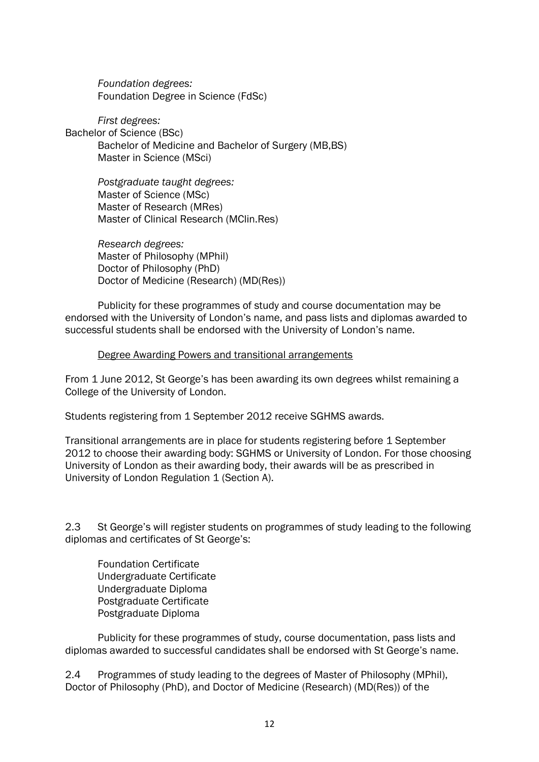*Foundation degrees:* Foundation Degree in Science (FdSc)

*First degrees:* Bachelor of Science (BSc) Bachelor of Medicine and Bachelor of Surgery (MB,BS) Master in Science (MSci)

> *Postgraduate taught degrees:* Master of Science (MSc) Master of Research (MRes) Master of Clinical Research (MClin.Res)

*Research degrees:* Master of Philosophy (MPhil) Doctor of Philosophy (PhD) Doctor of Medicine (Research) (MD(Res))

Publicity for these programmes of study and course documentation may be endorsed with the University of London's name, and pass lists and diplomas awarded to successful students shall be endorsed with the University of London's name.

#### Degree Awarding Powers and transitional arrangements

From 1 June 2012, St George's has been awarding its own degrees whilst remaining a College of the University of London.

Students registering from 1 September 2012 receive SGHMS awards.

Transitional arrangements are in place for students registering before 1 September 2012 to choose their awarding body: SGHMS or University of London. For those choosing University of London as their awarding body, their awards will be as prescribed in University of London Regulation 1 (Section A).

2.3 St George's will register students on programmes of study leading to the following diplomas and certificates of St George's:

Foundation Certificate Undergraduate Certificate Undergraduate Diploma Postgraduate Certificate Postgraduate Diploma

Publicity for these programmes of study, course documentation, pass lists and diplomas awarded to successful candidates shall be endorsed with St George's name.

2.4 Programmes of study leading to the degrees of Master of Philosophy (MPhil), Doctor of Philosophy (PhD), and Doctor of Medicine (Research) (MD(Res)) of the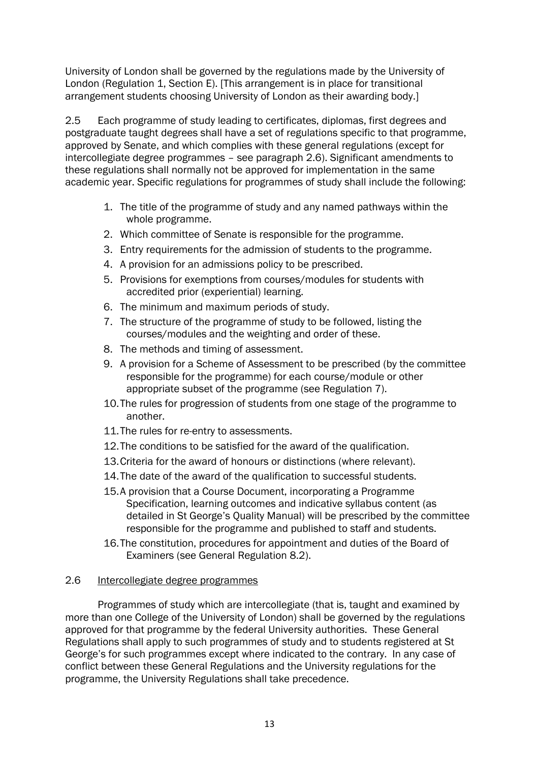University of London shall be governed by the regulations made by the University of London (Regulation 1, Section E). [This arrangement is in place for transitional arrangement students choosing University of London as their awarding body.]

2.5 Each programme of study leading to certificates, diplomas, first degrees and postgraduate taught degrees shall have a set of regulations specific to that programme, approved by Senate, and which complies with these general regulations (except for intercollegiate degree programmes – see paragraph 2.6). Significant amendments to these regulations shall normally not be approved for implementation in the same academic year. Specific regulations for programmes of study shall include the following:

- 1. The title of the programme of study and any named pathways within the whole programme.
- 2. Which committee of Senate is responsible for the programme.
- 3. Entry requirements for the admission of students to the programme.
- 4. A provision for an admissions policy to be prescribed.
- 5. Provisions for exemptions from courses/modules for students with accredited prior (experiential) learning.
- 6. The minimum and maximum periods of study.
- 7. The structure of the programme of study to be followed, listing the courses/modules and the weighting and order of these.
- 8. The methods and timing of assessment.
- 9. A provision for a Scheme of Assessment to be prescribed (by the committee responsible for the programme) for each course/module or other appropriate subset of the programme (see Regulation 7).
- 10.The rules for progression of students from one stage of the programme to another.
- 11.The rules for re-entry to assessments.
- 12.The conditions to be satisfied for the award of the qualification.
- 13.Criteria for the award of honours or distinctions (where relevant).
- 14.The date of the award of the qualification to successful students.
- 15.A provision that a Course Document, incorporating a Programme Specification, learning outcomes and indicative syllabus content (as detailed in St George's Quality Manual) will be prescribed by the committee responsible for the programme and published to staff and students.
- 16.The constitution, procedures for appointment and duties of the Board of Examiners (see General Regulation 8.2).

#### 2.6 Intercollegiate degree programmes

Programmes of study which are intercollegiate (that is, taught and examined by more than one College of the University of London) shall be governed by the regulations approved for that programme by the federal University authorities. These General Regulations shall apply to such programmes of study and to students registered at St George's for such programmes except where indicated to the contrary. In any case of conflict between these General Regulations and the University regulations for the programme, the University Regulations shall take precedence.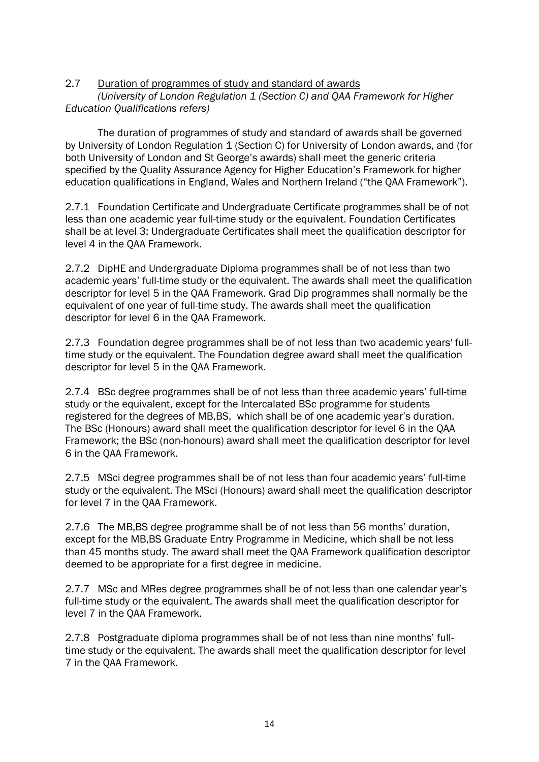2.7 Duration of programmes of study and standard of awards

*(University of London Regulation 1 (Section C) and QAA Framework for Higher Education Qualifications refers)*

The duration of programmes of study and standard of awards shall be governed by University of London Regulation 1 (Section C) for University of London awards, and (for both University of London and St George's awards) shall meet the generic criteria specified by the Quality Assurance Agency for Higher Education's Framework for higher education qualifications in England, Wales and Northern Ireland ("the QAA Framework").

2.7.1 Foundation Certificate and Undergraduate Certificate programmes shall be of not less than one academic year full-time study or the equivalent. Foundation Certificates shall be at level 3; Undergraduate Certificates shall meet the qualification descriptor for level 4 in the QAA Framework.

2.7.2 DipHE and Undergraduate Diploma programmes shall be of not less than two academic years' full-time study or the equivalent. The awards shall meet the qualification descriptor for level 5 in the QAA Framework. Grad Dip programmes shall normally be the equivalent of one year of full-time study. The awards shall meet the qualification descriptor for level 6 in the QAA Framework.

2.7.3 Foundation degree programmes shall be of not less than two academic years' fulltime study or the equivalent. The Foundation degree award shall meet the qualification descriptor for level 5 in the QAA Framework.

2.7.4 BSc degree programmes shall be of not less than three academic years' full-time study or the equivalent, except for the Intercalated BSc programme for students registered for the degrees of MB,BS, which shall be of one academic year's duration. The BSc (Honours) award shall meet the qualification descriptor for level 6 in the QAA Framework; the BSc (non-honours) award shall meet the qualification descriptor for level 6 in the QAA Framework.

2.7.5 MSci degree programmes shall be of not less than four academic years' full-time study or the equivalent. The MSci (Honours) award shall meet the qualification descriptor for level 7 in the QAA Framework.

2.7.6 The MB,BS degree programme shall be of not less than 56 months' duration, except for the MB,BS Graduate Entry Programme in Medicine, which shall be not less than 45 months study. The award shall meet the QAA Framework qualification descriptor deemed to be appropriate for a first degree in medicine.

2.7.7 MSc and MRes degree programmes shall be of not less than one calendar year's full-time study or the equivalent. The awards shall meet the qualification descriptor for level 7 in the QAA Framework.

2.7.8 Postgraduate diploma programmes shall be of not less than nine months' fulltime study or the equivalent. The awards shall meet the qualification descriptor for level 7 in the QAA Framework.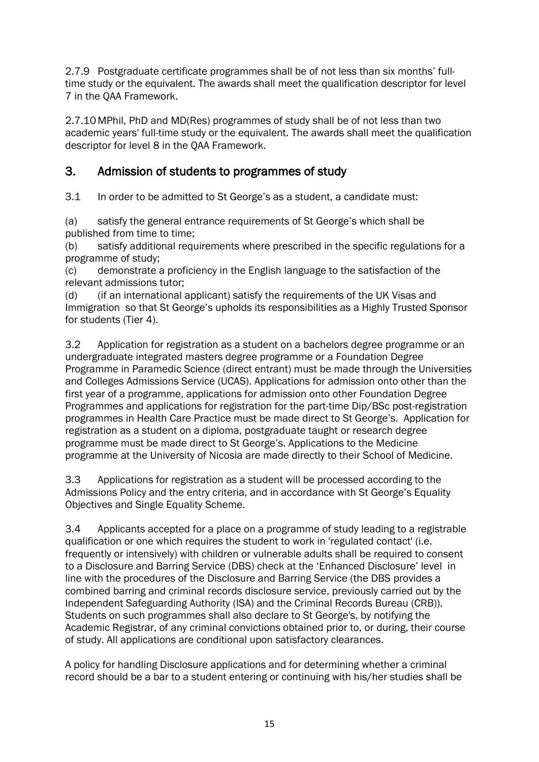2.7.9 Postgraduate certificate programmes shall be of not less than six months' fulltime study or the equivalent. The awards shall meet the qualification descriptor for level 7 in the QAA Framework.

2.7.10 MPhil, PhD and MD(Res) programmes of study shall be of not less than two academic years' full-time study or the equivalent. The awards shall meet the qualification descriptor for level 8 in the QAA Framework.

## 3. Admission of students to programmes of study

3.1 In order to be admitted to St George's as a student, a candidate must:

(a) satisfy the general entrance requirements of St George's which shall be published from time to time;

(b) satisfy additional requirements where prescribed in the specific regulations for a programme of study;

(c) demonstrate a proficiency in the English language to the satisfaction of the relevant admissions tutor;

(d) (if an international applicant) satisfy the requirements of the UK Visas and Immigration so that St George's upholds its responsibilities as a Highly Trusted Sponsor for students (Tier 4).

3.2 Application for registration as a student on a bachelors degree programme or an undergraduate integrated masters degree programme or a Foundation Degree Programme in Paramedic Science (direct entrant) must be made through the Universities and Colleges Admissions Service (UCAS). Applications for admission onto other than the first year of a programme, applications for admission onto other Foundation Degree Programmes and applications for registration for the part-time Dip/BSc post-registration programmes in Health Care Practice must be made direct to St George's. Application for registration as a student on a diploma, postgraduate taught or research degree programme must be made direct to St George's. Applications to the Medicine programme at the University of Nicosia are made directly to their School of Medicine.

3.3 Applications for registration as a student will be processed according to the Admissions Policy and the entry criteria, and in accordance with St George's Equality Objectives and Single Equality Scheme.

3.4 Applicants accepted for a place on a programme of study leading to a registrable qualification or one which requires the student to work in 'regulated contact' (i.e. frequently or intensively) with children or vulnerable adults shall be required to consent to a Disclosure and Barring Service (DBS) check at the 'Enhanced Disclosure' level in line with the procedures of the Disclosure and Barring Service (the DBS provides a combined barring and criminal records disclosure service, previously carried out by the Independent Safeguarding Authority (ISA) and the Criminal Records Bureau (CRB)). Students on such programmes shall also declare to St George's, by notifying the Academic Registrar, of any criminal convictions obtained prior to, or during, their course of study. All applications are conditional upon satisfactory clearances.

A policy for handling Disclosure applications and for determining whether a criminal record should be a bar to a student entering or continuing with his/her studies shall be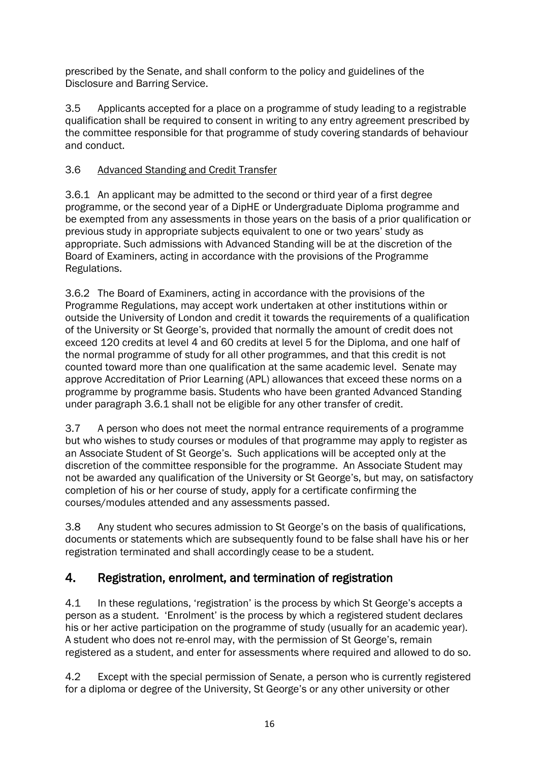prescribed by the Senate, and shall conform to the policy and guidelines of the Disclosure and Barring Service.

3.5 Applicants accepted for a place on a programme of study leading to a registrable qualification shall be required to consent in writing to any entry agreement prescribed by the committee responsible for that programme of study covering standards of behaviour and conduct.

## 3.6 Advanced Standing and Credit Transfer

3.6.1 An applicant may be admitted to the second or third year of a first degree programme, or the second year of a DipHE or Undergraduate Diploma programme and be exempted from any assessments in those years on the basis of a prior qualification or previous study in appropriate subjects equivalent to one or two years' study as appropriate. Such admissions with Advanced Standing will be at the discretion of the Board of Examiners, acting in accordance with the provisions of the Programme Regulations.

3.6.2 The Board of Examiners, acting in accordance with the provisions of the Programme Regulations, may accept work undertaken at other institutions within or outside the University of London and credit it towards the requirements of a qualification of the University or St George's, provided that normally the amount of credit does not exceed 120 credits at level 4 and 60 credits at level 5 for the Diploma, and one half of the normal programme of study for all other programmes, and that this credit is not counted toward more than one qualification at the same academic level. Senate may approve Accreditation of Prior Learning (APL) allowances that exceed these norms on a programme by programme basis. Students who have been granted Advanced Standing under paragraph 3.6.1 shall not be eligible for any other transfer of credit.

3.7 A person who does not meet the normal entrance requirements of a programme but who wishes to study courses or modules of that programme may apply to register as an Associate Student of St George's. Such applications will be accepted only at the discretion of the committee responsible for the programme. An Associate Student may not be awarded any qualification of the University or St George's, but may, on satisfactory completion of his or her course of study, apply for a certificate confirming the courses/modules attended and any assessments passed.

3.8 Any student who secures admission to St George's on the basis of qualifications, documents or statements which are subsequently found to be false shall have his or her registration terminated and shall accordingly cease to be a student.

## 4. Registration, enrolment, and termination of registration

4.1 In these regulations, 'registration' is the process by which St George's accepts a person as a student. 'Enrolment' is the process by which a registered student declares his or her active participation on the programme of study (usually for an academic year). A student who does not re-enrol may, with the permission of St George's, remain registered as a student, and enter for assessments where required and allowed to do so.

4.2 Except with the special permission of Senate, a person who is currently registered for a diploma or degree of the University, St George's or any other university or other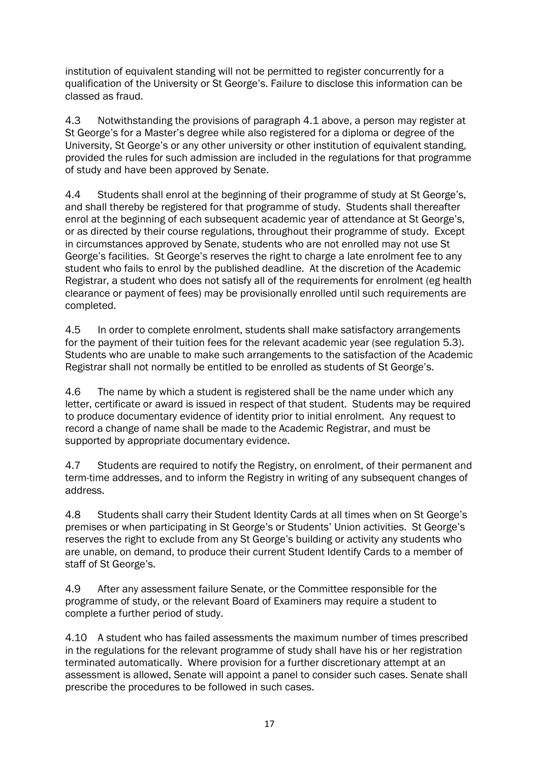institution of equivalent standing will not be permitted to register concurrently for a qualification of the University or St George's. Failure to disclose this information can be classed as fraud.

4.3 Notwithstanding the provisions of paragraph 4.1 above, a person may register at St George's for a Master's degree while also registered for a diploma or degree of the University, St George's or any other university or other institution of equivalent standing, provided the rules for such admission are included in the regulations for that programme of study and have been approved by Senate.

4.4 Students shall enrol at the beginning of their programme of study at St George's, and shall thereby be registered for that programme of study. Students shall thereafter enrol at the beginning of each subsequent academic year of attendance at St George's, or as directed by their course regulations, throughout their programme of study. Except in circumstances approved by Senate, students who are not enrolled may not use St George's facilities. St George's reserves the right to charge a late enrolment fee to any student who fails to enrol by the published deadline. At the discretion of the Academic Registrar, a student who does not satisfy all of the requirements for enrolment (eg health clearance or payment of fees) may be provisionally enrolled until such requirements are completed.

4.5 In order to complete enrolment, students shall make satisfactory arrangements for the payment of their tuition fees for the relevant academic year (see regulation 5.3). Students who are unable to make such arrangements to the satisfaction of the Academic Registrar shall not normally be entitled to be enrolled as students of St George's.

4.6 The name by which a student is registered shall be the name under which any letter, certificate or award is issued in respect of that student. Students may be required to produce documentary evidence of identity prior to initial enrolment. Any request to record a change of name shall be made to the Academic Registrar, and must be supported by appropriate documentary evidence.

4.7 Students are required to notify the Registry, on enrolment, of their permanent and term-time addresses, and to inform the Registry in writing of any subsequent changes of address.

4.8 Students shall carry their Student Identity Cards at all times when on St George's premises or when participating in St George's or Students' Union activities. St George's reserves the right to exclude from any St George's building or activity any students who are unable, on demand, to produce their current Student Identify Cards to a member of staff of St George's.

4.9 After any assessment failure Senate, or the Committee responsible for the programme of study, or the relevant Board of Examiners may require a student to complete a further period of study.

4.10 A student who has failed assessments the maximum number of times prescribed in the regulations for the relevant programme of study shall have his or her registration terminated automatically. Where provision for a further discretionary attempt at an assessment is allowed, Senate will appoint a panel to consider such cases. Senate shall prescribe the procedures to be followed in such cases.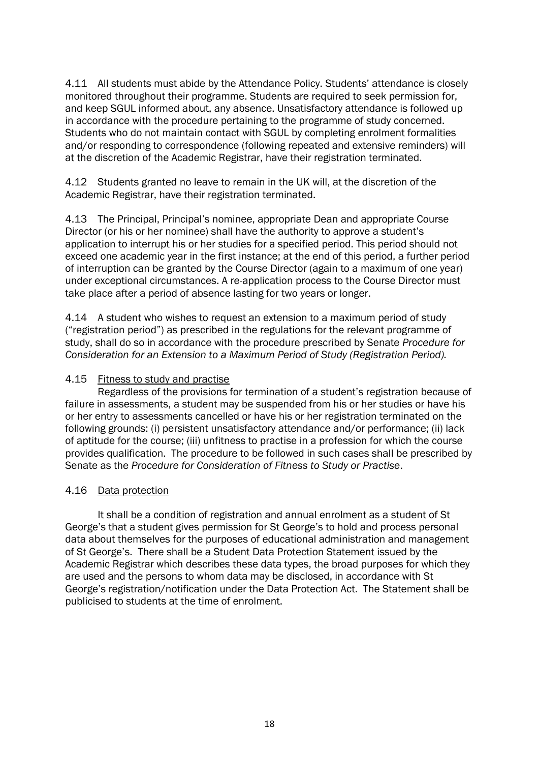4.11 All students must abide by the Attendance Policy. Students' attendance is closely monitored throughout their programme. Students are required to seek permission for, and keep SGUL informed about, any absence. Unsatisfactory attendance is followed up in accordance with the procedure pertaining to the programme of study concerned. Students who do not maintain contact with SGUL by completing enrolment formalities and/or responding to correspondence (following repeated and extensive reminders) will at the discretion of the Academic Registrar, have their registration terminated.

4.12 Students granted no leave to remain in the UK will, at the discretion of the Academic Registrar, have their registration terminated.

4.13 The Principal, Principal's nominee, appropriate Dean and appropriate Course Director (or his or her nominee) shall have the authority to approve a student's application to interrupt his or her studies for a specified period. This period should not exceed one academic year in the first instance; at the end of this period, a further period of interruption can be granted by the Course Director (again to a maximum of one year) under exceptional circumstances. A re-application process to the Course Director must take place after a period of absence lasting for two years or longer.

4.14 A student who wishes to request an extension to a maximum period of study ("registration period") as prescribed in the regulations for the relevant programme of study, shall do so in accordance with the procedure prescribed by Senate *Procedure for Consideration for an Extension to a Maximum Period of Study (Registration Period).*

#### 4.15 Fitness to study and practise

Regardless of the provisions for termination of a student's registration because of failure in assessments, a student may be suspended from his or her studies or have his or her entry to assessments cancelled or have his or her registration terminated on the following grounds: (i) persistent unsatisfactory attendance and/or performance; (ii) lack of aptitude for the course; (iii) unfitness to practise in a profession for which the course provides qualification. The procedure to be followed in such cases shall be prescribed by Senate as the *Procedure for Consideration of Fitness to Study or Practise*.

#### 4.16 Data protection

It shall be a condition of registration and annual enrolment as a student of St George's that a student gives permission for St George's to hold and process personal data about themselves for the purposes of educational administration and management of St George's. There shall be a Student Data Protection Statement issued by the Academic Registrar which describes these data types, the broad purposes for which they are used and the persons to whom data may be disclosed, in accordance with St George's registration/notification under the Data Protection Act. The Statement shall be publicised to students at the time of enrolment.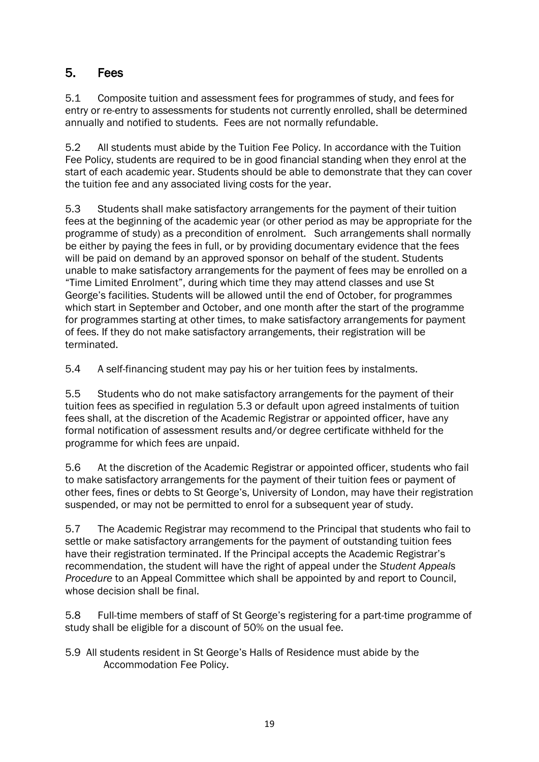## 5. Fees

5.1 Composite tuition and assessment fees for programmes of study, and fees for entry or re-entry to assessments for students not currently enrolled, shall be determined annually and notified to students. Fees are not normally refundable.

5.2 All students must abide by the Tuition Fee Policy. In accordance with the Tuition Fee Policy, students are required to be in good financial standing when they enrol at the start of each academic year. Students should be able to demonstrate that they can cover the tuition fee and any associated living costs for the year.

5.3 Students shall make satisfactory arrangements for the payment of their tuition fees at the beginning of the academic year (or other period as may be appropriate for the programme of study) as a precondition of enrolment. Such arrangements shall normally be either by paying the fees in full, or by providing documentary evidence that the fees will be paid on demand by an approved sponsor on behalf of the student. Students unable to make satisfactory arrangements for the payment of fees may be enrolled on a "Time Limited Enrolment", during which time they may attend classes and use St George's facilities. Students will be allowed until the end of October, for programmes which start in September and October, and one month after the start of the programme for programmes starting at other times, to make satisfactory arrangements for payment of fees. If they do not make satisfactory arrangements, their registration will be terminated.

5.4 A self-financing student may pay his or her tuition fees by instalments.

5.5 Students who do not make satisfactory arrangements for the payment of their tuition fees as specified in regulation 5.3 or default upon agreed instalments of tuition fees shall, at the discretion of the Academic Registrar or appointed officer, have any formal notification of assessment results and/or degree certificate withheld for the programme for which fees are unpaid.

5.6 At the discretion of the Academic Registrar or appointed officer, students who fail to make satisfactory arrangements for the payment of their tuition fees or payment of other fees, fines or debts to St George's, University of London, may have their registration suspended, or may not be permitted to enrol for a subsequent year of study.

5.7 The Academic Registrar may recommend to the Principal that students who fail to settle or make satisfactory arrangements for the payment of outstanding tuition fees have their registration terminated. If the Principal accepts the Academic Registrar's recommendation, the student will have the right of appeal under the *Student Appeals Procedure* to an Appeal Committee which shall be appointed by and report to Council, whose decision shall be final.

5.8 Full-time members of staff of St George's registering for a part-time programme of study shall be eligible for a discount of 50% on the usual fee.

5.9 All students resident in St George's Halls of Residence must abide by the Accommodation Fee Policy.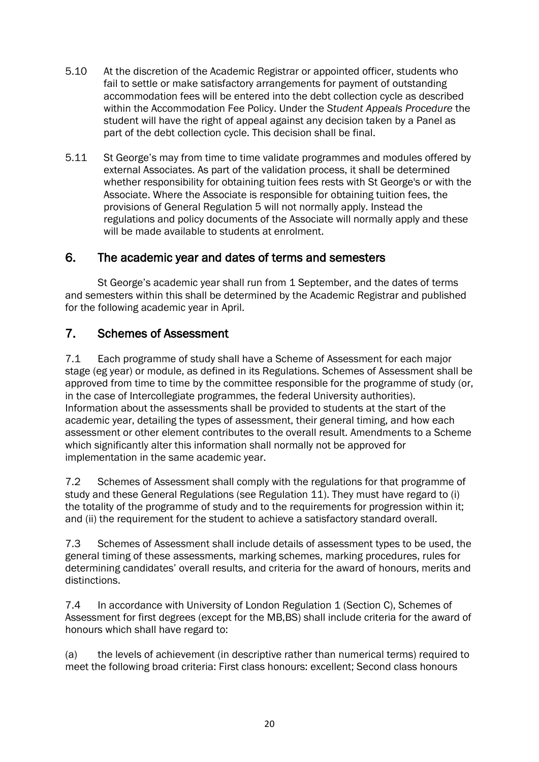- 5.10 At the discretion of the Academic Registrar or appointed officer, students who fail to settle or make satisfactory arrangements for payment of outstanding accommodation fees will be entered into the debt collection cycle as described within the Accommodation Fee Policy. Under the *Student Appeals Procedure* the student will have the right of appeal against any decision taken by a Panel as part of the debt collection cycle. This decision shall be final.
- 5.11 St George's may from time to time validate programmes and modules offered by external Associates. As part of the validation process, it shall be determined whether responsibility for obtaining tuition fees rests with St George's or with the Associate. Where the Associate is responsible for obtaining tuition fees, the provisions of General Regulation 5 will not normally apply. Instead the regulations and policy documents of the Associate will normally apply and these will be made available to students at enrolment.

## 6. The academic year and dates of terms and semesters

St George's academic year shall run from 1 September, and the dates of terms and semesters within this shall be determined by the Academic Registrar and published for the following academic year in April.

## 7. Schemes of Assessment

7.1 Each programme of study shall have a Scheme of Assessment for each major stage (eg year) or module, as defined in its Regulations. Schemes of Assessment shall be approved from time to time by the committee responsible for the programme of study (or, in the case of Intercollegiate programmes, the federal University authorities). Information about the assessments shall be provided to students at the start of the academic year, detailing the types of assessment, their general timing, and how each assessment or other element contributes to the overall result. Amendments to a Scheme which significantly alter this information shall normally not be approved for implementation in the same academic year.

7.2 Schemes of Assessment shall comply with the regulations for that programme of study and these General Regulations (see Regulation 11). They must have regard to (i) the totality of the programme of study and to the requirements for progression within it; and (ii) the requirement for the student to achieve a satisfactory standard overall.

7.3 Schemes of Assessment shall include details of assessment types to be used, the general timing of these assessments, marking schemes, marking procedures, rules for determining candidates' overall results, and criteria for the award of honours, merits and distinctions.

7.4 In accordance with University of London Regulation 1 (Section C), Schemes of Assessment for first degrees (except for the MB,BS) shall include criteria for the award of honours which shall have regard to:

(a) the levels of achievement (in descriptive rather than numerical terms) required to meet the following broad criteria: First class honours: excellent; Second class honours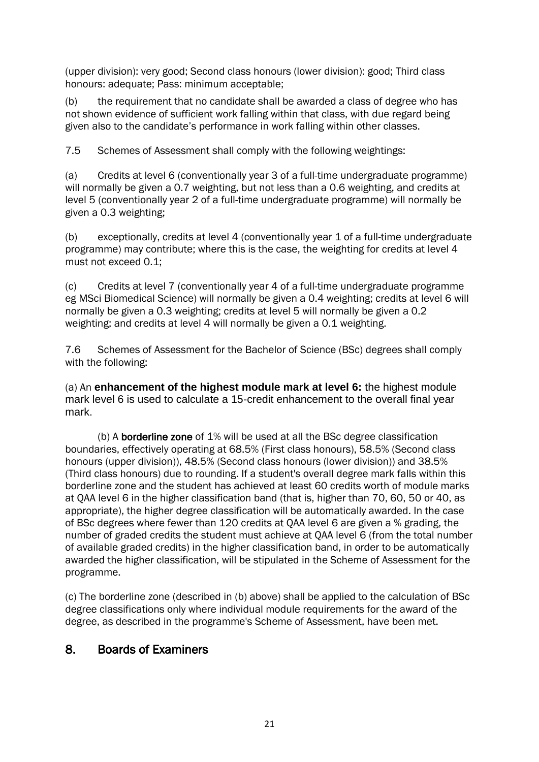(upper division): very good; Second class honours (lower division): good; Third class honours: adequate; Pass: minimum acceptable;

(b) the requirement that no candidate shall be awarded a class of degree who has not shown evidence of sufficient work falling within that class, with due regard being given also to the candidate's performance in work falling within other classes.

7.5 Schemes of Assessment shall comply with the following weightings:

(a) Credits at level 6 (conventionally year 3 of a full-time undergraduate programme) will normally be given a 0.7 weighting, but not less than a 0.6 weighting, and credits at level 5 (conventionally year 2 of a full-time undergraduate programme) will normally be given a 0.3 weighting;

(b) exceptionally, credits at level 4 (conventionally year 1 of a full-time undergraduate programme) may contribute; where this is the case, the weighting for credits at level 4 must not exceed 0.1;

(c) Credits at level 7 (conventionally year 4 of a full-time undergraduate programme eg MSci Biomedical Science) will normally be given a 0.4 weighting; credits at level 6 will normally be given a 0.3 weighting; credits at level 5 will normally be given a 0.2 weighting; and credits at level 4 will normally be given a 0.1 weighting.

7.6 Schemes of Assessment for the Bachelor of Science (BSc) degrees shall comply with the following:

(a) An **enhancement of the highest module mark at level 6:** the highest module mark level 6 is used to calculate a 15-credit enhancement to the overall final year mark.

(b) A borderline zone of 1% will be used at all the BSc degree classification boundaries, effectively operating at 68.5% (First class honours), 58.5% (Second class honours (upper division)), 48.5% (Second class honours (lower division)) and 38.5% (Third class honours) due to rounding. If a student's overall degree mark falls within this borderline zone and the student has achieved at least 60 credits worth of module marks at QAA level 6 in the higher classification band (that is, higher than 70, 60, 50 or 40, as appropriate), the higher degree classification will be automatically awarded. In the case of BSc degrees where fewer than 120 credits at QAA level 6 are given a % grading, the number of graded credits the student must achieve at QAA level 6 (from the total number of available graded credits) in the higher classification band, in order to be automatically awarded the higher classification, will be stipulated in the Scheme of Assessment for the programme.

(c) The borderline zone (described in (b) above) shall be applied to the calculation of BSc degree classifications only where individual module requirements for the award of the degree, as described in the programme's Scheme of Assessment, have been met.

## 8. Boards of Examiners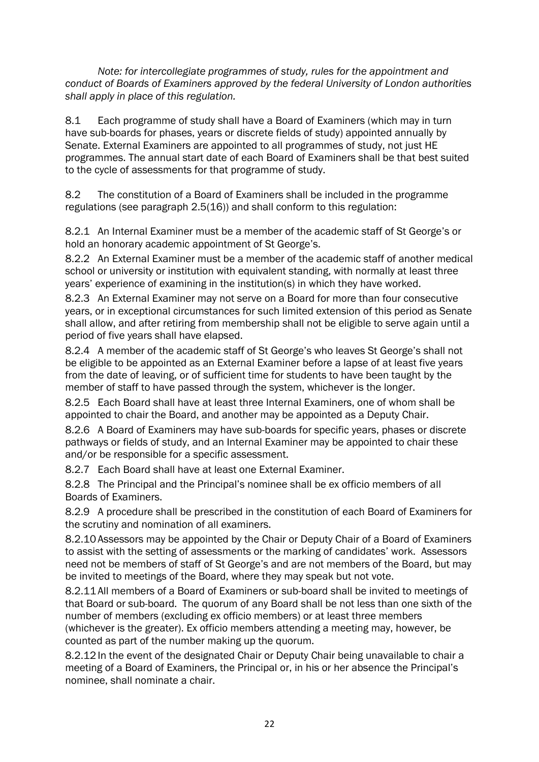*Note: for intercollegiate programmes of study, rules for the appointment and conduct of Boards of Examiners approved by the federal University of London authorities shall apply in place of this regulation.*

8.1 Each programme of study shall have a Board of Examiners (which may in turn have sub-boards for phases, years or discrete fields of study) appointed annually by Senate. External Examiners are appointed to all programmes of study, not just HE programmes. The annual start date of each Board of Examiners shall be that best suited to the cycle of assessments for that programme of study.

8.2 The constitution of a Board of Examiners shall be included in the programme regulations (see paragraph 2.5(16)) and shall conform to this regulation:

8.2.1 An Internal Examiner must be a member of the academic staff of St George's or hold an honorary academic appointment of St George's.

8.2.2 An External Examiner must be a member of the academic staff of another medical school or university or institution with equivalent standing, with normally at least three years' experience of examining in the institution(s) in which they have worked.

8.2.3 An External Examiner may not serve on a Board for more than four consecutive years, or in exceptional circumstances for such limited extension of this period as Senate shall allow, and after retiring from membership shall not be eligible to serve again until a period of five years shall have elapsed.

8.2.4 A member of the academic staff of St George's who leaves St George's shall not be eligible to be appointed as an External Examiner before a lapse of at least five years from the date of leaving, or of sufficient time for students to have been taught by the member of staff to have passed through the system, whichever is the longer.

8.2.5 Each Board shall have at least three Internal Examiners, one of whom shall be appointed to chair the Board, and another may be appointed as a Deputy Chair.

8.2.6 A Board of Examiners may have sub-boards for specific years, phases or discrete pathways or fields of study, and an Internal Examiner may be appointed to chair these and/or be responsible for a specific assessment.

8.2.7 Each Board shall have at least one External Examiner.

8.2.8 The Principal and the Principal's nominee shall be ex officio members of all Boards of Examiners.

8.2.9 A procedure shall be prescribed in the constitution of each Board of Examiners for the scrutiny and nomination of all examiners.

8.2.10 Assessors may be appointed by the Chair or Deputy Chair of a Board of Examiners to assist with the setting of assessments or the marking of candidates' work. Assessors need not be members of staff of St George's and are not members of the Board, but may be invited to meetings of the Board, where they may speak but not vote.

8.2.11 All members of a Board of Examiners or sub-board shall be invited to meetings of that Board or sub-board. The quorum of any Board shall be not less than one sixth of the number of members (excluding ex officio members) or at least three members (whichever is the greater). Ex officio members attending a meeting may, however, be counted as part of the number making up the quorum.

8.2.12 In the event of the designated Chair or Deputy Chair being unavailable to chair a meeting of a Board of Examiners, the Principal or, in his or her absence the Principal's nominee, shall nominate a chair.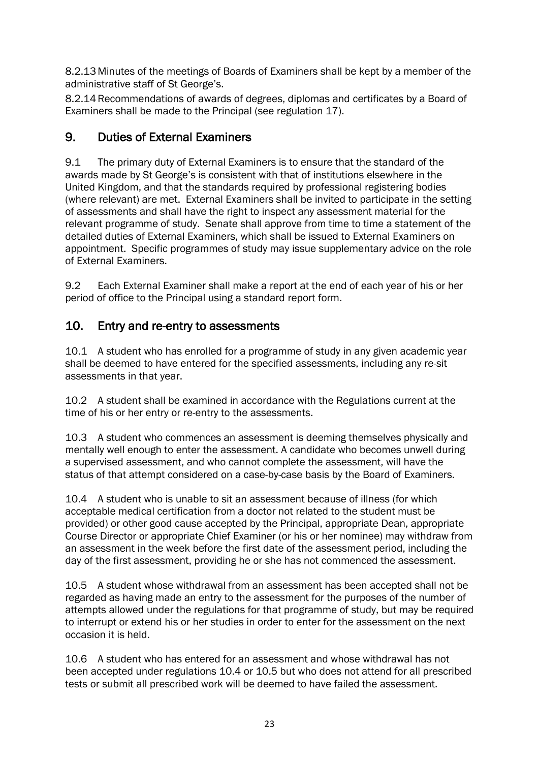8.2.13 Minutes of the meetings of Boards of Examiners shall be kept by a member of the administrative staff of St George's.

8.2.14Recommendations of awards of degrees, diplomas and certificates by a Board of Examiners shall be made to the Principal (see regulation 17).

## 9. Duties of External Examiners

9.1 The primary duty of External Examiners is to ensure that the standard of the awards made by St George's is consistent with that of institutions elsewhere in the United Kingdom, and that the standards required by professional registering bodies (where relevant) are met. External Examiners shall be invited to participate in the setting of assessments and shall have the right to inspect any assessment material for the relevant programme of study. Senate shall approve from time to time a statement of the detailed duties of External Examiners, which shall be issued to External Examiners on appointment. Specific programmes of study may issue supplementary advice on the role of External Examiners.

9.2 Each External Examiner shall make a report at the end of each year of his or her period of office to the Principal using a standard report form.

## 10. Entry and re-entry to assessments

10.1 A student who has enrolled for a programme of study in any given academic year shall be deemed to have entered for the specified assessments, including any re-sit assessments in that year.

10.2 A student shall be examined in accordance with the Regulations current at the time of his or her entry or re-entry to the assessments.

10.3 A student who commences an assessment is deeming themselves physically and mentally well enough to enter the assessment. A candidate who becomes unwell during a supervised assessment, and who cannot complete the assessment, will have the status of that attempt considered on a case-by-case basis by the Board of Examiners.

10.4 A student who is unable to sit an assessment because of illness (for which acceptable medical certification from a doctor not related to the student must be provided) or other good cause accepted by the Principal, appropriate Dean, appropriate Course Director or appropriate Chief Examiner (or his or her nominee) may withdraw from an assessment in the week before the first date of the assessment period, including the day of the first assessment, providing he or she has not commenced the assessment.

10.5 A student whose withdrawal from an assessment has been accepted shall not be regarded as having made an entry to the assessment for the purposes of the number of attempts allowed under the regulations for that programme of study, but may be required to interrupt or extend his or her studies in order to enter for the assessment on the next occasion it is held.

10.6 A student who has entered for an assessment and whose withdrawal has not been accepted under regulations 10.4 or 10.5 but who does not attend for all prescribed tests or submit all prescribed work will be deemed to have failed the assessment.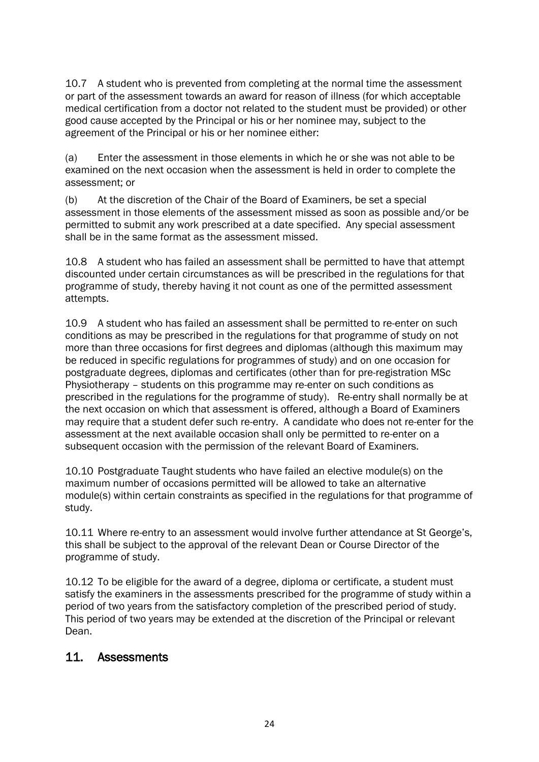10.7 A student who is prevented from completing at the normal time the assessment or part of the assessment towards an award for reason of illness (for which acceptable medical certification from a doctor not related to the student must be provided) or other good cause accepted by the Principal or his or her nominee may, subject to the agreement of the Principal or his or her nominee either:

(a) Enter the assessment in those elements in which he or she was not able to be examined on the next occasion when the assessment is held in order to complete the assessment; or

(b) At the discretion of the Chair of the Board of Examiners, be set a special assessment in those elements of the assessment missed as soon as possible and/or be permitted to submit any work prescribed at a date specified. Any special assessment shall be in the same format as the assessment missed.

10.8 A student who has failed an assessment shall be permitted to have that attempt discounted under certain circumstances as will be prescribed in the regulations for that programme of study, thereby having it not count as one of the permitted assessment attempts.

10.9 A student who has failed an assessment shall be permitted to re-enter on such conditions as may be prescribed in the regulations for that programme of study on not more than three occasions for first degrees and diplomas (although this maximum may be reduced in specific regulations for programmes of study) and on one occasion for postgraduate degrees, diplomas and certificates (other than for pre-registration MSc Physiotherapy – students on this programme may re-enter on such conditions as prescribed in the regulations for the programme of study). Re-entry shall normally be at the next occasion on which that assessment is offered, although a Board of Examiners may require that a student defer such re-entry. A candidate who does not re-enter for the assessment at the next available occasion shall only be permitted to re-enter on a subsequent occasion with the permission of the relevant Board of Examiners.

10.10 Postgraduate Taught students who have failed an elective module(s) on the maximum number of occasions permitted will be allowed to take an alternative module(s) within certain constraints as specified in the regulations for that programme of study.

10.11 Where re-entry to an assessment would involve further attendance at St George's, this shall be subject to the approval of the relevant Dean or Course Director of the programme of study.

10.12 To be eligible for the award of a degree, diploma or certificate, a student must satisfy the examiners in the assessments prescribed for the programme of study within a period of two years from the satisfactory completion of the prescribed period of study. This period of two years may be extended at the discretion of the Principal or relevant Dean.

## 11. Assessments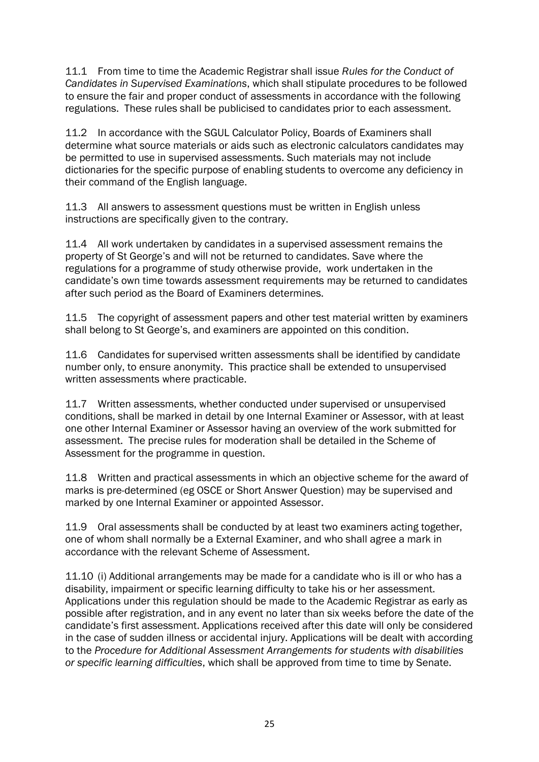11.1 From time to time the Academic Registrar shall issue *Rules for the Conduct of Candidates in Supervised Examinations*, which shall stipulate procedures to be followed to ensure the fair and proper conduct of assessments in accordance with the following regulations. These rules shall be publicised to candidates prior to each assessment.

11.2 In accordance with the SGUL Calculator Policy, Boards of Examiners shall determine what source materials or aids such as electronic calculators candidates may be permitted to use in supervised assessments. Such materials may not include dictionaries for the specific purpose of enabling students to overcome any deficiency in their command of the English language.

11.3 All answers to assessment questions must be written in English unless instructions are specifically given to the contrary.

11.4 All work undertaken by candidates in a supervised assessment remains the property of St George's and will not be returned to candidates. Save where the regulations for a programme of study otherwise provide, work undertaken in the candidate's own time towards assessment requirements may be returned to candidates after such period as the Board of Examiners determines.

11.5 The copyright of assessment papers and other test material written by examiners shall belong to St George's, and examiners are appointed on this condition.

11.6 Candidates for supervised written assessments shall be identified by candidate number only, to ensure anonymity. This practice shall be extended to unsupervised written assessments where practicable.

11.7 Written assessments, whether conducted under supervised or unsupervised conditions, shall be marked in detail by one Internal Examiner or Assessor, with at least one other Internal Examiner or Assessor having an overview of the work submitted for assessment. The precise rules for moderation shall be detailed in the Scheme of Assessment for the programme in question.

11.8 Written and practical assessments in which an objective scheme for the award of marks is pre-determined (eg OSCE or Short Answer Question) may be supervised and marked by one Internal Examiner or appointed Assessor.

11.9 Oral assessments shall be conducted by at least two examiners acting together, one of whom shall normally be a External Examiner, and who shall agree a mark in accordance with the relevant Scheme of Assessment.

11.10 (i) Additional arrangements may be made for a candidate who is ill or who has a disability, impairment or specific learning difficulty to take his or her assessment. Applications under this regulation should be made to the Academic Registrar as early as possible after registration, and in any event no later than six weeks before the date of the candidate's first assessment. Applications received after this date will only be considered in the case of sudden illness or accidental injury. Applications will be dealt with according to the *Procedure for Additional Assessment Arrangements for students with disabilities or specific learning difficulties*, which shall be approved from time to time by Senate.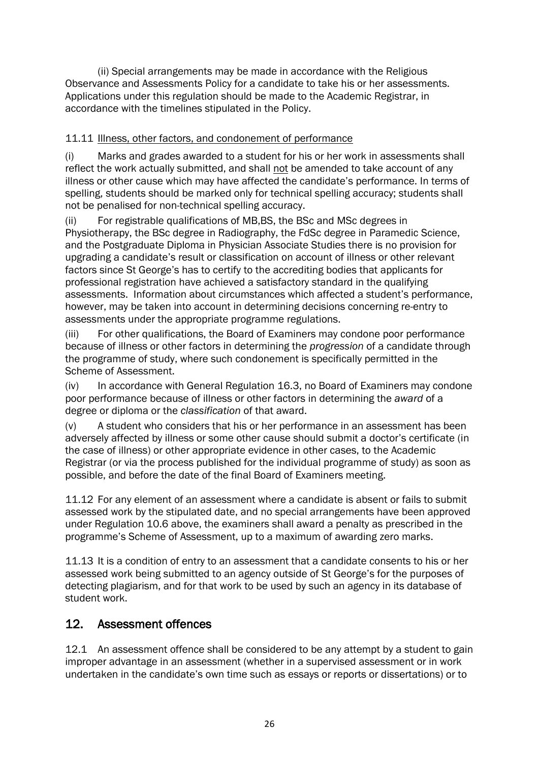(ii) Special arrangements may be made in accordance with the Religious Observance and Assessments Policy for a candidate to take his or her assessments. Applications under this regulation should be made to the Academic Registrar, in accordance with the timelines stipulated in the Policy.

## 11.11 Illness, other factors, and condonement of performance

(i) Marks and grades awarded to a student for his or her work in assessments shall reflect the work actually submitted, and shall not be amended to take account of any illness or other cause which may have affected the candidate's performance. In terms of spelling, students should be marked only for technical spelling accuracy; students shall not be penalised for non-technical spelling accuracy.

(ii) For registrable qualifications of MB,BS, the BSc and MSc degrees in Physiotherapy, the BSc degree in Radiography, the FdSc degree in Paramedic Science, and the Postgraduate Diploma in Physician Associate Studies there is no provision for upgrading a candidate's result or classification on account of illness or other relevant factors since St George's has to certify to the accrediting bodies that applicants for professional registration have achieved a satisfactory standard in the qualifying assessments. Information about circumstances which affected a student's performance, however, may be taken into account in determining decisions concerning re-entry to assessments under the appropriate programme regulations.

(iii) For other qualifications, the Board of Examiners may condone poor performance because of illness or other factors in determining the *progression* of a candidate through the programme of study, where such condonement is specifically permitted in the Scheme of Assessment.

(iv) In accordance with General Regulation 16.3, no Board of Examiners may condone poor performance because of illness or other factors in determining the *award* of a degree or diploma or the *classification* of that award.

(v) A student who considers that his or her performance in an assessment has been adversely affected by illness or some other cause should submit a doctor's certificate (in the case of illness) or other appropriate evidence in other cases, to the Academic Registrar (or via the process published for the individual programme of study) as soon as possible, and before the date of the final Board of Examiners meeting.

11.12 For any element of an assessment where a candidate is absent or fails to submit assessed work by the stipulated date, and no special arrangements have been approved under Regulation 10.6 above, the examiners shall award a penalty as prescribed in the programme's Scheme of Assessment, up to a maximum of awarding zero marks.

11.13 It is a condition of entry to an assessment that a candidate consents to his or her assessed work being submitted to an agency outside of St George's for the purposes of detecting plagiarism, and for that work to be used by such an agency in its database of student work.

## 12. Assessment offences

12.1 An assessment offence shall be considered to be any attempt by a student to gain improper advantage in an assessment (whether in a supervised assessment or in work undertaken in the candidate's own time such as essays or reports or dissertations) or to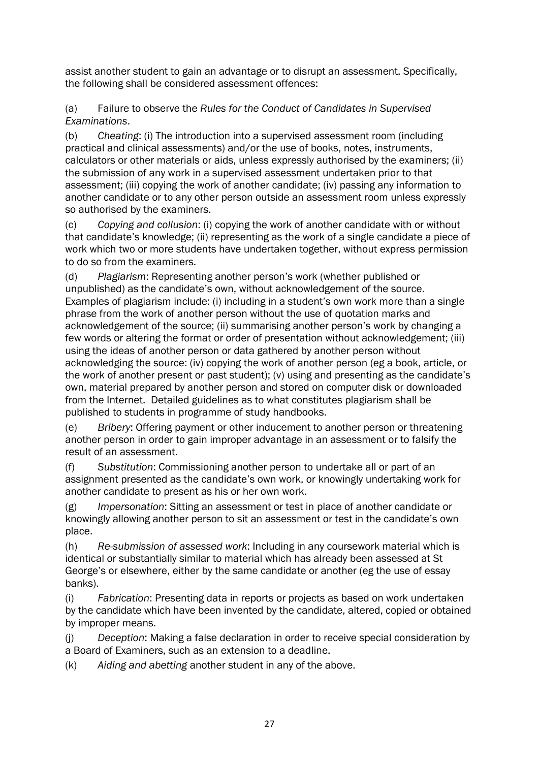assist another student to gain an advantage or to disrupt an assessment. Specifically, the following shall be considered assessment offences:

(a) Failure to observe the *Rules for the Conduct of Candidates in Supervised Examinations*.

(b) *Cheating*: (i) The introduction into a supervised assessment room (including practical and clinical assessments) and/or the use of books, notes, instruments, calculators or other materials or aids, unless expressly authorised by the examiners; (ii) the submission of any work in a supervised assessment undertaken prior to that assessment; (iii) copying the work of another candidate; (iv) passing any information to another candidate or to any other person outside an assessment room unless expressly so authorised by the examiners.

(c) *Copying and collusion*: (i) copying the work of another candidate with or without that candidate's knowledge; (ii) representing as the work of a single candidate a piece of work which two or more students have undertaken together, without express permission to do so from the examiners.

(d) *Plagiarism*: Representing another person's work (whether published or unpublished) as the candidate's own, without acknowledgement of the source. Examples of plagiarism include: (i) including in a student's own work more than a single phrase from the work of another person without the use of quotation marks and acknowledgement of the source; (ii) summarising another person's work by changing a few words or altering the format or order of presentation without acknowledgement; (iii) using the ideas of another person or data gathered by another person without acknowledging the source: (iv) copying the work of another person (eg a book, article, or the work of another present or past student); (v) using and presenting as the candidate's own, material prepared by another person and stored on computer disk or downloaded from the Internet. Detailed guidelines as to what constitutes plagiarism shall be published to students in programme of study handbooks.

(e) *Bribery*: Offering payment or other inducement to another person or threatening another person in order to gain improper advantage in an assessment or to falsify the result of an assessment.

(f) *Substitution*: Commissioning another person to undertake all or part of an assignment presented as the candidate's own work, or knowingly undertaking work for another candidate to present as his or her own work.

(g) *Impersonation*: Sitting an assessment or test in place of another candidate or knowingly allowing another person to sit an assessment or test in the candidate's own place.

(h) *Re-submission of assessed work*: Including in any coursework material which is identical or substantially similar to material which has already been assessed at St George's or elsewhere, either by the same candidate or another (eg the use of essay banks).

(i) *Fabrication*: Presenting data in reports or projects as based on work undertaken by the candidate which have been invented by the candidate, altered, copied or obtained by improper means.

(j) *Deception*: Making a false declaration in order to receive special consideration by a Board of Examiners, such as an extension to a deadline.

(k) *Aiding and abetting* another student in any of the above.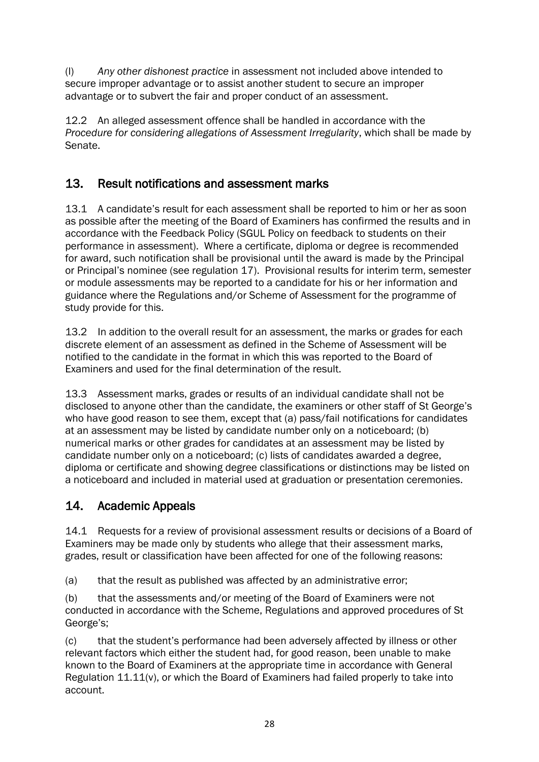(l) *Any other dishonest practice* in assessment not included above intended to secure improper advantage or to assist another student to secure an improper advantage or to subvert the fair and proper conduct of an assessment.

12.2 An alleged assessment offence shall be handled in accordance with the *Procedure for considering allegations of Assessment Irregularity*, which shall be made by Senate.

## 13. Result notifications and assessment marks

13.1 A candidate's result for each assessment shall be reported to him or her as soon as possible after the meeting of the Board of Examiners has confirmed the results and in accordance with the Feedback Policy (SGUL Policy on feedback to students on their performance in assessment). Where a certificate, diploma or degree is recommended for award, such notification shall be provisional until the award is made by the Principal or Principal's nominee (see regulation 17). Provisional results for interim term, semester or module assessments may be reported to a candidate for his or her information and guidance where the Regulations and/or Scheme of Assessment for the programme of study provide for this.

13.2 In addition to the overall result for an assessment, the marks or grades for each discrete element of an assessment as defined in the Scheme of Assessment will be notified to the candidate in the format in which this was reported to the Board of Examiners and used for the final determination of the result.

13.3 Assessment marks, grades or results of an individual candidate shall not be disclosed to anyone other than the candidate, the examiners or other staff of St George's who have good reason to see them, except that (a) pass/fail notifications for candidates at an assessment may be listed by candidate number only on a noticeboard; (b) numerical marks or other grades for candidates at an assessment may be listed by candidate number only on a noticeboard; (c) lists of candidates awarded a degree, diploma or certificate and showing degree classifications or distinctions may be listed on a noticeboard and included in material used at graduation or presentation ceremonies.

## 14. Academic Appeals

14.1 Requests for a review of provisional assessment results or decisions of a Board of Examiners may be made only by students who allege that their assessment marks, grades, result or classification have been affected for one of the following reasons:

(a) that the result as published was affected by an administrative error;

(b) that the assessments and/or meeting of the Board of Examiners were not conducted in accordance with the Scheme, Regulations and approved procedures of St George's;

(c) that the student's performance had been adversely affected by illness or other relevant factors which either the student had, for good reason, been unable to make known to the Board of Examiners at the appropriate time in accordance with General Regulation 11.11(v), or which the Board of Examiners had failed properly to take into account.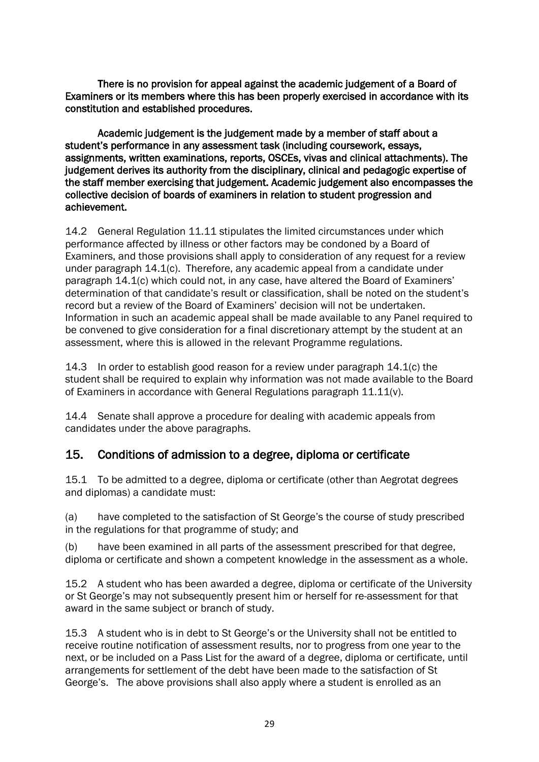There is no provision for appeal against the academic judgement of a Board of Examiners or its members where this has been properly exercised in accordance with its constitution and established procedures.

 Academic judgement is the judgement made by a member of staff about a student's performance in any assessment task (including coursework, essays, assignments, written examinations, reports, OSCEs, vivas and clinical attachments). The judgement derives its authority from the disciplinary, clinical and pedagogic expertise of the staff member exercising that judgement. Academic judgement also encompasses the collective decision of boards of examiners in relation to student progression and achievement.

14.2 General Regulation 11.11 stipulates the limited circumstances under which performance affected by illness or other factors may be condoned by a Board of Examiners, and those provisions shall apply to consideration of any request for a review under paragraph 14.1(c). Therefore, any academic appeal from a candidate under paragraph 14.1(c) which could not, in any case, have altered the Board of Examiners' determination of that candidate's result or classification, shall be noted on the student's record but a review of the Board of Examiners' decision will not be undertaken. Information in such an academic appeal shall be made available to any Panel required to be convened to give consideration for a final discretionary attempt by the student at an assessment, where this is allowed in the relevant Programme regulations.

14.3 In order to establish good reason for a review under paragraph 14.1(c) the student shall be required to explain why information was not made available to the Board of Examiners in accordance with General Regulations paragraph 11.11(v).

14.4 Senate shall approve a procedure for dealing with academic appeals from candidates under the above paragraphs.

## 15. Conditions of admission to a degree, diploma or certificate

15.1 To be admitted to a degree, diploma or certificate (other than Aegrotat degrees and diplomas) a candidate must:

(a) have completed to the satisfaction of St George's the course of study prescribed in the regulations for that programme of study; and

(b) have been examined in all parts of the assessment prescribed for that degree, diploma or certificate and shown a competent knowledge in the assessment as a whole.

15.2 A student who has been awarded a degree, diploma or certificate of the University or St George's may not subsequently present him or herself for re-assessment for that award in the same subject or branch of study.

15.3 A student who is in debt to St George's or the University shall not be entitled to receive routine notification of assessment results, nor to progress from one year to the next, or be included on a Pass List for the award of a degree, diploma or certificate, until arrangements for settlement of the debt have been made to the satisfaction of St George's. The above provisions shall also apply where a student is enrolled as an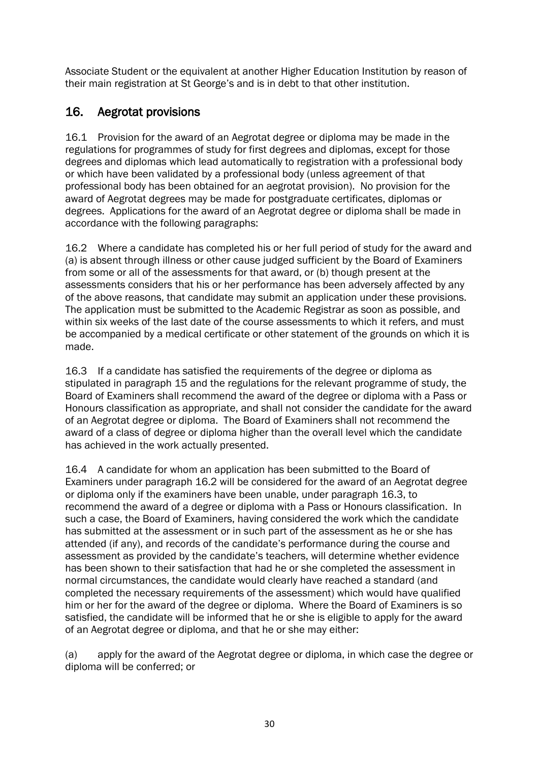Associate Student or the equivalent at another Higher Education Institution by reason of their main registration at St George's and is in debt to that other institution.

## 16. Aegrotat provisions

16.1 Provision for the award of an Aegrotat degree or diploma may be made in the regulations for programmes of study for first degrees and diplomas, except for those degrees and diplomas which lead automatically to registration with a professional body or which have been validated by a professional body (unless agreement of that professional body has been obtained for an aegrotat provision). No provision for the award of Aegrotat degrees may be made for postgraduate certificates, diplomas or degrees. Applications for the award of an Aegrotat degree or diploma shall be made in accordance with the following paragraphs:

16.2 Where a candidate has completed his or her full period of study for the award and (a) is absent through illness or other cause judged sufficient by the Board of Examiners from some or all of the assessments for that award, or (b) though present at the assessments considers that his or her performance has been adversely affected by any of the above reasons, that candidate may submit an application under these provisions. The application must be submitted to the Academic Registrar as soon as possible, and within six weeks of the last date of the course assessments to which it refers, and must be accompanied by a medical certificate or other statement of the grounds on which it is made.

16.3 If a candidate has satisfied the requirements of the degree or diploma as stipulated in paragraph 15 and the regulations for the relevant programme of study, the Board of Examiners shall recommend the award of the degree or diploma with a Pass or Honours classification as appropriate, and shall not consider the candidate for the award of an Aegrotat degree or diploma. The Board of Examiners shall not recommend the award of a class of degree or diploma higher than the overall level which the candidate has achieved in the work actually presented.

16.4 A candidate for whom an application has been submitted to the Board of Examiners under paragraph 16.2 will be considered for the award of an Aegrotat degree or diploma only if the examiners have been unable, under paragraph 16.3, to recommend the award of a degree or diploma with a Pass or Honours classification. In such a case, the Board of Examiners, having considered the work which the candidate has submitted at the assessment or in such part of the assessment as he or she has attended (if any), and records of the candidate's performance during the course and assessment as provided by the candidate's teachers, will determine whether evidence has been shown to their satisfaction that had he or she completed the assessment in normal circumstances, the candidate would clearly have reached a standard (and completed the necessary requirements of the assessment) which would have qualified him or her for the award of the degree or diploma. Where the Board of Examiners is so satisfied, the candidate will be informed that he or she is eligible to apply for the award of an Aegrotat degree or diploma, and that he or she may either:

(a) apply for the award of the Aegrotat degree or diploma, in which case the degree or diploma will be conferred; or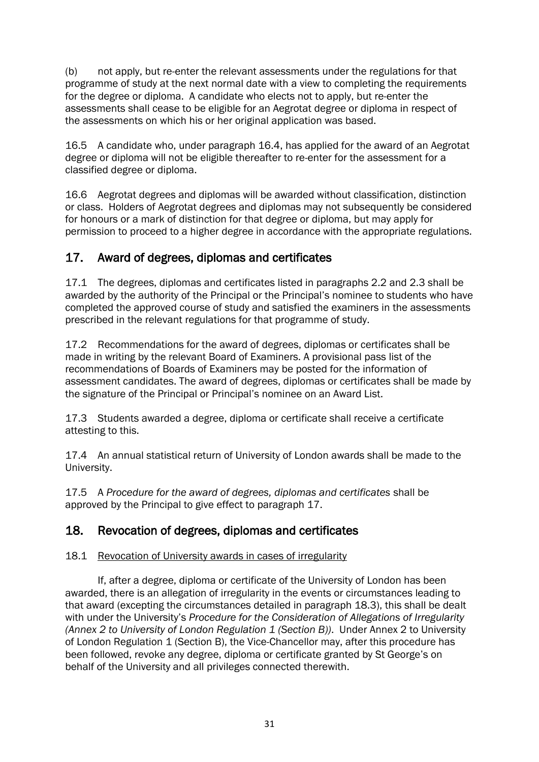(b) not apply, but re-enter the relevant assessments under the regulations for that programme of study at the next normal date with a view to completing the requirements for the degree or diploma. A candidate who elects not to apply, but re-enter the assessments shall cease to be eligible for an Aegrotat degree or diploma in respect of the assessments on which his or her original application was based.

16.5 A candidate who, under paragraph 16.4, has applied for the award of an Aegrotat degree or diploma will not be eligible thereafter to re-enter for the assessment for a classified degree or diploma.

16.6 Aegrotat degrees and diplomas will be awarded without classification, distinction or class. Holders of Aegrotat degrees and diplomas may not subsequently be considered for honours or a mark of distinction for that degree or diploma, but may apply for permission to proceed to a higher degree in accordance with the appropriate regulations.

## 17. Award of degrees, diplomas and certificates

17.1 The degrees, diplomas and certificates listed in paragraphs 2.2 and 2.3 shall be awarded by the authority of the Principal or the Principal's nominee to students who have completed the approved course of study and satisfied the examiners in the assessments prescribed in the relevant regulations for that programme of study.

17.2 Recommendations for the award of degrees, diplomas or certificates shall be made in writing by the relevant Board of Examiners. A provisional pass list of the recommendations of Boards of Examiners may be posted for the information of assessment candidates. The award of degrees, diplomas or certificates shall be made by the signature of the Principal or Principal's nominee on an Award List.

17.3 Students awarded a degree, diploma or certificate shall receive a certificate attesting to this.

17.4 An annual statistical return of University of London awards shall be made to the University.

17.5 A *Procedure for the award of degrees, diplomas and certificates* shall be approved by the Principal to give effect to paragraph 17.

## 18. Revocation of degrees, diplomas and certificates

## 18.1 Revocation of University awards in cases of irregularity

If, after a degree, diploma or certificate of the University of London has been awarded, there is an allegation of irregularity in the events or circumstances leading to that award (excepting the circumstances detailed in paragraph 18.3), this shall be dealt with under the University's *Procedure for the Consideration of Allegations of Irregularity (Annex 2 to University of London Regulation 1 (Section B))*. Under Annex 2 to University of London Regulation 1 (Section B), the Vice-Chancellor may, after this procedure has been followed, revoke any degree, diploma or certificate granted by St George's on behalf of the University and all privileges connected therewith.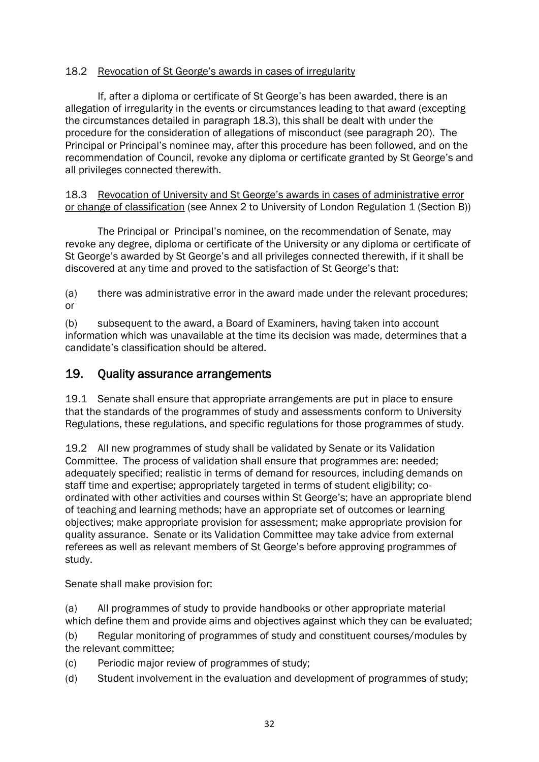## 18.2 Revocation of St George's awards in cases of irregularity

If, after a diploma or certificate of St George's has been awarded, there is an allegation of irregularity in the events or circumstances leading to that award (excepting the circumstances detailed in paragraph 18.3), this shall be dealt with under the procedure for the consideration of allegations of misconduct (see paragraph 20). The Principal or Principal's nominee may, after this procedure has been followed, and on the recommendation of Council, revoke any diploma or certificate granted by St George's and all privileges connected therewith.

18.3 Revocation of University and St George's awards in cases of administrative error or change of classification (see Annex 2 to University of London Regulation 1 (Section B))

The Principal or Principal's nominee, on the recommendation of Senate, may revoke any degree, diploma or certificate of the University or any diploma or certificate of St George's awarded by St George's and all privileges connected therewith, if it shall be discovered at any time and proved to the satisfaction of St George's that:

(a) there was administrative error in the award made under the relevant procedures; or

(b) subsequent to the award, a Board of Examiners, having taken into account information which was unavailable at the time its decision was made, determines that a candidate's classification should be altered.

## 19. Quality assurance arrangements

19.1 Senate shall ensure that appropriate arrangements are put in place to ensure that the standards of the programmes of study and assessments conform to University Regulations, these regulations, and specific regulations for those programmes of study.

19.2 All new programmes of study shall be validated by Senate or its Validation Committee. The process of validation shall ensure that programmes are: needed; adequately specified; realistic in terms of demand for resources, including demands on staff time and expertise; appropriately targeted in terms of student eligibility; coordinated with other activities and courses within St George's; have an appropriate blend of teaching and learning methods; have an appropriate set of outcomes or learning objectives; make appropriate provision for assessment; make appropriate provision for quality assurance. Senate or its Validation Committee may take advice from external referees as well as relevant members of St George's before approving programmes of study.

Senate shall make provision for:

(a) All programmes of study to provide handbooks or other appropriate material which define them and provide aims and objectives against which they can be evaluated;

(b) Regular monitoring of programmes of study and constituent courses/modules by the relevant committee;

- (c) Periodic major review of programmes of study;
- (d) Student involvement in the evaluation and development of programmes of study;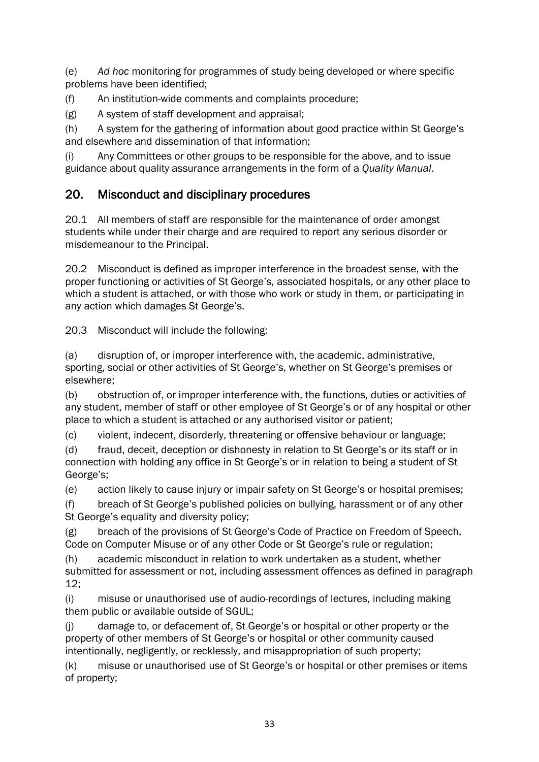(e) *Ad hoc* monitoring for programmes of study being developed or where specific problems have been identified;

(f) An institution-wide comments and complaints procedure;

(g) A system of staff development and appraisal;

(h) A system for the gathering of information about good practice within St George's and elsewhere and dissemination of that information;

(i) Any Committees or other groups to be responsible for the above, and to issue guidance about quality assurance arrangements in the form of a *Quality Manual*.

## 20. Misconduct and disciplinary procedures

20.1 All members of staff are responsible for the maintenance of order amongst students while under their charge and are required to report any serious disorder or misdemeanour to the Principal.

20.2 Misconduct is defined as improper interference in the broadest sense, with the proper functioning or activities of St George's, associated hospitals, or any other place to which a student is attached, or with those who work or study in them, or participating in any action which damages St George's.

20.3 Misconduct will include the following:

(a) disruption of, or improper interference with, the academic, administrative, sporting, social or other activities of St George's, whether on St George's premises or elsewhere;

(b) obstruction of, or improper interference with, the functions, duties or activities of any student, member of staff or other employee of St George's or of any hospital or other place to which a student is attached or any authorised visitor or patient;

(c) violent, indecent, disorderly, threatening or offensive behaviour or language;

(d) fraud, deceit, deception or dishonesty in relation to St George's or its staff or in connection with holding any office in St George's or in relation to being a student of St George's;

(e) action likely to cause injury or impair safety on St George's or hospital premises;

(f) breach of St George's published policies on bullying, harassment or of any other St George's equality and diversity policy;

(g) breach of the provisions of St George's Code of Practice on Freedom of Speech, Code on Computer Misuse or of any other Code or St George's rule or regulation;

(h) academic misconduct in relation to work undertaken as a student, whether submitted for assessment or not, including assessment offences as defined in paragraph 12;

(i) misuse or unauthorised use of audio-recordings of lectures, including making them public or available outside of SGUL;

(j) damage to, or defacement of, St George's or hospital or other property or the property of other members of St George's or hospital or other community caused intentionally, negligently, or recklessly, and misappropriation of such property;

(k) misuse or unauthorised use of St George's or hospital or other premises or items of property;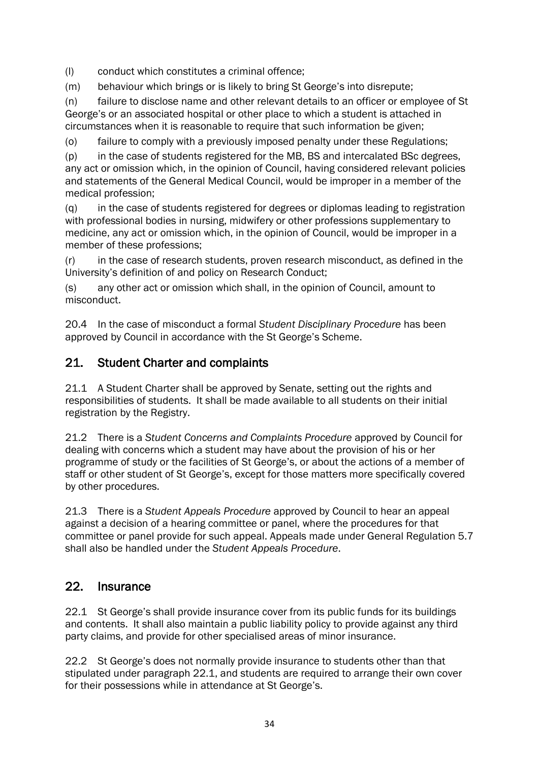(l) conduct which constitutes a criminal offence;

(m) behaviour which brings or is likely to bring St George's into disrepute;

(n) failure to disclose name and other relevant details to an officer or employee of St George's or an associated hospital or other place to which a student is attached in circumstances when it is reasonable to require that such information be given;

(o) failure to comply with a previously imposed penalty under these Regulations;

(p) in the case of students registered for the MB, BS and intercalated BSc degrees, any act or omission which, in the opinion of Council, having considered relevant policies and statements of the General Medical Council, would be improper in a member of the medical profession;

(q) in the case of students registered for degrees or diplomas leading to registration with professional bodies in nursing, midwifery or other professions supplementary to medicine, any act or omission which, in the opinion of Council, would be improper in a member of these professions;

(r) in the case of research students, proven research misconduct, as defined in the University's definition of and policy on Research Conduct;

(s) any other act or omission which shall, in the opinion of Council, amount to misconduct.

20.4 In the case of misconduct a formal *Student Disciplinary Procedure* has been approved by Council in accordance with the St George's Scheme.

## 21. Student Charter and complaints

21.1 A Student Charter shall be approved by Senate, setting out the rights and responsibilities of students. It shall be made available to all students on their initial registration by the Registry.

21.2 There is a *Student Concerns and Complaints Procedure* approved by Council for dealing with concerns which a student may have about the provision of his or her programme of study or the facilities of St George's, or about the actions of a member of staff or other student of St George's, except for those matters more specifically covered by other procedures.

21.3 There is a *Student Appeals Procedure* approved by Council to hear an appeal against a decision of a hearing committee or panel, where the procedures for that committee or panel provide for such appeal. Appeals made under General Regulation 5.7 shall also be handled under the *Student Appeals Procedure*.

## 22. Insurance

22.1 St George's shall provide insurance cover from its public funds for its buildings and contents. It shall also maintain a public liability policy to provide against any third party claims, and provide for other specialised areas of minor insurance.

22.2 St George's does not normally provide insurance to students other than that stipulated under paragraph 22.1, and students are required to arrange their own cover for their possessions while in attendance at St George's.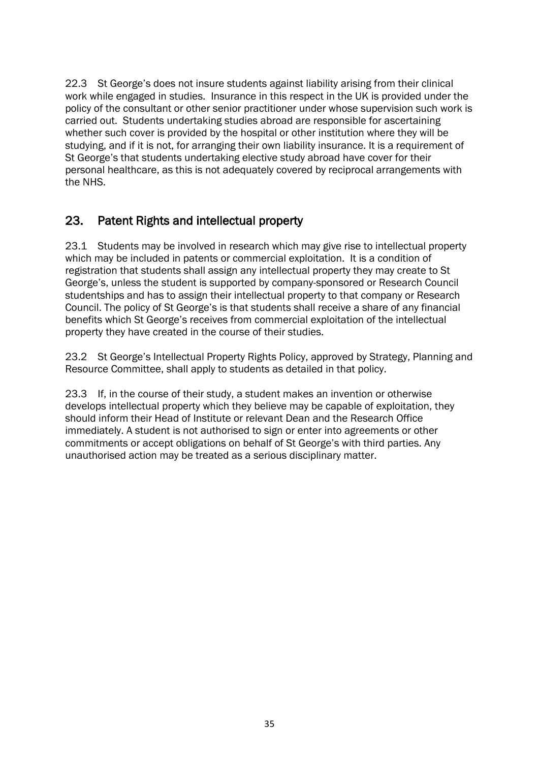22.3 St George's does not insure students against liability arising from their clinical work while engaged in studies. Insurance in this respect in the UK is provided under the policy of the consultant or other senior practitioner under whose supervision such work is carried out. Students undertaking studies abroad are responsible for ascertaining whether such cover is provided by the hospital or other institution where they will be studying, and if it is not, for arranging their own liability insurance. It is a requirement of St George's that students undertaking elective study abroad have cover for their personal healthcare, as this is not adequately covered by reciprocal arrangements with the NHS.

## 23. Patent Rights and intellectual property

23.1 Students may be involved in research which may give rise to intellectual property which may be included in patents or commercial exploitation. It is a condition of registration that students shall assign any intellectual property they may create to St George's, unless the student is supported by company-sponsored or Research Council studentships and has to assign their intellectual property to that company or Research Council. The policy of St George's is that students shall receive a share of any financial benefits which St George's receives from commercial exploitation of the intellectual property they have created in the course of their studies.

23.2 St George's Intellectual Property Rights Policy, approved by Strategy, Planning and Resource Committee, shall apply to students as detailed in that policy.

23.3 If, in the course of their study, a student makes an invention or otherwise develops intellectual property which they believe may be capable of exploitation, they should inform their Head of Institute or relevant Dean and the Research Office immediately. A student is not authorised to sign or enter into agreements or other commitments or accept obligations on behalf of St George's with third parties. Any unauthorised action may be treated as a serious disciplinary matter.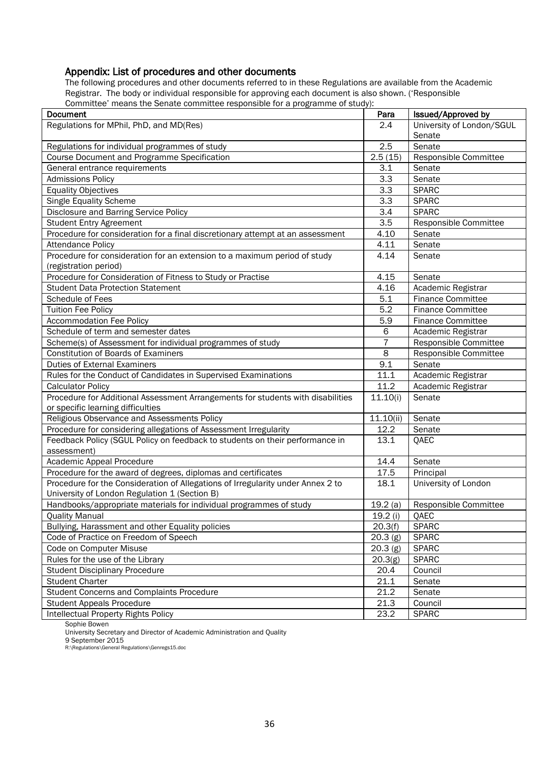## Appendix: List of procedures and other documents

The following procedures and other documents referred to in these Regulations are available from the Academic Registrar. The body or individual responsible for approving each document is also shown. ('Responsible Committee' means the Senate committee responsible for a programme of study):

| Document                                                                        | Para               | Issued/Approved by        |
|---------------------------------------------------------------------------------|--------------------|---------------------------|
| Regulations for MPhil, PhD, and MD(Res)                                         | 2.4                | University of London/SGUL |
|                                                                                 | 2.5                | Senate                    |
| Regulations for individual programmes of study                                  |                    | Senate                    |
| Course Document and Programme Specification                                     | 2.5(15)            | Responsible Committee     |
| General entrance requirements                                                   | 3.1                | Senate                    |
| <b>Admissions Policy</b>                                                        | 3.3                | Senate                    |
| <b>Equality Objectives</b>                                                      | 3.3                | <b>SPARC</b>              |
| Single Equality Scheme                                                          | 3.3                | <b>SPARC</b>              |
| Disclosure and Barring Service Policy                                           | 3.4                | <b>SPARC</b>              |
| <b>Student Entry Agreement</b>                                                  | 3.5                | Responsible Committee     |
| Procedure for consideration for a final discretionary attempt at an assessment  | 4.10               | Senate                    |
| <b>Attendance Policy</b>                                                        | 4.11               | Senate                    |
| Procedure for consideration for an extension to a maximum period of study       | 4.14               | Senate                    |
| (registration period)                                                           |                    |                           |
| Procedure for Consideration of Fitness to Study or Practise                     | 4.15               | Senate                    |
| <b>Student Data Protection Statement</b>                                        | 4.16               | Academic Registrar        |
| Schedule of Fees                                                                | 5.1                | <b>Finance Committee</b>  |
| <b>Tuition Fee Policy</b>                                                       | 5.2                | <b>Finance Committee</b>  |
| <b>Accommodation Fee Policy</b>                                                 | 5.9                | <b>Finance Committee</b>  |
| Schedule of term and semester dates                                             | 6                  | Academic Registrar        |
| Scheme(s) of Assessment for individual programmes of study                      | $\overline{7}$     | Responsible Committee     |
| <b>Constitution of Boards of Examiners</b>                                      | 8                  | Responsible Committee     |
| <b>Duties of External Examiners</b>                                             | 9.1                | Senate                    |
| Rules for the Conduct of Candidates in Supervised Examinations                  | 11.1               | Academic Registrar        |
| <b>Calculator Policy</b>                                                        | 11.2               | Academic Registrar        |
| Procedure for Additional Assessment Arrangements for students with disabilities | 11.10(i)           | Senate                    |
| or specific learning difficulties                                               |                    |                           |
| Religious Observance and Assessments Policy                                     | 11.10(i)           | Senate                    |
| Procedure for considering allegations of Assessment Irregularity                | 12.2               | Senate                    |
| Feedback Policy (SGUL Policy on feedback to students on their performance in    | 13.1               | QAEC                      |
| assessment)                                                                     |                    |                           |
| Academic Appeal Procedure                                                       | 14.4               | Senate                    |
| Procedure for the award of degrees, diplomas and certificates                   | 17.5               | Principal                 |
| Procedure for the Consideration of Allegations of Irregularity under Annex 2 to | 18.1               | University of London      |
| University of London Regulation 1 (Section B)                                   |                    |                           |
| Handbooks/appropriate materials for individual programmes of study              | 19.2(a)            | Responsible Committee     |
| <b>Quality Manual</b>                                                           | 19.2 (i)           | QAEC                      |
| Bullying, Harassment and other Equality policies                                | 20.3(f)<br>20.3(g) | <b>SPARC</b>              |
| Code of Practice on Freedom of Speech                                           |                    | <b>SPARC</b>              |
| Code on Computer Misuse                                                         |                    | <b>SPARC</b>              |
| Rules for the use of the Library                                                |                    | <b>SPARC</b>              |
| <b>Student Disciplinary Procedure</b>                                           |                    | Council                   |
| <b>Student Charter</b>                                                          |                    | Senate                    |
| <b>Student Concerns and Complaints Procedure</b>                                |                    | Senate                    |
| <b>Student Appeals Procedure</b>                                                |                    | Council                   |
| <b>Intellectual Property Rights Policy</b>                                      | 23.2               | <b>SPARC</b>              |

Sophie Bowen

University Secretary and Director of Academic Administration and Quality

9 September 2015 R:\Regulations\General Regulations\Genregs15.doc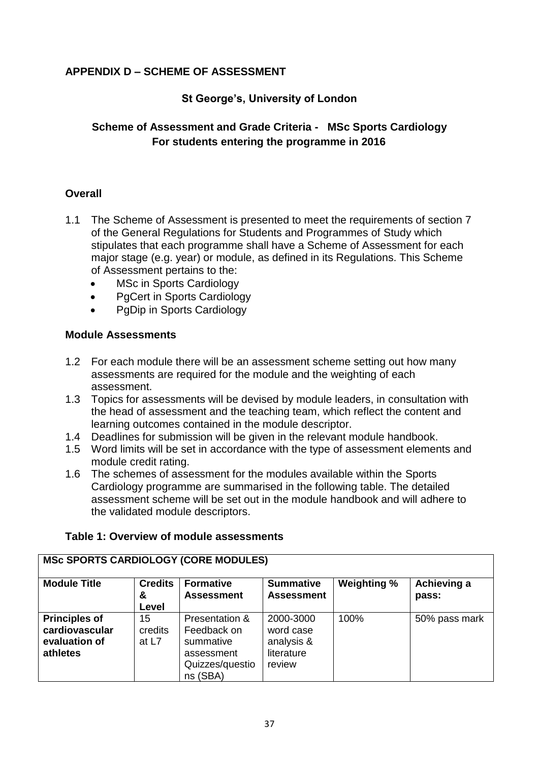#### **APPENDIX D – SCHEME OF ASSESSMENT**

#### **St George's, University of London**

#### **Scheme of Assessment and Grade Criteria - MSc Sports Cardiology For students entering the programme in 2016**

#### **Overall**

- 1.1 The Scheme of Assessment is presented to meet the requirements of section 7 of the General Regulations for Students and Programmes of Study which stipulates that each programme shall have a Scheme of Assessment for each major stage (e.g. year) or module, as defined in its Regulations. This Scheme of Assessment pertains to the:
	- MSc in Sports Cardiology
	- PgCert in Sports Cardiology
	- PgDip in Sports Cardiology

#### **Module Assessments**

- 1.2 For each module there will be an assessment scheme setting out how many assessments are required for the module and the weighting of each assessment.
- 1.3 Topics for assessments will be devised by module leaders, in consultation with the head of assessment and the teaching team, which reflect the content and learning outcomes contained in the module descriptor.
- 1.4 Deadlines for submission will be given in the relevant module handbook.
- 1.5 Word limits will be set in accordance with the type of assessment elements and module credit rating.
- 1.6 The schemes of assessment for the modules available within the Sports Cardiology programme are summarised in the following table. The detailed assessment scheme will be set out in the module handbook and will adhere to the validated module descriptors.

| <b>Module Title</b>                                                 | <b>Credits</b><br>&<br>Level | <b>Formative</b><br><b>Assessment</b>                                                   | <b>Summative</b><br><b>Assessment</b>                        | Weighting % | Achieving a<br>pass: |
|---------------------------------------------------------------------|------------------------------|-----------------------------------------------------------------------------------------|--------------------------------------------------------------|-------------|----------------------|
| <b>Principles of</b><br>cardiovascular<br>evaluation of<br>athletes | 15<br>credits<br>at L7       | Presentation &<br>Feedback on<br>summative<br>assessment<br>Quizzes/questio<br>ns (SBA) | 2000-3000<br>word case<br>analysis &<br>literature<br>review | 100%        | 50% pass mark        |

#### **Table 1: Overview of module assessments**

**MSc SPORTS CARDIOLOGY (CORE MODULES)**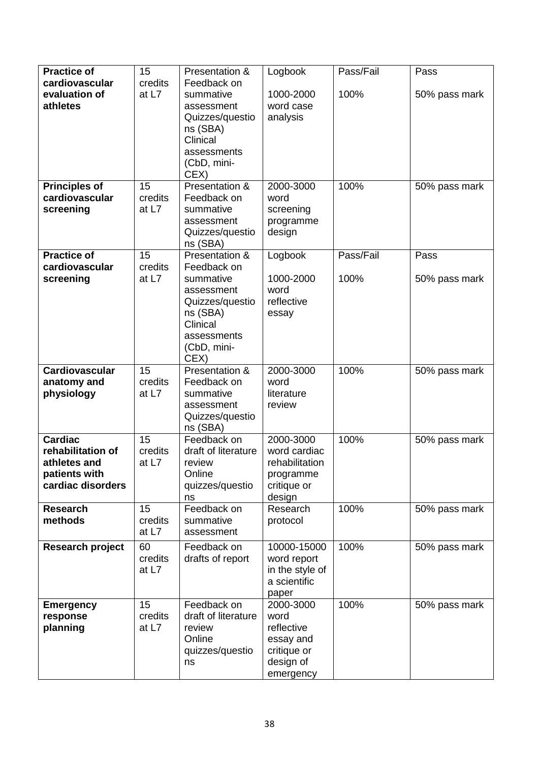| <b>Practice of</b>                                                                        | 15                     | Presentation &                                                                                                          | Logbook                                                                               | Pass/Fail | Pass          |
|-------------------------------------------------------------------------------------------|------------------------|-------------------------------------------------------------------------------------------------------------------------|---------------------------------------------------------------------------------------|-----------|---------------|
| cardiovascular<br>evaluation of<br>athletes                                               | credits<br>at L7       | Feedback on<br>summative<br>assessment<br>Quizzes/questio<br>ns (SBA)<br>Clinical<br>assessments<br>(CbD, mini-<br>CEX) | 1000-2000<br>word case<br>analysis                                                    | 100%      | 50% pass mark |
| <b>Principles of</b><br>cardiovascular<br>screening                                       | 15<br>credits<br>at L7 | Presentation &<br>Feedback on<br>summative<br>assessment<br>Quizzes/questio<br>ns (SBA)                                 | 2000-3000<br>word<br>screening<br>programme<br>design                                 | 100%      | 50% pass mark |
| <b>Practice of</b>                                                                        | 15                     | Presentation &                                                                                                          | Logbook                                                                               | Pass/Fail | Pass          |
| cardiovascular<br>screening                                                               | credits<br>at L7       | Feedback on<br>summative<br>assessment<br>Quizzes/questio<br>ns (SBA)<br>Clinical<br>assessments<br>(CbD, mini-<br>CEX) | 1000-2000<br>word<br>reflective<br>essay                                              | 100%      | 50% pass mark |
| <b>Cardiovascular</b><br>anatomy and<br>physiology                                        | 15<br>credits<br>at L7 | Presentation &<br>Feedback on<br>summative<br>assessment<br>Quizzes/questio<br>ns (SBA)                                 | 2000-3000<br>word<br>literature<br>review                                             | 100%      | 50% pass mark |
| <b>Cardiac</b><br>rehabilitation of<br>athletes and<br>patients with<br>cardiac disorders | 15<br>credits<br>at L7 | Feedback on<br>draft of literature<br>review<br>Online<br>quizzes/questio<br>ns                                         | 2000-3000<br>word cardiac<br>rehabilitation<br>programme<br>critique or<br>design     | 100%      | 50% pass mark |
| <b>Research</b><br>methods                                                                | 15<br>credits<br>at L7 | Feedback on<br>summative<br>assessment                                                                                  | Research<br>protocol                                                                  | 100%      | 50% pass mark |
| Research project                                                                          | 60<br>credits<br>at L7 | Feedback on<br>drafts of report                                                                                         | 10000-15000<br>word report<br>in the style of<br>a scientific<br>paper                | 100%      | 50% pass mark |
| <b>Emergency</b><br>response<br>planning                                                  | 15<br>credits<br>at L7 | Feedback on<br>draft of literature<br>review<br>Online<br>quizzes/questio<br>ns                                         | 2000-3000<br>word<br>reflective<br>essay and<br>critique or<br>design of<br>emergency | 100%      | 50% pass mark |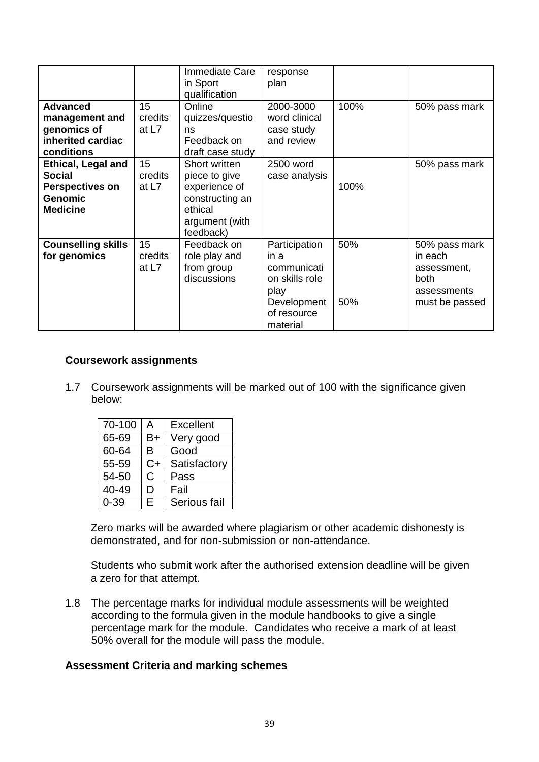|                                                                                                           |                          | Immediate Care<br>in Sport<br>qualification                                                                  | response<br>plan                                                                                         |            |                                                                                  |
|-----------------------------------------------------------------------------------------------------------|--------------------------|--------------------------------------------------------------------------------------------------------------|----------------------------------------------------------------------------------------------------------|------------|----------------------------------------------------------------------------------|
| <b>Advanced</b><br>management and<br>genomics of<br>inherited cardiac<br>conditions                       | 15<br>credits<br>at L7   | Online<br>quizzes/questio<br>ns<br>Feedback on<br>draft case study                                           | 2000-3000<br>word clinical<br>case study<br>and review                                                   | 100%       | 50% pass mark                                                                    |
| <b>Ethical, Legal and</b><br><b>Social</b><br><b>Perspectives on</b><br><b>Genomic</b><br><b>Medicine</b> | 15<br>credits<br>at $L7$ | Short written<br>piece to give<br>experience of<br>constructing an<br>ethical<br>argument (with<br>feedback) | 2500 word<br>case analysis                                                                               | 100%       | 50% pass mark                                                                    |
| <b>Counselling skills</b><br>for genomics                                                                 | 15<br>credits<br>at L7   | Feedback on<br>role play and<br>from group<br>discussions                                                    | Participation<br>in a<br>communicati<br>on skills role<br>play<br>Development<br>of resource<br>material | 50%<br>50% | 50% pass mark<br>in each<br>assessment,<br>both<br>assessments<br>must be passed |

#### **Coursework assignments**

1.7 Coursework assignments will be marked out of 100 with the significance given below:

| 70-100   | А            | <b>Excellent</b> |
|----------|--------------|------------------|
| 65-69    | B+           | Very good        |
| 60-64    | в            | Good             |
| 55-59    | C+           | Satisfactory     |
| 54-50    | $\mathsf{C}$ | Pass             |
| 40-49    | D            | Fail             |
| $0 - 39$ | Е            | Serious fail     |

Zero marks will be awarded where plagiarism or other academic dishonesty is demonstrated, and for non-submission or non-attendance.

Students who submit work after the authorised extension deadline will be given a zero for that attempt.

1.8 The percentage marks for individual module assessments will be weighted according to the formula given in the module handbooks to give a single percentage mark for the module. Candidates who receive a mark of at least 50% overall for the module will pass the module.

#### **Assessment Criteria and marking schemes**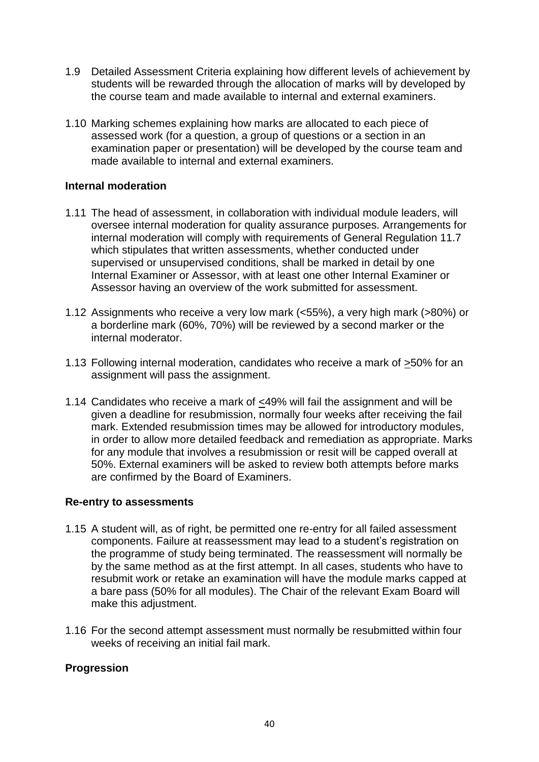- 1.9 Detailed Assessment Criteria explaining how different levels of achievement by students will be rewarded through the allocation of marks will by developed by the course team and made available to internal and external examiners.
- 1.10 Marking schemes explaining how marks are allocated to each piece of assessed work (for a question, a group of questions or a section in an examination paper or presentation) will be developed by the course team and made available to internal and external examiners.

#### **Internal moderation**

- 1.11 The head of assessment, in collaboration with individual module leaders, will oversee internal moderation for quality assurance purposes. Arrangements for internal moderation will comply with requirements of General Regulation 11.7 which stipulates that written assessments, whether conducted under supervised or unsupervised conditions, shall be marked in detail by one Internal Examiner or Assessor, with at least one other Internal Examiner or Assessor having an overview of the work submitted for assessment.
- 1.12 Assignments who receive a very low mark (<55%), a very high mark (>80%) or a borderline mark (60%, 70%) will be reviewed by a second marker or the internal moderator.
- 1.13 Following internal moderation, candidates who receive a mark of >50% for an assignment will pass the assignment.
- 1.14 Candidates who receive a mark of <49% will fail the assignment and will be given a deadline for resubmission, normally four weeks after receiving the fail mark. Extended resubmission times may be allowed for introductory modules, in order to allow more detailed feedback and remediation as appropriate. Marks for any module that involves a resubmission or resit will be capped overall at 50%. External examiners will be asked to review both attempts before marks are confirmed by the Board of Examiners.

#### **Re-entry to assessments**

- 1.15 A student will, as of right, be permitted one re-entry for all failed assessment components. Failure at reassessment may lead to a student's registration on the programme of study being terminated. The reassessment will normally be by the same method as at the first attempt. In all cases, students who have to resubmit work or retake an examination will have the module marks capped at a bare pass (50% for all modules). The Chair of the relevant Exam Board will make this adjustment.
- 1.16 For the second attempt assessment must normally be resubmitted within four weeks of receiving an initial fail mark.

#### **Progression**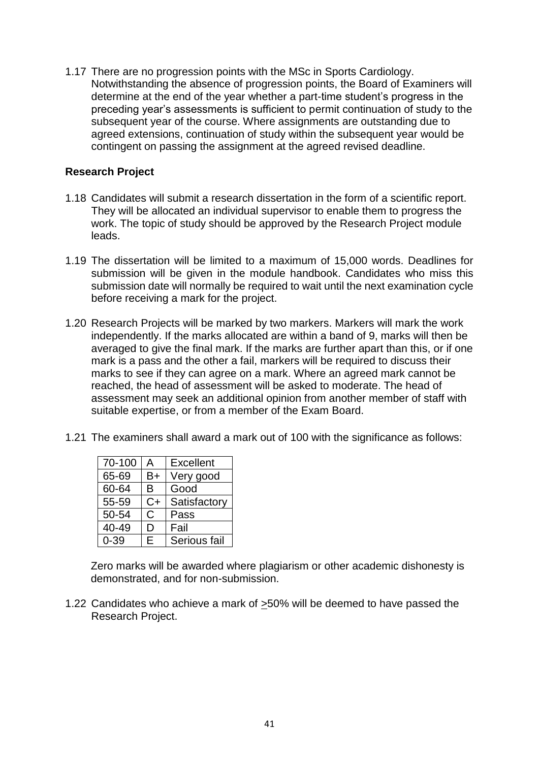1.17 There are no progression points with the MSc in Sports Cardiology. Notwithstanding the absence of progression points, the Board of Examiners will determine at the end of the year whether a part-time student's progress in the preceding year's assessments is sufficient to permit continuation of study to the subsequent year of the course. Where assignments are outstanding due to agreed extensions, continuation of study within the subsequent year would be contingent on passing the assignment at the agreed revised deadline.

#### **Research Project**

- 1.18 Candidates will submit a research dissertation in the form of a scientific report. They will be allocated an individual supervisor to enable them to progress the work. The topic of study should be approved by the Research Project module leads.
- 1.19 The dissertation will be limited to a maximum of 15,000 words. Deadlines for submission will be given in the module handbook. Candidates who miss this submission date will normally be required to wait until the next examination cycle before receiving a mark for the project.
- 1.20 Research Projects will be marked by two markers. Markers will mark the work independently. If the marks allocated are within a band of 9, marks will then be averaged to give the final mark. If the marks are further apart than this, or if one mark is a pass and the other a fail, markers will be required to discuss their marks to see if they can agree on a mark. Where an agreed mark cannot be reached, the head of assessment will be asked to moderate. The head of assessment may seek an additional opinion from another member of staff with suitable expertise, or from a member of the Exam Board.
- 1.21 The examiners shall award a mark out of 100 with the significance as follows:

| 70-100 | A  | <b>Excellent</b> |
|--------|----|------------------|
| 65-69  | B+ | Very good        |
| 60-64  | в  | Good             |
| 55-59  | C+ | Satisfactory     |
| 50-54  | C  | Pass             |
| 40-49  | I) | Fail             |
| በ-39   | E  | Serious fail     |

Zero marks will be awarded where plagiarism or other academic dishonesty is demonstrated, and for non-submission.

1.22 Candidates who achieve a mark of  $\geq$ 50% will be deemed to have passed the Research Project.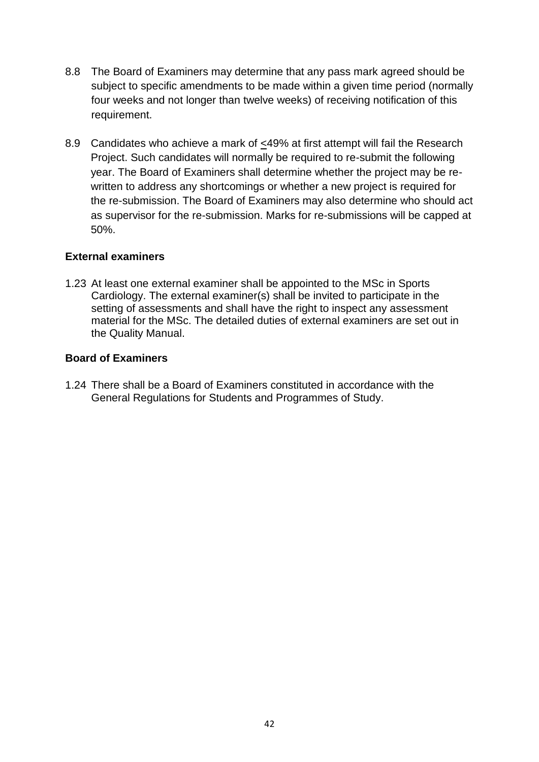- 8.8 The Board of Examiners may determine that any pass mark agreed should be subject to specific amendments to be made within a given time period (normally four weeks and not longer than twelve weeks) of receiving notification of this requirement.
- 8.9 Candidates who achieve a mark of <49% at first attempt will fail the Research Project. Such candidates will normally be required to re-submit the following year. The Board of Examiners shall determine whether the project may be rewritten to address any shortcomings or whether a new project is required for the re-submission. The Board of Examiners may also determine who should act as supervisor for the re-submission. Marks for re-submissions will be capped at 50%.

#### **External examiners**

1.23 At least one external examiner shall be appointed to the MSc in Sports Cardiology. The external examiner(s) shall be invited to participate in the setting of assessments and shall have the right to inspect any assessment material for the MSc. The detailed duties of external examiners are set out in the Quality Manual.

#### **Board of Examiners**

1.24 There shall be a Board of Examiners constituted in accordance with the General Regulations for Students and Programmes of Study.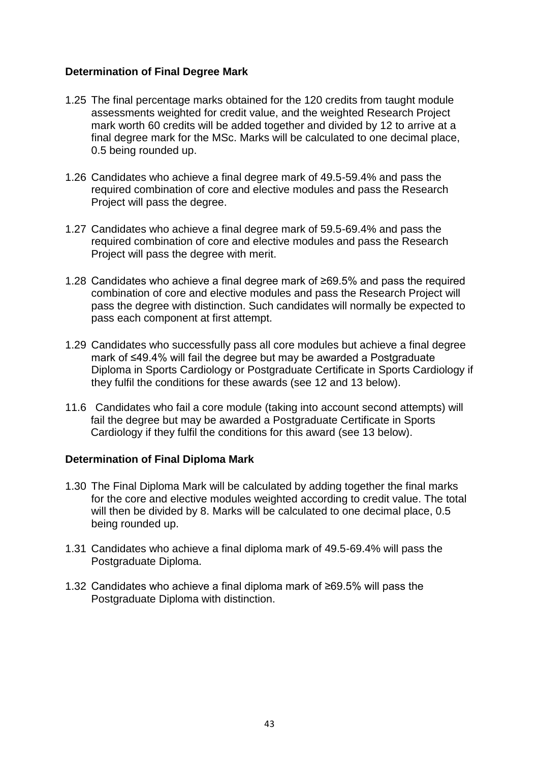#### **Determination of Final Degree Mark**

- 1.25 The final percentage marks obtained for the 120 credits from taught module assessments weighted for credit value, and the weighted Research Project mark worth 60 credits will be added together and divided by 12 to arrive at a final degree mark for the MSc. Marks will be calculated to one decimal place, 0.5 being rounded up.
- 1.26 Candidates who achieve a final degree mark of 49.5-59.4% and pass the required combination of core and elective modules and pass the Research Project will pass the degree.
- 1.27 Candidates who achieve a final degree mark of 59.5-69.4% and pass the required combination of core and elective modules and pass the Research Project will pass the degree with merit.
- 1.28 Candidates who achieve a final degree mark of ≥69.5% and pass the required combination of core and elective modules and pass the Research Project will pass the degree with distinction. Such candidates will normally be expected to pass each component at first attempt.
- 1.29 Candidates who successfully pass all core modules but achieve a final degree mark of ≤49.4% will fail the degree but may be awarded a Postgraduate Diploma in Sports Cardiology or Postgraduate Certificate in Sports Cardiology if they fulfil the conditions for these awards (see 12 and 13 below).
- 11.6 Candidates who fail a core module (taking into account second attempts) will fail the degree but may be awarded a Postgraduate Certificate in Sports Cardiology if they fulfil the conditions for this award (see 13 below).

#### **Determination of Final Diploma Mark**

- 1.30 The Final Diploma Mark will be calculated by adding together the final marks for the core and elective modules weighted according to credit value. The total will then be divided by 8. Marks will be calculated to one decimal place, 0.5 being rounded up.
- 1.31 Candidates who achieve a final diploma mark of 49.5-69.4% will pass the Postgraduate Diploma.
- 1.32 Candidates who achieve a final diploma mark of ≥69.5% will pass the Postgraduate Diploma with distinction.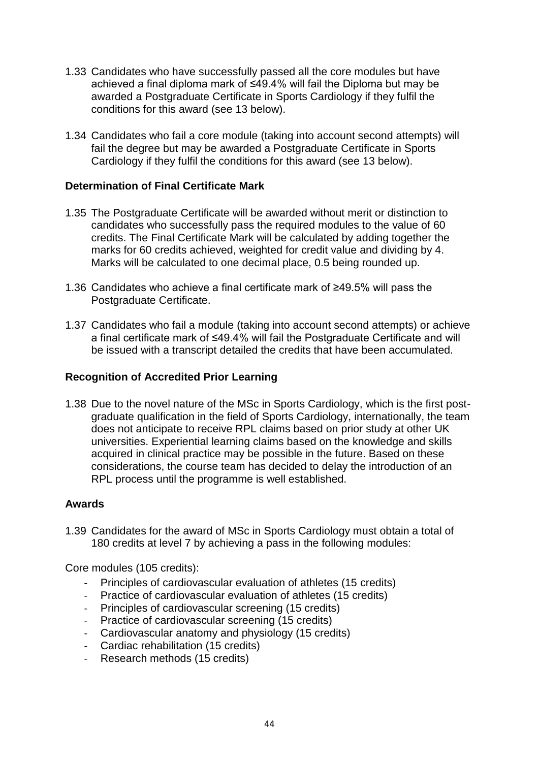- 1.33 Candidates who have successfully passed all the core modules but have achieved a final diploma mark of ≤49.4% will fail the Diploma but may be awarded a Postgraduate Certificate in Sports Cardiology if they fulfil the conditions for this award (see 13 below).
- 1.34 Candidates who fail a core module (taking into account second attempts) will fail the degree but may be awarded a Postgraduate Certificate in Sports Cardiology if they fulfil the conditions for this award (see 13 below).

#### **Determination of Final Certificate Mark**

- 1.35 The Postgraduate Certificate will be awarded without merit or distinction to candidates who successfully pass the required modules to the value of 60 credits. The Final Certificate Mark will be calculated by adding together the marks for 60 credits achieved, weighted for credit value and dividing by 4. Marks will be calculated to one decimal place, 0.5 being rounded up.
- 1.36 Candidates who achieve a final certificate mark of ≥49.5% will pass the Postgraduate Certificate.
- 1.37 Candidates who fail a module (taking into account second attempts) or achieve a final certificate mark of ≤49.4% will fail the Postgraduate Certificate and will be issued with a transcript detailed the credits that have been accumulated.

#### **Recognition of Accredited Prior Learning**

1.38 Due to the novel nature of the MSc in Sports Cardiology, which is the first postgraduate qualification in the field of Sports Cardiology, internationally, the team does not anticipate to receive RPL claims based on prior study at other UK universities. Experiential learning claims based on the knowledge and skills acquired in clinical practice may be possible in the future. Based on these considerations, the course team has decided to delay the introduction of an RPL process until the programme is well established.

#### **Awards**

1.39 Candidates for the award of MSc in Sports Cardiology must obtain a total of 180 credits at level 7 by achieving a pass in the following modules:

Core modules (105 credits):

- Principles of cardiovascular evaluation of athletes (15 credits)
- Practice of cardiovascular evaluation of athletes (15 credits)
- Principles of cardiovascular screening (15 credits)
- Practice of cardiovascular screening (15 credits)
- Cardiovascular anatomy and physiology (15 credits)
- Cardiac rehabilitation (15 credits)
- Research methods (15 credits)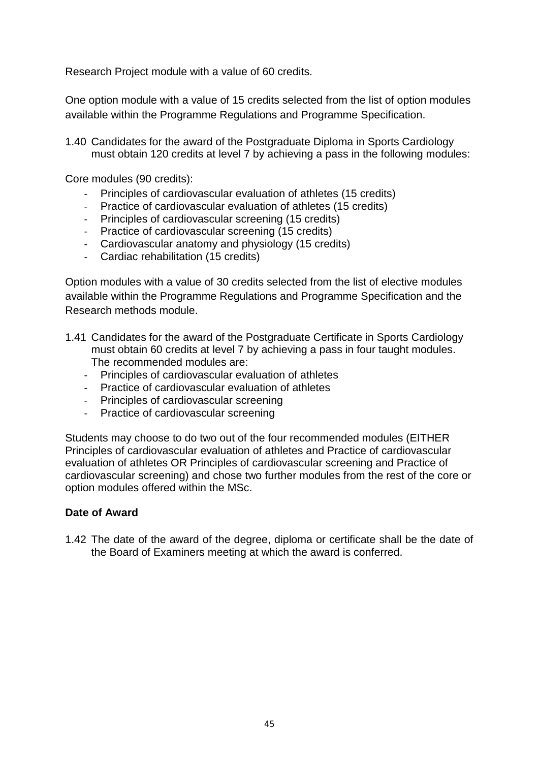Research Project module with a value of 60 credits.

One option module with a value of 15 credits selected from the list of option modules available within the Programme Regulations and Programme Specification.

1.40 Candidates for the award of the Postgraduate Diploma in Sports Cardiology must obtain 120 credits at level 7 by achieving a pass in the following modules:

Core modules (90 credits):

- Principles of cardiovascular evaluation of athletes (15 credits)
- Practice of cardiovascular evaluation of athletes (15 credits)
- Principles of cardiovascular screening (15 credits)
- Practice of cardiovascular screening (15 credits)
- Cardiovascular anatomy and physiology (15 credits)
- Cardiac rehabilitation (15 credits)

Option modules with a value of 30 credits selected from the list of elective modules available within the Programme Regulations and Programme Specification and the Research methods module.

- 1.41 Candidates for the award of the Postgraduate Certificate in Sports Cardiology must obtain 60 credits at level 7 by achieving a pass in four taught modules. The recommended modules are:
	- Principles of cardiovascular evaluation of athletes
	- Practice of cardiovascular evaluation of athletes
	- Principles of cardiovascular screening
	- Practice of cardiovascular screening

Students may choose to do two out of the four recommended modules (EITHER Principles of cardiovascular evaluation of athletes and Practice of cardiovascular evaluation of athletes OR Principles of cardiovascular screening and Practice of cardiovascular screening) and chose two further modules from the rest of the core or option modules offered within the MSc.

#### **Date of Award**

1.42 The date of the award of the degree, diploma or certificate shall be the date of the Board of Examiners meeting at which the award is conferred.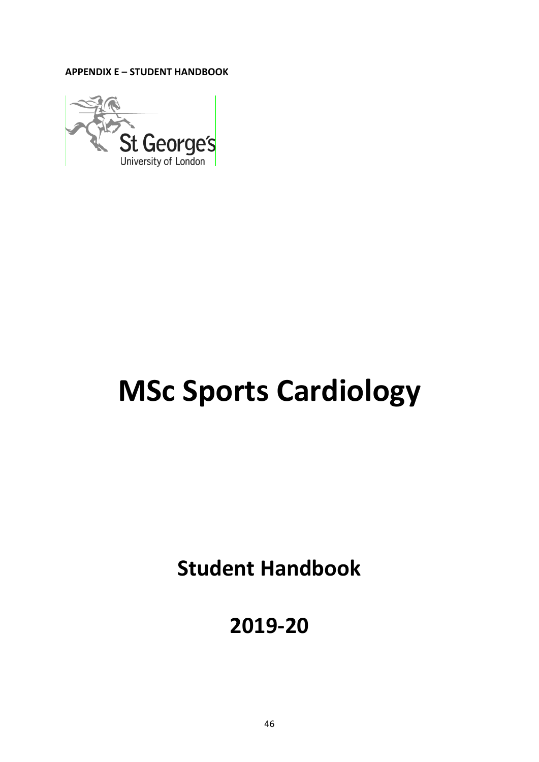**APPENDIX E – STUDENT HANDBOOK** 



# **MSc Sports Cardiology**

**Student Handbook**

**2019-20**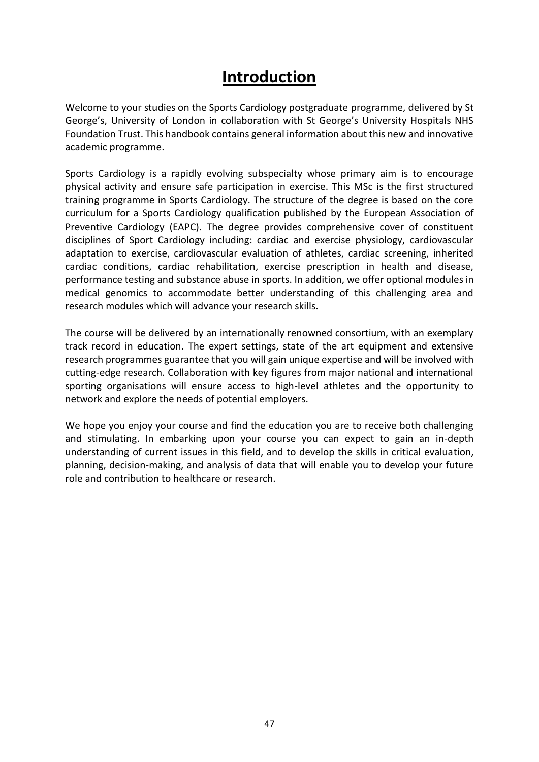# **Introduction**

Welcome to your studies on the Sports Cardiology postgraduate programme, delivered by St George's, University of London in collaboration with St George's University Hospitals NHS Foundation Trust. This handbook contains general information about this new and innovative academic programme.

Sports Cardiology is a rapidly evolving subspecialty whose primary aim is to encourage physical activity and ensure safe participation in exercise. This MSc is the first structured training programme in Sports Cardiology. The structure of the degree is based on the core curriculum for a Sports Cardiology qualification published by the European Association of Preventive Cardiology (EAPC). The degree provides comprehensive cover of constituent disciplines of Sport Cardiology including: cardiac and exercise physiology, cardiovascular adaptation to exercise, cardiovascular evaluation of athletes, cardiac screening, inherited cardiac conditions, cardiac rehabilitation, exercise prescription in health and disease, performance testing and substance abuse in sports. In addition, we offer optional modules in medical genomics to accommodate better understanding of this challenging area and research modules which will advance your research skills.

The course will be delivered by an internationally renowned consortium, with an exemplary track record in education. The expert settings, state of the art equipment and extensive research programmes guarantee that you will gain unique expertise and will be involved with cutting-edge research. Collaboration with key figures from major national and international sporting organisations will ensure access to high-level athletes and the opportunity to network and explore the needs of potential employers.

We hope you enjoy your course and find the education you are to receive both challenging and stimulating. In embarking upon your course you can expect to gain an in-depth understanding of current issues in this field, and to develop the skills in critical evaluation, planning, decision-making, and analysis of data that will enable you to develop your future role and contribution to healthcare or research.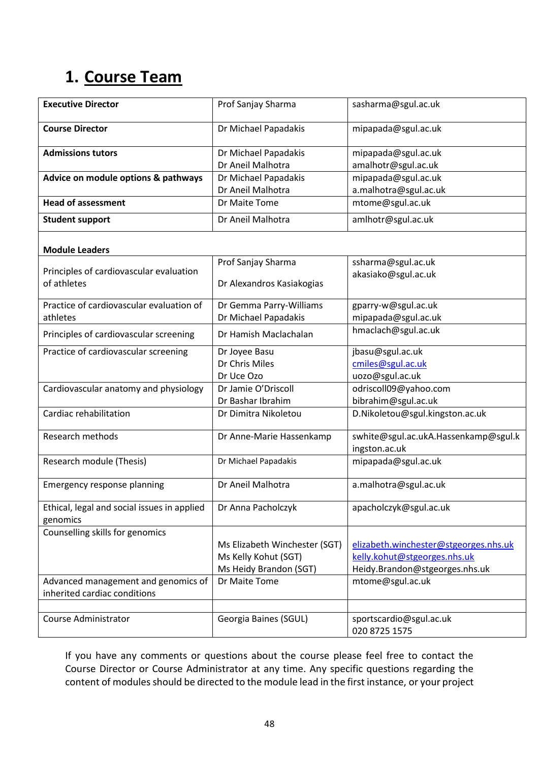# **1. Course Team**

| <b>Executive Director</b>                   | Prof Sanjay Sharma            | sasharma@sgul.ac.uk                   |
|---------------------------------------------|-------------------------------|---------------------------------------|
| <b>Course Director</b>                      | Dr Michael Papadakis          | mipapada@sgul.ac.uk                   |
| <b>Admissions tutors</b>                    | Dr Michael Papadakis          | mipapada@sgul.ac.uk                   |
|                                             | Dr Aneil Malhotra             | amalhotr@sgul.ac.uk                   |
| Advice on module options & pathways         | Dr Michael Papadakis          | mipapada@sgul.ac.uk                   |
|                                             | Dr Aneil Malhotra             | a.malhotra@sgul.ac.uk                 |
| <b>Head of assessment</b>                   | Dr Maite Tome                 | mtome@sgul.ac.uk                      |
| <b>Student support</b>                      | Dr Aneil Malhotra             | amlhotr@sgul.ac.uk                    |
| <b>Module Leaders</b>                       |                               |                                       |
|                                             | Prof Sanjay Sharma            | ssharma@sgul.ac.uk                    |
| Principles of cardiovascular evaluation     |                               | akasiako@sgul.ac.uk                   |
| of athletes                                 | Dr Alexandros Kasiakogias     |                                       |
| Practice of cardiovascular evaluation of    | Dr Gemma Parry-Williams       | gparry-w@sgul.ac.uk                   |
| athletes                                    | Dr Michael Papadakis          | mipapada@sgul.ac.uk                   |
| Principles of cardiovascular screening      | Dr Hamish Maclachalan         | hmaclach@sgul.ac.uk                   |
| Practice of cardiovascular screening        | Dr Joyee Basu                 | jbasu@sgul.ac.uk                      |
|                                             | Dr Chris Miles                | cmiles@sgul.ac.uk                     |
|                                             | Dr Uce Ozo                    | uozo@sgul.ac.uk                       |
| Cardiovascular anatomy and physiology       | Dr Jamie O'Driscoll           | odriscoll09@yahoo.com                 |
|                                             | Dr Bashar Ibrahim             | bibrahim@sgul.ac.uk                   |
| Cardiac rehabilitation                      | Dr Dimitra Nikoletou          | D.Nikoletou@sgul.kingston.ac.uk       |
| Research methods                            | Dr Anne-Marie Hassenkamp      | swhite@sgul.ac.ukA.Hassenkamp@sgul.k  |
|                                             |                               | ingston.ac.uk                         |
| Research module (Thesis)                    | Dr Michael Papadakis          | mipapada@sgul.ac.uk                   |
| Emergency response planning                 | Dr Aneil Malhotra             | a.malhotra@sgul.ac.uk                 |
| Ethical, legal and social issues in applied | Dr Anna Pacholczyk            | apacholczyk@sgul.ac.uk                |
| genomics<br>Counselling skills for genomics |                               |                                       |
|                                             | Ms Elizabeth Winchester (SGT) | elizabeth.winchester@stgeorges.nhs.uk |
|                                             | Ms Kelly Kohut (SGT)          | kelly.kohut@stgeorges.nhs.uk          |
|                                             | Ms Heidy Brandon (SGT)        | Heidy.Brandon@stgeorges.nhs.uk        |
| Advanced management and genomics of         | Dr Maite Tome                 | mtome@sgul.ac.uk                      |
| inherited cardiac conditions                |                               |                                       |
|                                             |                               |                                       |
| Course Administrator                        | Georgia Baines (SGUL)         | sportscardio@sgul.ac.uk               |
|                                             |                               | 020 8725 1575                         |

If you have any comments or questions about the course please feel free to contact the Course Director or Course Administrator at any time. Any specific questions regarding the content of modules should be directed to the module lead in the first instance, or your project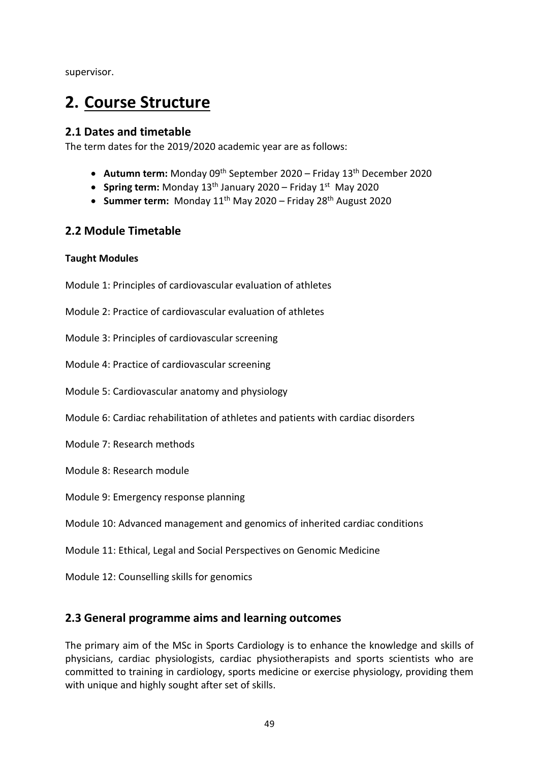supervisor.

# **2. Course Structure**

#### **2.1 Dates and timetable**

The term dates for the 2019/2020 academic year are as follows:

- **Autumn term:** Monday 09th September 2020 Friday 13th December 2020
- **Spring term:** Monday 13th January 2020 Friday 1st May 2020
- **Summer term:** Monday 11 th May 2020 Friday 28th August 2020

#### **2.2 Module Timetable**

#### **Taught Modules**

Module 1: Principles of cardiovascular evaluation of athletes

Module 2: Practice of cardiovascular evaluation of athletes

Module 3: Principles of cardiovascular screening

Module 4: Practice of cardiovascular screening

- Module 5: Cardiovascular anatomy and physiology
- Module 6: Cardiac rehabilitation of athletes and patients with cardiac disorders
- Module 7: Research methods
- Module 8: Research module
- Module 9: Emergency response planning

Module 10: Advanced management and genomics of inherited cardiac conditions

Module 11: Ethical, Legal and Social Perspectives on Genomic Medicine

Module 12: Counselling skills for genomics

#### **2.3 General programme aims and learning outcomes**

The primary aim of the MSc in Sports Cardiology is to enhance the knowledge and skills of physicians, cardiac physiologists, cardiac physiotherapists and sports scientists who are committed to training in cardiology, sports medicine or exercise physiology, providing them with unique and highly sought after set of skills.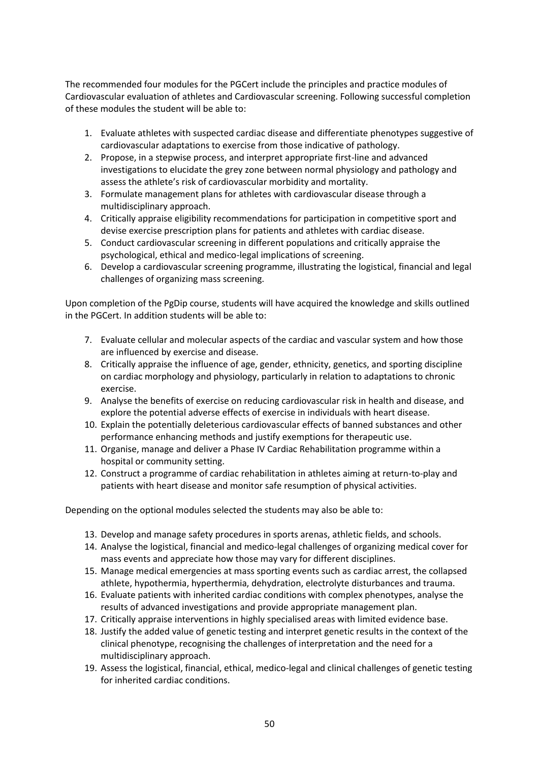The recommended four modules for the PGCert include the principles and practice modules of Cardiovascular evaluation of athletes and Cardiovascular screening. Following successful completion of these modules the student will be able to:

- 1. Evaluate athletes with suspected cardiac disease and differentiate phenotypes suggestive of cardiovascular adaptations to exercise from those indicative of pathology.
- 2. Propose, in a stepwise process, and interpret appropriate first-line and advanced investigations to elucidate the grey zone between normal physiology and pathology and assess the athlete's risk of cardiovascular morbidity and mortality.
- 3. Formulate management plans for athletes with cardiovascular disease through a multidisciplinary approach.
- 4. Critically appraise eligibility recommendations for participation in competitive sport and devise exercise prescription plans for patients and athletes with cardiac disease.
- 5. Conduct cardiovascular screening in different populations and critically appraise the psychological, ethical and medico-legal implications of screening.
- 6. Develop a cardiovascular screening programme, illustrating the logistical, financial and legal challenges of organizing mass screening.

Upon completion of the PgDip course, students will have acquired the knowledge and skills outlined in the PGCert. In addition students will be able to:

- 7. Evaluate cellular and molecular aspects of the cardiac and vascular system and how those are influenced by exercise and disease.
- 8. Critically appraise the influence of age, gender, ethnicity, genetics, and sporting discipline on cardiac morphology and physiology, particularly in relation to adaptations to chronic exercise.
- 9. Analyse the benefits of exercise on reducing cardiovascular risk in health and disease, and explore the potential adverse effects of exercise in individuals with heart disease.
- 10. Explain the potentially deleterious cardiovascular effects of banned substances and other performance enhancing methods and justify exemptions for therapeutic use.
- 11. Organise, manage and deliver a Phase IV Cardiac Rehabilitation programme within a hospital or community setting.
- 12. Construct a programme of cardiac rehabilitation in athletes aiming at return-to-play and patients with heart disease and monitor safe resumption of physical activities.

Depending on the optional modules selected the students may also be able to:

- 13. Develop and manage safety procedures in sports arenas, athletic fields, and schools.
- 14. Analyse the logistical, financial and medico-legal challenges of organizing medical cover for mass events and appreciate how those may vary for different disciplines.
- 15. Manage medical emergencies at mass sporting events such as cardiac arrest, the collapsed athlete, hypothermia, hyperthermia, dehydration, electrolyte disturbances and trauma.
- 16. Evaluate patients with inherited cardiac conditions with complex phenotypes, analyse the results of advanced investigations and provide appropriate management plan.
- 17. Critically appraise interventions in highly specialised areas with limited evidence base.
- 18. Justify the added value of genetic testing and interpret genetic results in the context of the clinical phenotype, recognising the challenges of interpretation and the need for a multidisciplinary approach.
- 19. Assess the logistical, financial, ethical, medico-legal and clinical challenges of genetic testing for inherited cardiac conditions.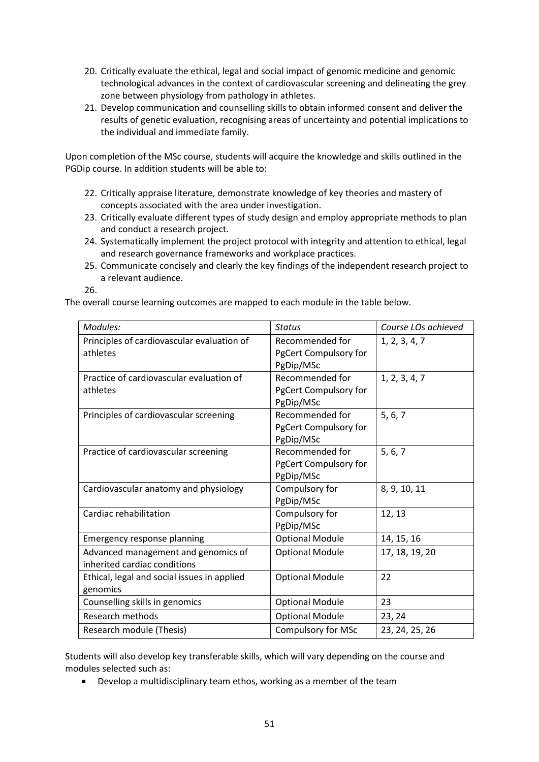- 20. Critically evaluate the ethical, legal and social impact of genomic medicine and genomic technological advances in the context of cardiovascular screening and delineating the grey zone between physiology from pathology in athletes.
- 21. Develop communication and counselling skills to obtain informed consent and deliver the results of genetic evaluation, recognising areas of uncertainty and potential implications to the individual and immediate family.

Upon completion of the MSc course, students will acquire the knowledge and skills outlined in the PGDip course. In addition students will be able to:

- 22. Critically appraise literature, demonstrate knowledge of key theories and mastery of concepts associated with the area under investigation.
- 23. Critically evaluate different types of study design and employ appropriate methods to plan and conduct a research project.
- 24. Systematically implement the project protocol with integrity and attention to ethical, legal and research governance frameworks and workplace practices.
- 25. Communicate concisely and clearly the key findings of the independent research project to a relevant audience.

26.

The overall course learning outcomes are mapped to each module in the table below.

| Modules:                                                            | <b>Status</b>                                         | Course LOs achieved |
|---------------------------------------------------------------------|-------------------------------------------------------|---------------------|
| Principles of cardiovascular evaluation of<br>athletes              | Recommended for<br>PgCert Compulsory for<br>PgDip/MSc | 1, 2, 3, 4, 7       |
| Practice of cardiovascular evaluation of<br>athletes                | Recommended for<br>PgCert Compulsory for<br>PgDip/MSc | 1, 2, 3, 4, 7       |
| Principles of cardiovascular screening                              | Recommended for<br>PgCert Compulsory for<br>PgDip/MSc | 5, 6, 7             |
| Practice of cardiovascular screening                                | Recommended for<br>PgCert Compulsory for<br>PgDip/MSc | 5, 6, 7             |
| Cardiovascular anatomy and physiology                               | Compulsory for<br>PgDip/MSc                           | 8, 9, 10, 11        |
| Cardiac rehabilitation                                              | Compulsory for<br>PgDip/MSc                           | 12, 13              |
| Emergency response planning                                         | <b>Optional Module</b>                                | 14, 15, 16          |
| Advanced management and genomics of<br>inherited cardiac conditions | <b>Optional Module</b>                                | 17, 18, 19, 20      |
| Ethical, legal and social issues in applied<br>genomics             | <b>Optional Module</b>                                | 22                  |
| Counselling skills in genomics                                      | <b>Optional Module</b>                                | 23                  |
| <b>Research methods</b>                                             | <b>Optional Module</b>                                | 23, 24              |
| Research module (Thesis)                                            | <b>Compulsory for MSc</b>                             | 23, 24, 25, 26      |

Students will also develop key transferable skills, which will vary depending on the course and modules selected such as:

• Develop a multidisciplinary team ethos, working as a member of the team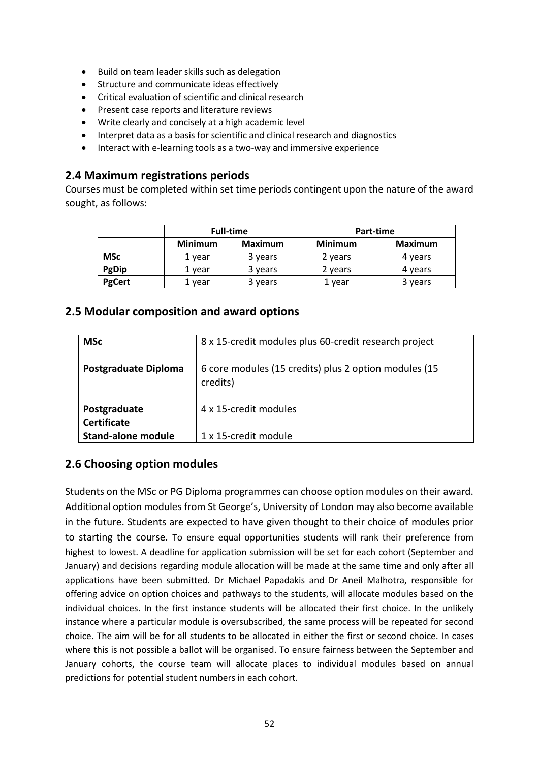- Build on team leader skills such as delegation
- Structure and communicate ideas effectively
- Critical evaluation of scientific and clinical research
- Present case reports and literature reviews
- Write clearly and concisely at a high academic level
- Interpret data as a basis for scientific and clinical research and diagnostics
- Interact with e-learning tools as a two-way and immersive experience

#### **2.4 Maximum registrations periods**

Courses must be completed within set time periods contingent upon the nature of the award sought, as follows:

|               | <b>Full-time</b> |                | Part-time      |                |  |
|---------------|------------------|----------------|----------------|----------------|--|
|               | <b>Minimum</b>   | <b>Maximum</b> | <b>Minimum</b> | <b>Maximum</b> |  |
| <b>MSc</b>    | 1 vear           | 3 years        | 2 years        | 4 years        |  |
| PgDip         | 1 year           | 3 years        | 2 years        | 4 years        |  |
| <b>PgCert</b> | vear             | 3 years        | 1 vear         | 3 years        |  |

#### **2.5 Modular composition and award options**

| <b>MSc</b>                         | 8 x 15-credit modules plus 60-credit research project             |
|------------------------------------|-------------------------------------------------------------------|
| <b>Postgraduate Diploma</b>        | 6 core modules (15 credits) plus 2 option modules (15<br>credits) |
| Postgraduate<br><b>Certificate</b> | 4 x 15-credit modules                                             |
| <b>Stand-alone module</b>          | 1 x 15-credit module                                              |

#### **2.6 Choosing option modules**

Students on the MSc or PG Diploma programmes can choose option modules on their award. Additional option modules from St George's, University of London may also become available in the future. Students are expected to have given thought to their choice of modules prior to starting the course. To ensure equal opportunities students will rank their preference from highest to lowest. A deadline for application submission will be set for each cohort (September and January) and decisions regarding module allocation will be made at the same time and only after all applications have been submitted. Dr Michael Papadakis and Dr Aneil Malhotra, responsible for offering advice on option choices and pathways to the students, will allocate modules based on the individual choices. In the first instance students will be allocated their first choice. In the unlikely instance where a particular module is oversubscribed, the same process will be repeated for second choice. The aim will be for all students to be allocated in either the first or second choice. In cases where this is not possible a ballot will be organised. To ensure fairness between the September and January cohorts, the course team will allocate places to individual modules based on annual predictions for potential student numbers in each cohort.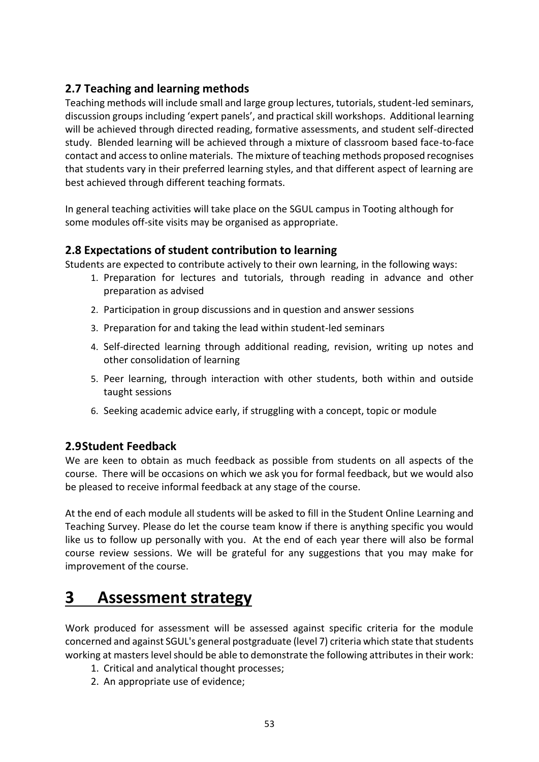### **2.7 Teaching and learning methods**

Teaching methods will include small and large group lectures, tutorials, student-led seminars, discussion groups including 'expert panels', and practical skill workshops. Additional learning will be achieved through directed reading, formative assessments, and student self-directed study. Blended learning will be achieved through a mixture of classroom based face-to-face contact and access to online materials. The mixture of teaching methods proposed recognises that students vary in their preferred learning styles, and that different aspect of learning are best achieved through different teaching formats.

In general teaching activities will take place on the SGUL campus in Tooting although for some modules off-site visits may be organised as appropriate.

#### **2.8 Expectations of student contribution to learning**

Students are expected to contribute actively to their own learning, in the following ways:

- 1. Preparation for lectures and tutorials, through reading in advance and other preparation as advised
- 2. Participation in group discussions and in question and answer sessions
- 3. Preparation for and taking the lead within student-led seminars
- 4. Self-directed learning through additional reading, revision, writing up notes and other consolidation of learning
- 5. Peer learning, through interaction with other students, both within and outside taught sessions
- 6. Seeking academic advice early, if struggling with a concept, topic or module

#### **2.9Student Feedback**

We are keen to obtain as much feedback as possible from students on all aspects of the course. There will be occasions on which we ask you for formal feedback, but we would also be pleased to receive informal feedback at any stage of the course.

At the end of each module all students will be asked to fill in the Student Online Learning and Teaching Survey. Please do let the course team know if there is anything specific you would like us to follow up personally with you. At the end of each year there will also be formal course review sessions. We will be grateful for any suggestions that you may make for improvement of the course.

# **3 Assessment strategy**

Work produced for assessment will be assessed against specific criteria for the module concerned and against SGUL's general postgraduate (level 7) criteria which state that students working at masters level should be able to demonstrate the following attributes in their work:

- 1. Critical and analytical thought processes;
- 2. An appropriate use of evidence;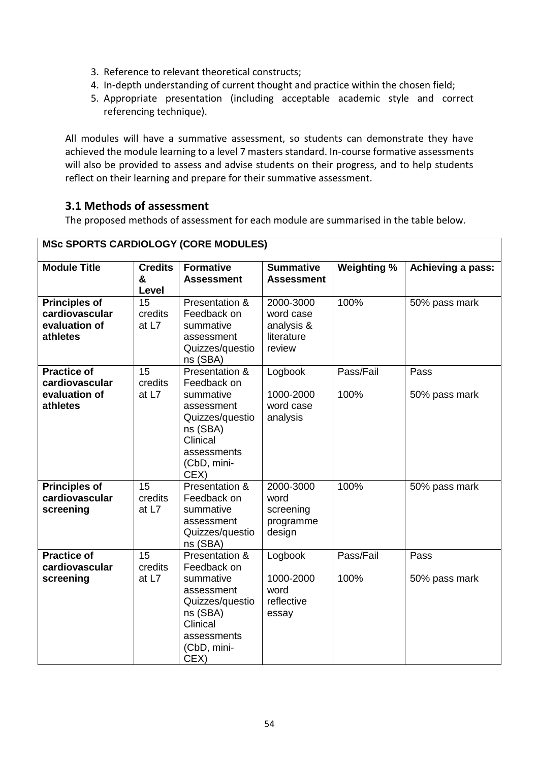- 3. Reference to relevant theoretical constructs;
- 4. In-depth understanding of current thought and practice within the chosen field;
- 5. Appropriate presentation (including acceptable academic style and correct referencing technique).

All modules will have a summative assessment, so students can demonstrate they have achieved the module learning to a level 7 masters standard. In-course formative assessments will also be provided to assess and advise students on their progress, and to help students reflect on their learning and prepare for their summative assessment.

#### **3.1 Methods of assessment**

The proposed methods of assessment for each module are summarised in the table below.

٦

| <b>MOC OF ORTO OARDIOLOG F (OORL MODULLO)</b>                       |                              |                                                                                                                                           |                                                              |                    |                       |
|---------------------------------------------------------------------|------------------------------|-------------------------------------------------------------------------------------------------------------------------------------------|--------------------------------------------------------------|--------------------|-----------------------|
| <b>Module Title</b>                                                 | <b>Credits</b><br>&<br>Level | <b>Formative</b><br><b>Assessment</b>                                                                                                     | <b>Summative</b><br><b>Assessment</b>                        | <b>Weighting %</b> | Achieving a pass:     |
| <b>Principles of</b><br>cardiovascular<br>evaluation of<br>athletes | 15<br>credits<br>at L7       | Presentation &<br>Feedback on<br>summative<br>assessment<br>Quizzes/questio<br>ns (SBA)                                                   | 2000-3000<br>word case<br>analysis &<br>literature<br>review | 100%               | 50% pass mark         |
| <b>Practice of</b><br>cardiovascular<br>evaluation of<br>athletes   | 15<br>credits<br>at L7       | Presentation &<br>Feedback on<br>summative<br>assessment<br>Quizzes/questio<br>ns (SBA)<br>Clinical<br>assessments<br>(CbD, mini-<br>CEX) | Logbook<br>1000-2000<br>word case<br>analysis                | Pass/Fail<br>100%  | Pass<br>50% pass mark |
| <b>Principles of</b><br>cardiovascular<br>screening                 | 15<br>credits<br>at $L7$     | Presentation &<br>Feedback on<br>summative<br>assessment<br>Quizzes/questio<br>ns (SBA)                                                   | 2000-3000<br>word<br>screening<br>programme<br>design        | 100%               | 50% pass mark         |
| <b>Practice of</b><br>cardiovascular<br>screening                   | 15<br>credits<br>at L7       | Presentation &<br>Feedback on<br>summative<br>assessment<br>Quizzes/questio<br>ns (SBA)<br>Clinical<br>assessments<br>(CbD, mini-<br>CEX) | Logbook<br>1000-2000<br>word<br>reflective<br>essay          | Pass/Fail<br>100%  | Pass<br>50% pass mark |

# **MSc SPORTS CARDIOLOGY (CORE MODULES)**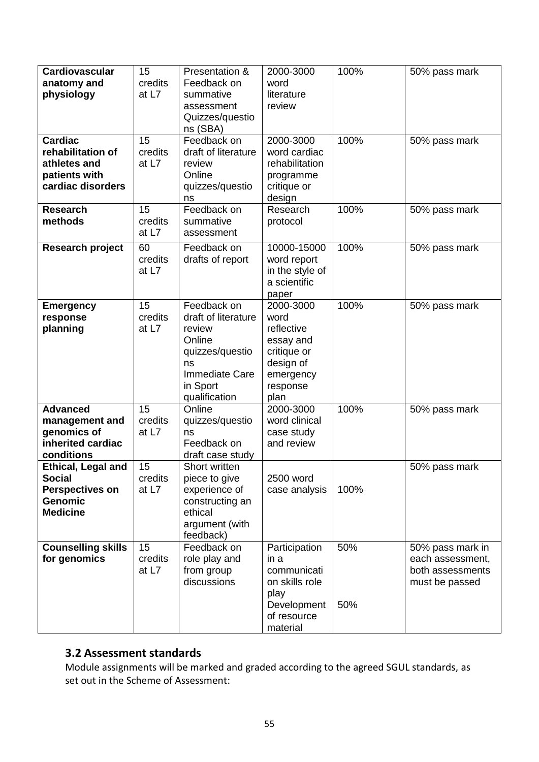| <b>Cardiovascular</b><br>anatomy and<br>physiology                                                        | 15<br>credits<br>at L7   | Presentation &<br>Feedback on<br>summative<br>assessment<br>Quizzes/questio<br>ns (SBA)                                        | 2000-3000<br>word<br>literature<br>review                                                                 | 100%       | 50% pass mark                                                              |
|-----------------------------------------------------------------------------------------------------------|--------------------------|--------------------------------------------------------------------------------------------------------------------------------|-----------------------------------------------------------------------------------------------------------|------------|----------------------------------------------------------------------------|
| <b>Cardiac</b><br>rehabilitation of<br>athletes and<br>patients with<br>cardiac disorders                 | 15<br>credits<br>at $L7$ | Feedback on<br>draft of literature<br>review<br>Online<br>quizzes/questio<br>ns                                                | 2000-3000<br>word cardiac<br>rehabilitation<br>programme<br>critique or<br>design                         | 100%       | 50% pass mark                                                              |
| <b>Research</b><br>methods                                                                                | 15<br>credits<br>at L7   | Feedback on<br>summative<br>assessment                                                                                         | Research<br>protocol                                                                                      | 100%       | 50% pass mark                                                              |
| Research project                                                                                          | 60<br>credits<br>at L7   | Feedback on<br>drafts of report                                                                                                | 10000-15000<br>word report<br>in the style of<br>a scientific<br>paper                                    | 100%       | 50% pass mark                                                              |
| <b>Emergency</b><br>response<br>planning                                                                  | 15<br>credits<br>at $L7$ | Feedback on<br>draft of literature<br>review<br>Online<br>quizzes/questio<br>ns<br>Immediate Care<br>in Sport<br>qualification | 2000-3000<br>word<br>reflective<br>essay and<br>critique or<br>design of<br>emergency<br>response<br>plan | 100%       | 50% pass mark                                                              |
| <b>Advanced</b><br>management and<br>genomics of<br>inherited cardiac<br>conditions                       | 15<br>credits<br>at $L7$ | Online<br>quizzes/questio<br>ns<br>Feedback on<br>draft case study                                                             | 2000-3000<br>word clinical<br>case study<br>and review                                                    | 100%       | 50% pass mark                                                              |
| <b>Ethical, Legal and</b><br><b>Social</b><br><b>Perspectives on</b><br><b>Genomic</b><br><b>Medicine</b> | 15<br>credits<br>at $L7$ | Short written<br>piece to give<br>experience of<br>constructing an<br>ethical<br>argument (with<br>feedback)                   | 2500 word<br>case analysis                                                                                | 100%       | 50% pass mark                                                              |
| <b>Counselling skills</b><br>for genomics                                                                 | 15<br>credits<br>at $L7$ | Feedback on<br>role play and<br>from group<br>discussions                                                                      | Participation<br>in a<br>communicati<br>on skills role<br>play<br>Development<br>of resource<br>material  | 50%<br>50% | 50% pass mark in<br>each assessment,<br>both assessments<br>must be passed |

### **3.2 Assessment standards**

Module assignments will be marked and graded according to the agreed SGUL standards, as set out in the Scheme of Assessment: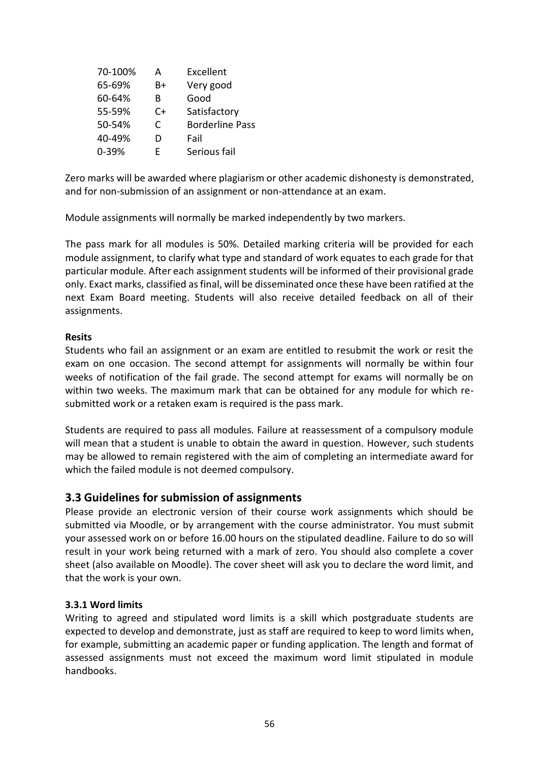| 70-100% | А  | Excellent              |
|---------|----|------------------------|
| 65-69%  | B+ | Very good              |
| 60-64%  | В  | Good                   |
| 55-59%  | C+ | Satisfactory           |
| 50-54%  | C  | <b>Borderline Pass</b> |
| 40-49%  | D  | Fail                   |
| 0-39%   | F  | Serious fail           |

Zero marks will be awarded where plagiarism or other academic dishonesty is demonstrated, and for non-submission of an assignment or non-attendance at an exam.

Module assignments will normally be marked independently by two markers.

The pass mark for all modules is 50%. Detailed marking criteria will be provided for each module assignment, to clarify what type and standard of work equates to each grade for that particular module. After each assignment students will be informed of their provisional grade only. Exact marks, classified as final, will be disseminated once these have been ratified at the next Exam Board meeting. Students will also receive detailed feedback on all of their assignments.

#### **Resits**

Students who fail an assignment or an exam are entitled to resubmit the work or resit the exam on one occasion. The second attempt for assignments will normally be within four weeks of notification of the fail grade. The second attempt for exams will normally be on within two weeks. The maximum mark that can be obtained for any module for which resubmitted work or a retaken exam is required is the pass mark.

Students are required to pass all modules. Failure at reassessment of a compulsory module will mean that a student is unable to obtain the award in question. However, such students may be allowed to remain registered with the aim of completing an intermediate award for which the failed module is not deemed compulsory.

#### **3.3 Guidelines for submission of assignments**

Please provide an electronic version of their course work assignments which should be submitted via Moodle, or by arrangement with the course administrator. You must submit your assessed work on or before 16.00 hours on the stipulated deadline. Failure to do so will result in your work being returned with a mark of zero. You should also complete a cover sheet (also available on Moodle). The cover sheet will ask you to declare the word limit, and that the work is your own.

#### **3.3.1 Word limits**

Writing to agreed and stipulated word limits is a skill which postgraduate students are expected to develop and demonstrate, just as staff are required to keep to word limits when, for example, submitting an academic paper or funding application. The length and format of assessed assignments must not exceed the maximum word limit stipulated in module handbooks.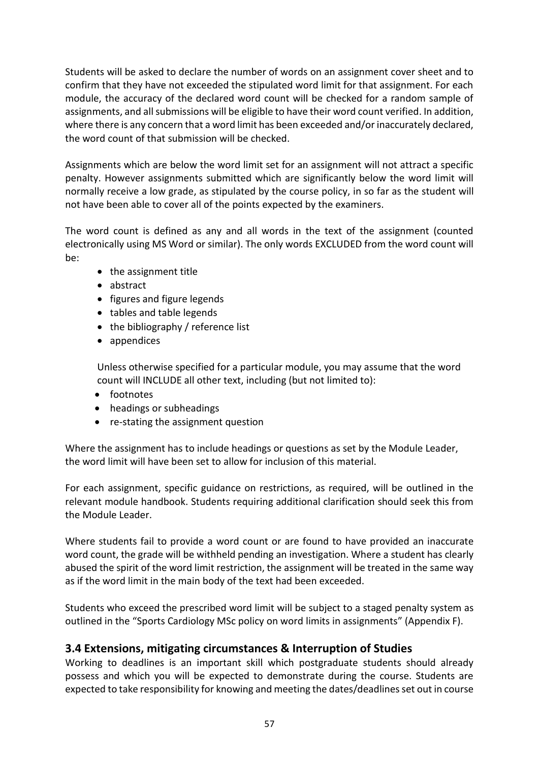Students will be asked to declare the number of words on an assignment cover sheet and to confirm that they have not exceeded the stipulated word limit for that assignment. For each module, the accuracy of the declared word count will be checked for a random sample of assignments, and all submissions will be eligible to have their word count verified. In addition, where there is any concern that a word limit has been exceeded and/or inaccurately declared, the word count of that submission will be checked.

Assignments which are below the word limit set for an assignment will not attract a specific penalty. However assignments submitted which are significantly below the word limit will normally receive a low grade, as stipulated by the course policy, in so far as the student will not have been able to cover all of the points expected by the examiners.

The word count is defined as any and all words in the text of the assignment (counted electronically using MS Word or similar). The only words EXCLUDED from the word count will be:

- the assignment title
- abstract
- figures and figure legends
- tables and table legends
- the bibliography / reference list
- appendices

Unless otherwise specified for a particular module, you may assume that the word count will INCLUDE all other text, including (but not limited to):

- footnotes
- headings or subheadings
- re-stating the assignment question

Where the assignment has to include headings or questions as set by the Module Leader, the word limit will have been set to allow for inclusion of this material.

For each assignment, specific guidance on restrictions, as required, will be outlined in the relevant module handbook. Students requiring additional clarification should seek this from the Module Leader.

Where students fail to provide a word count or are found to have provided an inaccurate word count, the grade will be withheld pending an investigation. Where a student has clearly abused the spirit of the word limit restriction, the assignment will be treated in the same way as if the word limit in the main body of the text had been exceeded.

Students who exceed the prescribed word limit will be subject to a staged penalty system as outlined in the "Sports Cardiology MSc policy on word limits in assignments" (Appendix F).

#### **3.4 Extensions, mitigating circumstances & Interruption of Studies**

Working to deadlines is an important skill which postgraduate students should already possess and which you will be expected to demonstrate during the course. Students are expected to take responsibility for knowing and meeting the dates/deadlines set out in course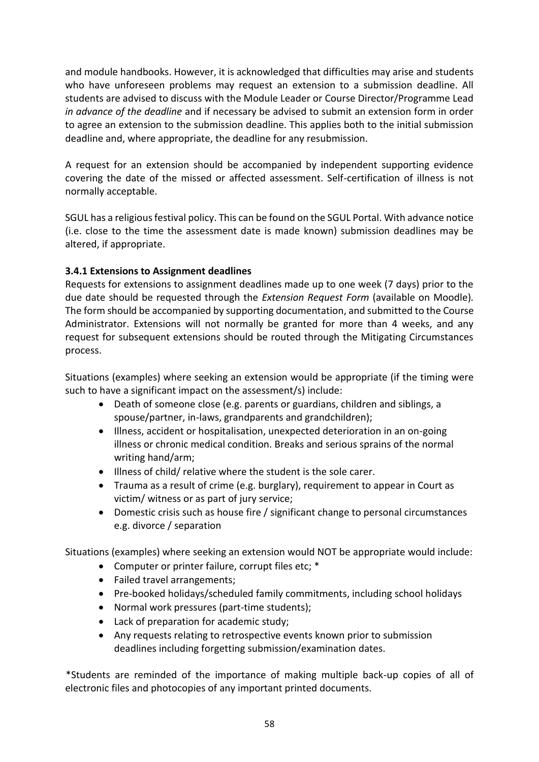and module handbooks. However, it is acknowledged that difficulties may arise and students who have unforeseen problems may request an extension to a submission deadline. All students are advised to discuss with the Module Leader or Course Director/Programme Lead *in advance of the deadline* and if necessary be advised to submit an extension form in order to agree an extension to the submission deadline. This applies both to the initial submission deadline and, where appropriate, the deadline for any resubmission.

A request for an extension should be accompanied by independent supporting evidence covering the date of the missed or affected assessment. Self-certification of illness is not normally acceptable.

SGUL has a religious festival policy. This can be found on the SGUL Portal. With advance notice (i.e. close to the time the assessment date is made known) submission deadlines may be altered, if appropriate.

#### **3.4.1 Extensions to Assignment deadlines**

Requests for extensions to assignment deadlines made up to one week (7 days) prior to the due date should be requested through the *Extension Request Form* (available on Moodle)*.* The form should be accompanied by supporting documentation, and submitted to the Course Administrator. Extensions will not normally be granted for more than 4 weeks, and any request for subsequent extensions should be routed through the Mitigating Circumstances process.

Situations (examples) where seeking an extension would be appropriate (if the timing were such to have a significant impact on the assessment/s) include:

- Death of someone close (e.g. parents or guardians, children and siblings, a spouse/partner, in-laws, grandparents and grandchildren);
- Illness, accident or hospitalisation, unexpected deterioration in an on-going illness or chronic medical condition. Breaks and serious sprains of the normal writing hand/arm;
- Illness of child/ relative where the student is the sole carer.
- Trauma as a result of crime (e.g. burglary), requirement to appear in Court as victim/ witness or as part of jury service;
- Domestic crisis such as house fire / significant change to personal circumstances e.g. divorce / separation

Situations (examples) where seeking an extension would NOT be appropriate would include:

- Computer or printer failure, corrupt files etc; \*
- Failed travel arrangements;
- Pre-booked holidays/scheduled family commitments, including school holidays
- Normal work pressures (part-time students);
- Lack of preparation for academic study;
- Any requests relating to retrospective events known prior to submission deadlines including forgetting submission/examination dates.

\*Students are reminded of the importance of making multiple back-up copies of all of electronic files and photocopies of any important printed documents.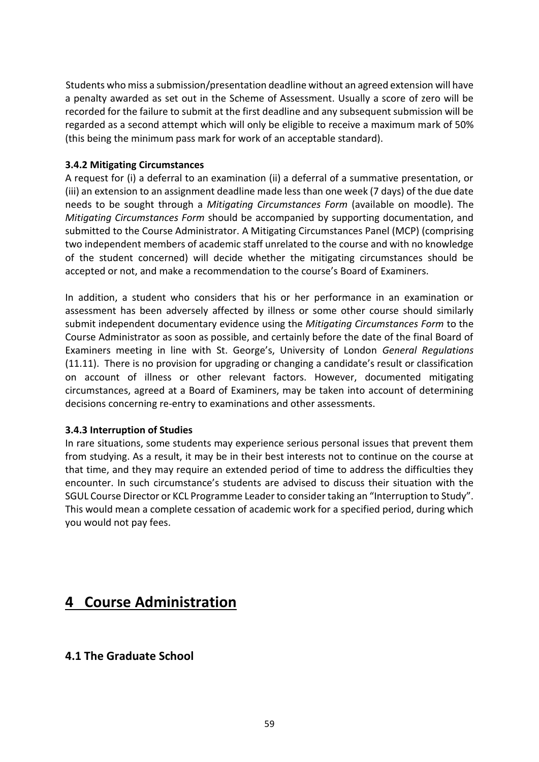Students who miss a submission/presentation deadline without an agreed extension will have a penalty awarded as set out in the Scheme of Assessment. Usually a score of zero will be recorded for the failure to submit at the first deadline and any subsequent submission will be regarded as a second attempt which will only be eligible to receive a maximum mark of 50% (this being the minimum pass mark for work of an acceptable standard).

#### **3.4.2 Mitigating Circumstances**

A request for (i) a deferral to an examination (ii) a deferral of a summative presentation, or (iii) an extension to an assignment deadline made less than one week (7 days) of the due date needs to be sought through a *Mitigating Circumstances Form* (available on moodle). The *Mitigating Circumstances Form* should be accompanied by supporting documentation, and submitted to the Course Administrator. A Mitigating Circumstances Panel (MCP) (comprising two independent members of academic staff unrelated to the course and with no knowledge of the student concerned) will decide whether the mitigating circumstances should be accepted or not, and make a recommendation to the course's Board of Examiners.

In addition, a student who considers that his or her performance in an examination or assessment has been adversely affected by illness or some other course should similarly submit independent documentary evidence using the *Mitigating Circumstances Form* to the Course Administrator as soon as possible, and certainly before the date of the final Board of Examiners meeting in line with St. George's, University of London *General Regulations* (11.11). There is no provision for upgrading or changing a candidate's result or classification on account of illness or other relevant factors. However, documented mitigating circumstances, agreed at a Board of Examiners, may be taken into account of determining decisions concerning re-entry to examinations and other assessments.

#### **3.4.3 Interruption of Studies**

In rare situations, some students may experience serious personal issues that prevent them from studying. As a result, it may be in their best interests not to continue on the course at that time, and they may require an extended period of time to address the difficulties they encounter. In such circumstance's students are advised to discuss their situation with the SGUL Course Director or KCL Programme Leader to consider taking an "Interruption to Study". This would mean a complete cessation of academic work for a specified period, during which you would not pay fees.

### **4 Course Administration**

#### **4.1 The Graduate School**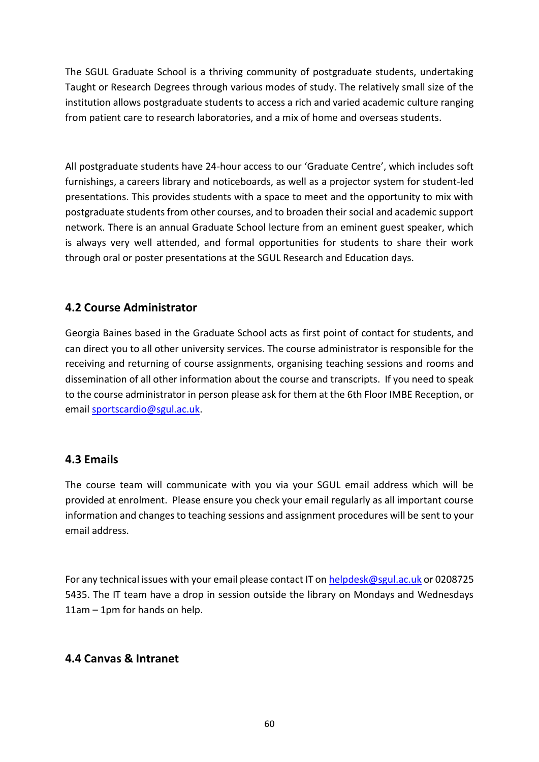The SGUL Graduate School is a thriving community of postgraduate students, undertaking Taught or Research Degrees through various modes of study. The relatively small size of the institution allows postgraduate students to access a rich and varied academic culture ranging from patient care to research laboratories, and a mix of home and overseas students.

All postgraduate students have 24-hour access to our 'Graduate Centre', which includes soft furnishings, a careers library and noticeboards, as well as a projector system for student-led presentations. This provides students with a space to meet and the opportunity to mix with postgraduate students from other courses, and to broaden their social and academic support network. There is an annual Graduate School lecture from an eminent guest speaker, which is always very well attended, and formal opportunities for students to share their work through oral or poster presentations at the SGUL Research and Education days.

#### **4.2 Course Administrator**

Georgia Baines based in the Graduate School acts as first point of contact for students, and can direct you to all other university services. The course administrator is responsible for the receiving and returning of course assignments, organising teaching sessions and rooms and dissemination of all other information about the course and transcripts. If you need to speak to the course administrator in person please ask for them at the 6th Floor IMBE Reception, or email [sportscardio@sgul.ac.uk.](mailto:sportscardio@sgul.ac.uk)

#### **4.3 Emails**

The course team will communicate with you via your SGUL email address which will be provided at enrolment. Please ensure you check your email regularly as all important course information and changes to teaching sessions and assignment procedures will be sent to your email address.

For any technical issues with your email please contact IT on [helpdesk@sgul.ac.uk](mailto:helpdesk@sgul.ac.uk) or 0208725 5435. The IT team have a drop in session outside the library on Mondays and Wednesdays 11am – 1pm for hands on help.

#### **4.4 Canvas & Intranet**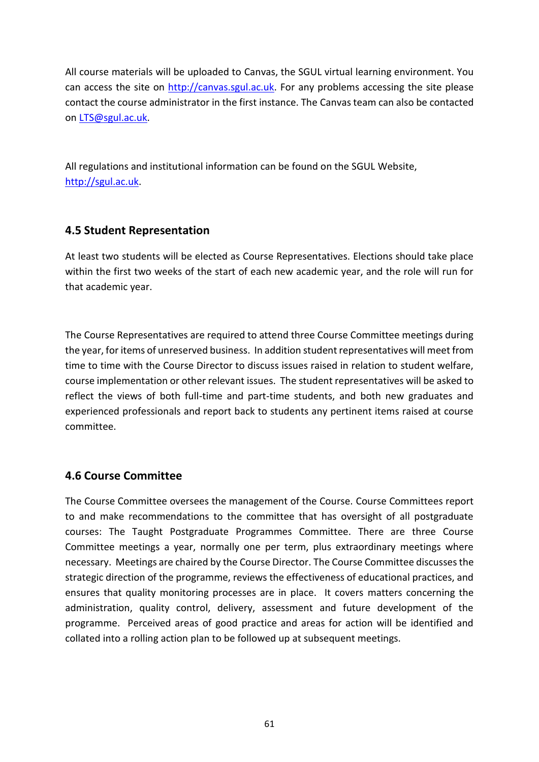All course materials will be uploaded to Canvas, the SGUL virtual learning environment. You can access the site on [http://canvas.sgul.ac.uk.](http://canvas.sgul.ac.uk/) For any problems accessing the site please contact the course administrator in the first instance. The Canvas team can also be contacted on [LTS@sgul.ac.uk.](mailto:moodle@sgul.ac.uk)

All regulations and institutional information can be found on the SGUL Website, [http://sgul.ac.uk.](http://sgul.ac.uk/)

#### **4.5 Student Representation**

At least two students will be elected as Course Representatives. Elections should take place within the first two weeks of the start of each new academic year, and the role will run for that academic year.

The Course Representatives are required to attend three Course Committee meetings during the year, for items of unreserved business. In addition student representatives will meet from time to time with the Course Director to discuss issues raised in relation to student welfare, course implementation or other relevant issues. The student representatives will be asked to reflect the views of both full-time and part-time students, and both new graduates and experienced professionals and report back to students any pertinent items raised at course committee.

#### **4.6 Course Committee**

The Course Committee oversees the management of the Course. Course Committees report to and make recommendations to the committee that has oversight of all postgraduate courses: The Taught Postgraduate Programmes Committee. There are three Course Committee meetings a year, normally one per term, plus extraordinary meetings where necessary. Meetings are chaired by the Course Director. The Course Committee discusses the strategic direction of the programme, reviews the effectiveness of educational practices, and ensures that quality monitoring processes are in place. It covers matters concerning the administration, quality control, delivery, assessment and future development of the programme. Perceived areas of good practice and areas for action will be identified and collated into a rolling action plan to be followed up at subsequent meetings.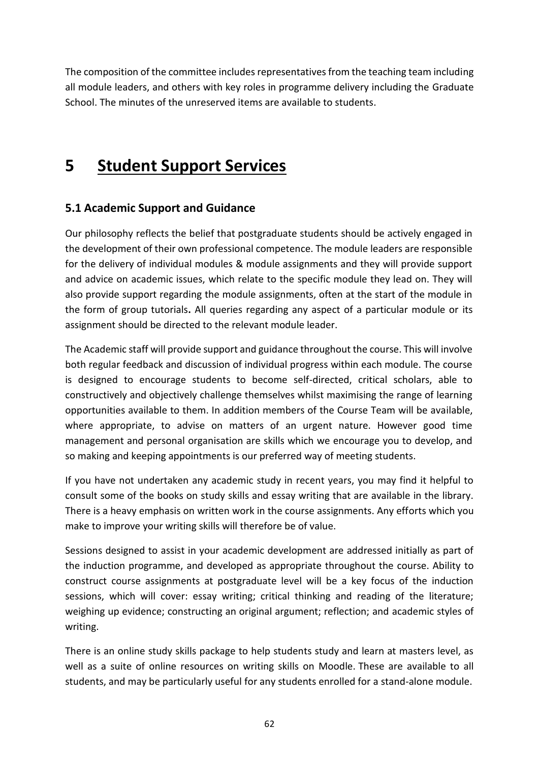The composition of the committee includes representatives from the teaching team including all module leaders, and others with key roles in programme delivery including the Graduate School. The minutes of the unreserved items are available to students.

# **5 Student Support Services**

### **5.1 Academic Support and Guidance**

Our philosophy reflects the belief that postgraduate students should be actively engaged in the development of their own professional competence. The module leaders are responsible for the delivery of individual modules & module assignments and they will provide support and advice on academic issues, which relate to the specific module they lead on. They will also provide support regarding the module assignments, often at the start of the module in the form of group tutorials**.** All queries regarding any aspect of a particular module or its assignment should be directed to the relevant module leader.

The Academic staff will provide support and guidance throughout the course. This will involve both regular feedback and discussion of individual progress within each module. The course is designed to encourage students to become self-directed, critical scholars, able to constructively and objectively challenge themselves whilst maximising the range of learning opportunities available to them. In addition members of the Course Team will be available, where appropriate, to advise on matters of an urgent nature. However good time management and personal organisation are skills which we encourage you to develop, and so making and keeping appointments is our preferred way of meeting students.

If you have not undertaken any academic study in recent years, you may find it helpful to consult some of the books on study skills and essay writing that are available in the library. There is a heavy emphasis on written work in the course assignments. Any efforts which you make to improve your writing skills will therefore be of value.

Sessions designed to assist in your academic development are addressed initially as part of the induction programme, and developed as appropriate throughout the course. Ability to construct course assignments at postgraduate level will be a key focus of the induction sessions, which will cover: essay writing; critical thinking and reading of the literature; weighing up evidence; constructing an original argument; reflection; and academic styles of writing.

There is an online study skills package to help students study and learn at masters level, as well as a suite of online resources on writing skills on Moodle. These are available to all students, and may be particularly useful for any students enrolled for a stand-alone module.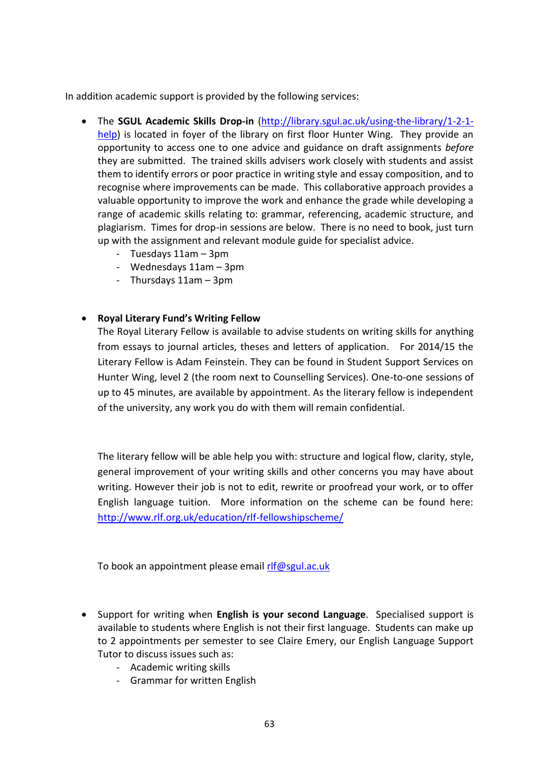In addition academic support is provided by the following services:

- The **SGUL Academic Skills Drop-in** [\(http://library.sgul.ac.uk/using-the-library/1-2-1](http://library.sgul.ac.uk/using-the-library/1-2-1-help) [help\)](http://library.sgul.ac.uk/using-the-library/1-2-1-help) is located in fover of the library on first floor Hunter Wing. They provide an opportunity to access one to one advice and guidance on draft assignments *before*  they are submitted. The trained skills advisers work closely with students and assist them to identify errors or poor practice in writing style and essay composition, and to recognise where improvements can be made. This collaborative approach provides a valuable opportunity to improve the work and enhance the grade while developing a range of academic skills relating to: grammar, referencing, academic structure, and plagiarism. Times for drop-in sessions are below. There is no need to book, just turn up with the assignment and relevant module guide for specialist advice.
	- Tuesdays 11am 3pm
	- Wednesdays 11am 3pm
	- Thursdays 11am 3pm

#### • **Royal Literary Fund's Writing Fellow**

The Royal Literary Fellow is available to advise students on writing skills for anything from essays to journal articles, theses and letters of application. For 2014/15 the Literary Fellow is Adam Feinstein. They can be found in Student Support Services on Hunter Wing, level 2 (the room next to Counselling Services). One-to-one sessions of up to 45 minutes, are available by appointment. As the literary fellow is independent of the university, any work you do with them will remain confidential.

The literary fellow will be able help you with: structure and logical flow, clarity, style, general improvement of your writing skills and other concerns you may have about writing. However their job is not to edit, rewrite or proofread your work, or to offer English language tuition. More information on the scheme can be found here: <http://www.rlf.org.uk/education/rlf-fellowshipscheme/>

To book an appointment please email [rlf@sgul.ac.uk](mailto:rlf@sgul.ac.uk)

- Support for writing when **English is your second Language**. Specialised support is available to students where English is not their first language. Students can make up to 2 appointments per semester to see Claire Emery, our English Language Support Tutor to discuss issues such as:
	- Academic writing skills
	- Grammar for written English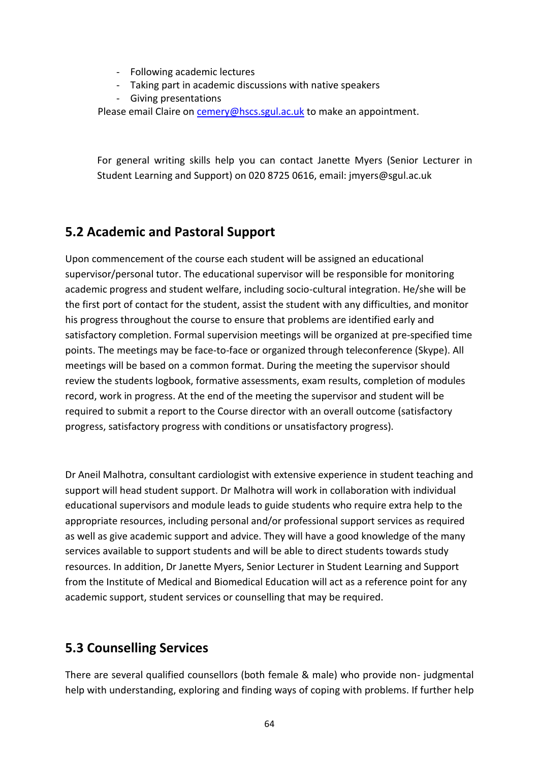- Following academic lectures
- Taking part in academic discussions with native speakers
- Giving presentations

Please email Claire on [cemery@hscs.sgul.ac.uk](mailto:cemery@hscs.sgul.ac.uk) to make an appointment.

For general writing skills help you can contact Janette Myers (Senior Lecturer in Student Learning and Support) on 020 8725 0616, email: jmyers@sgul.ac.uk

### **5.2 Academic and Pastoral Support**

Upon commencement of the course each student will be assigned an educational supervisor/personal tutor. The educational supervisor will be responsible for monitoring academic progress and student welfare, including socio-cultural integration. He/she will be the first port of contact for the student, assist the student with any difficulties, and monitor his progress throughout the course to ensure that problems are identified early and satisfactory completion. Formal supervision meetings will be organized at pre-specified time points. The meetings may be face-to-face or organized through teleconference (Skype). All meetings will be based on a common format. During the meeting the supervisor should review the students logbook, formative assessments, exam results, completion of modules record, work in progress. At the end of the meeting the supervisor and student will be required to submit a report to the Course director with an overall outcome (satisfactory progress, satisfactory progress with conditions or unsatisfactory progress).

Dr Aneil Malhotra, consultant cardiologist with extensive experience in student teaching and support will head student support. Dr Malhotra will work in collaboration with individual educational supervisors and module leads to guide students who require extra help to the appropriate resources, including personal and/or professional support services as required as well as give academic support and advice. They will have a good knowledge of the many services available to support students and will be able to direct students towards study resources. In addition, Dr Janette Myers, Senior Lecturer in Student Learning and Support from the Institute of Medical and Biomedical Education will act as a reference point for any academic support, student services or counselling that may be required.

### **5.3 Counselling Services**

There are several qualified counsellors (both female & male) who provide non- judgmental help with understanding, exploring and finding ways of coping with problems. If further help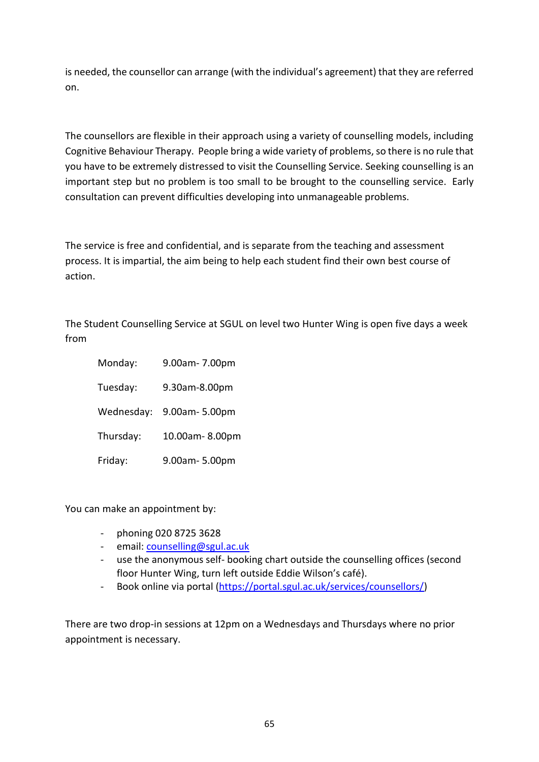is needed, the counsellor can arrange (with the individual's agreement) that they are referred on.

The counsellors are flexible in their approach using a variety of counselling models, including Cognitive Behaviour Therapy. People bring a wide variety of problems, so there is no rule that you have to be extremely distressed to visit the Counselling Service. Seeking counselling is an important step but no problem is too small to be brought to the counselling service. Early consultation can prevent difficulties developing into unmanageable problems.

The service is free and confidential, and is separate from the teaching and assessment process. It is impartial, the aim being to help each student find their own best course of action.

The Student Counselling Service at SGUL on level two Hunter Wing is open five days a week from

Monday: 9.00am- 7.00pm Tuesday: 9.30am-8.00pm Wednesday: 9.00am- 5.00pm Thursday: 10.00am- 8.00pm Friday: 9.00am- 5.00pm

You can make an appointment by:

- phoning 020 8725 3628
- email[: counselling@sgul.ac.uk](mailto:counselling@sgul.ac.uk)
- use the anonymous self- booking chart outside the counselling offices (second floor Hunter Wing, turn left outside Eddie Wilson's café).
- Book online via portal [\(https://portal.sgul.ac.uk/services/counsellors/\)](https://portal.sgul.ac.uk/services/counsellors/)

There are two drop-in sessions at 12pm on a Wednesdays and Thursdays where no prior appointment is necessary.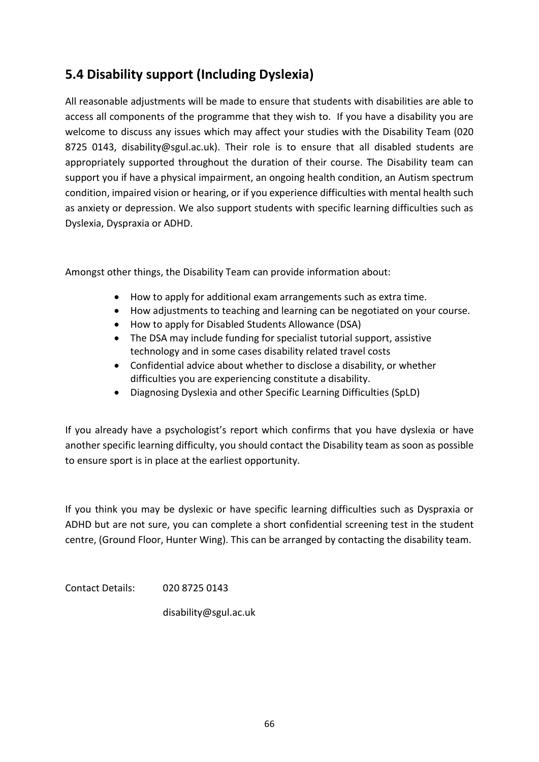## **5.4 Disability support (Including Dyslexia)**

All reasonable adjustments will be made to ensure that students with disabilities are able to access all components of the programme that they wish to. If you have a disability you are welcome to discuss any issues which may affect your studies with the Disability Team (020 8725 0143, disability@sgul.ac.uk). Their role is to ensure that all disabled students are appropriately supported throughout the duration of their course. The Disability team can support you if have a physical impairment, an ongoing health condition, an Autism spectrum condition, impaired vision or hearing, or if you experience difficulties with mental health such as anxiety or depression. We also support students with specific learning difficulties such as Dyslexia, Dyspraxia or ADHD.

Amongst other things, the Disability Team can provide information about:

- How to apply for additional exam arrangements such as extra time.
- How adjustments to teaching and learning can be negotiated on your course.
- How to apply for Disabled Students Allowance (DSA)
- The DSA may include funding for specialist tutorial support, assistive technology and in some cases disability related travel costs
- Confidential advice about whether to disclose a disability, or whether difficulties you are experiencing constitute a disability.
- Diagnosing Dyslexia and other Specific Learning Difficulties (SpLD)

If you already have a psychologist's report which confirms that you have dyslexia or have another specific learning difficulty, you should contact the Disability team as soon as possible to ensure sport is in place at the earliest opportunity.

If you think you may be dyslexic or have specific learning difficulties such as Dyspraxia or ADHD but are not sure, you can complete a short confidential screening test in the student centre, (Ground Floor, Hunter Wing). This can be arranged by contacting the disability team.

Contact Details: 020 8725 0143

disability@sgul.ac.uk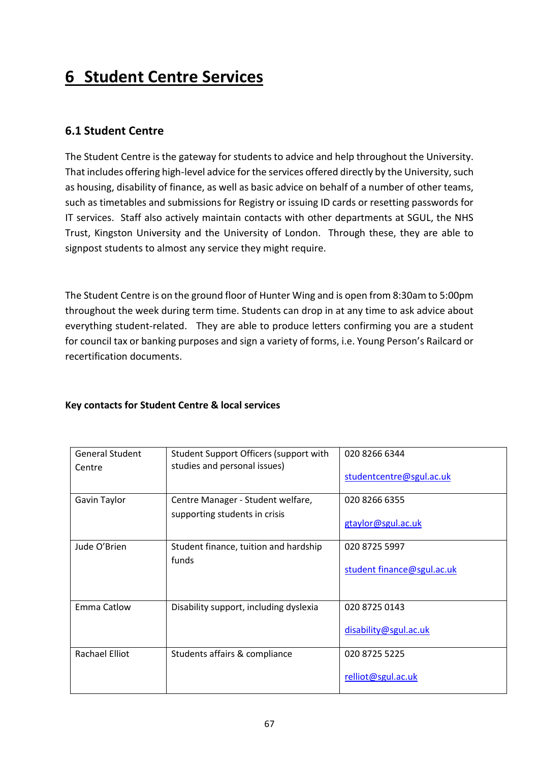# **6 Student Centre Services**

### **6.1 Student Centre**

The Student Centre is the gateway for students to advice and help throughout the University. That includes offering high-level advice for the services offered directly by the University, such as housing, disability of finance, as well as basic advice on behalf of a number of other teams, such as timetables and submissions for Registry or issuing ID cards or resetting passwords for IT services. Staff also actively maintain contacts with other departments at SGUL, the NHS Trust, Kingston University and the University of London. Through these, they are able to signpost students to almost any service they might require.

The Student Centre is on the ground floor of Hunter Wing and is open from 8:30am to 5:00pm throughout the week during term time. Students can drop in at any time to ask advice about everything student-related. They are able to produce letters confirming you are a student for council tax or banking purposes and sign a variety of forms, i.e. Young Person's Railcard or recertification documents.

#### **Key contacts for Student Centre & local services**

| <b>General Student</b><br>Centre | Student Support Officers (support with<br>studies and personal issues) | 020 8266 6344<br>studentcentre@sgul.ac.uk   |
|----------------------------------|------------------------------------------------------------------------|---------------------------------------------|
| Gavin Taylor                     | Centre Manager - Student welfare,<br>supporting students in crisis     | 020 8266 6355<br>gtaylor@sgul.ac.uk         |
| Jude O'Brien                     | Student finance, tuition and hardship<br>funds                         | 020 8725 5997<br>student finance@sgul.ac.uk |
| <b>Emma Catlow</b>               | Disability support, including dyslexia                                 | 020 8725 0143<br>disability@sgul.ac.uk      |
| Rachael Elliot                   | Students affairs & compliance                                          | 020 8725 5225<br>relliot@sgul.ac.uk         |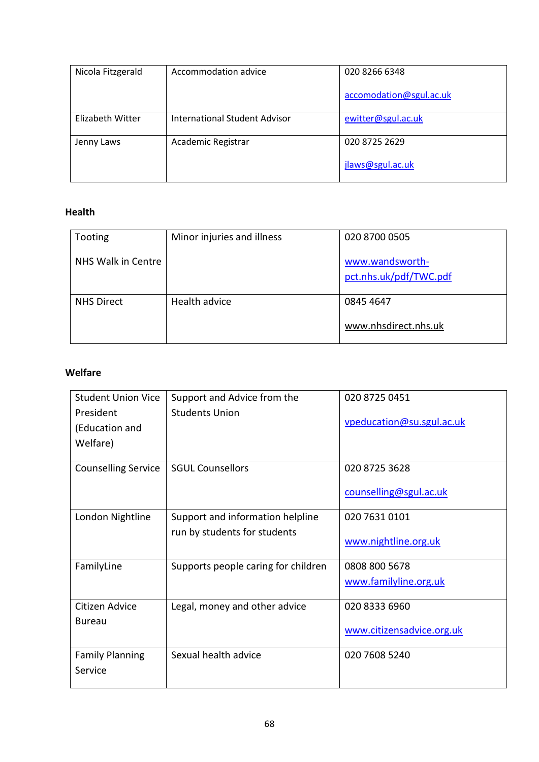| Nicola Fitzgerald | Accommodation advice          | 020 8266 6348           |
|-------------------|-------------------------------|-------------------------|
|                   |                               | accomodation@sgul.ac.uk |
| Elizabeth Witter  | International Student Advisor | ewitter@sgul.ac.uk      |
| Jenny Laws        | Academic Registrar            | 020 8725 2629           |
|                   |                               | jlaws@sgul.ac.uk        |

#### **Health**

| Tooting            | Minor injuries and illness | 020 8700 0505                             |
|--------------------|----------------------------|-------------------------------------------|
| NHS Walk in Centre |                            | www.wandsworth-<br>pct.nhs.uk/pdf/TWC.pdf |
| <b>NHS Direct</b>  | Health advice              | 0845 4647<br>www.nhsdirect.nhs.uk         |

#### **Welfare**

| <b>Student Union Vice</b><br>President | Support and Advice from the<br><b>Students Union</b> | 020 8725 0451             |
|----------------------------------------|------------------------------------------------------|---------------------------|
| (Education and<br>Welfare)             |                                                      | vpeducation@su.sgul.ac.uk |
| <b>Counselling Service</b>             | <b>SGUL Counsellors</b>                              | 020 8725 3628             |
|                                        |                                                      | counselling@sgul.ac.uk    |
| London Nightline                       | Support and information helpline                     | 020 7631 0101             |
|                                        | run by students for students                         | www.nightline.org.uk      |
| FamilyLine                             | Supports people caring for children                  | 0808 800 5678             |
|                                        |                                                      | www.familyline.org.uk     |
| Citizen Advice                         | Legal, money and other advice                        | 020 8333 6960             |
| <b>Bureau</b>                          |                                                      | www.citizensadvice.org.uk |
| <b>Family Planning</b>                 | Sexual health advice                                 | 020 7608 5240             |
| Service                                |                                                      |                           |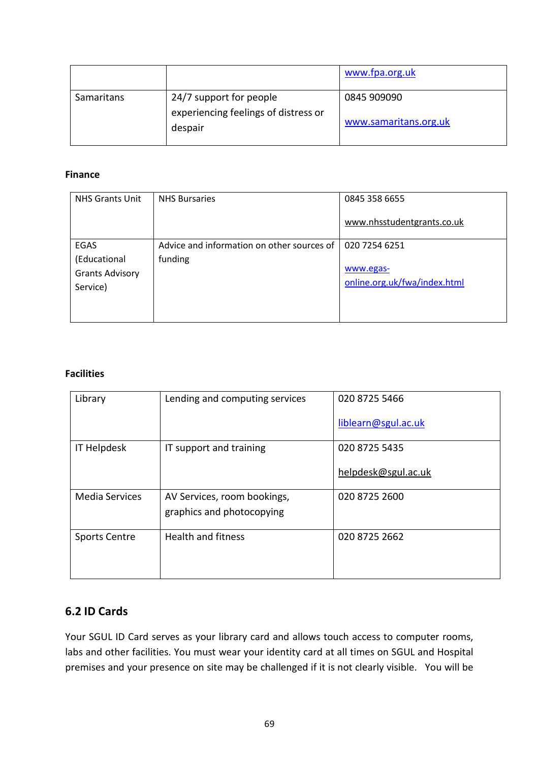|            |                                                 | www.fpa.org.uk        |
|------------|-------------------------------------------------|-----------------------|
| Samaritans | 24/7 support for people                         | 0845 909090           |
|            | experiencing feelings of distress or<br>despair | www.samaritans.org.uk |

#### **Finance**

| <b>NHS Grants Unit</b>                                            | <b>NHS Bursaries</b>                                  | 0845 358 6655<br>www.nhsstudentgrants.co.uk                |
|-------------------------------------------------------------------|-------------------------------------------------------|------------------------------------------------------------|
| <b>EGAS</b><br>(Educational<br><b>Grants Advisory</b><br>Service) | Advice and information on other sources of<br>funding | 020 7254 6251<br>www.egas-<br>online.org.uk/fwa/index.html |

#### **Facilities**

| Library               | Lending and computing services | 020 8725 5466       |
|-----------------------|--------------------------------|---------------------|
|                       |                                | liblearn@sgul.ac.uk |
| <b>IT Helpdesk</b>    | IT support and training        | 020 8725 5435       |
|                       |                                | helpdesk@sgul.ac.uk |
| <b>Media Services</b> | AV Services, room bookings,    | 020 8725 2600       |
|                       | graphics and photocopying      |                     |
| <b>Sports Centre</b>  | <b>Health and fitness</b>      | 020 8725 2662       |
|                       |                                |                     |

#### **6.2 ID Cards**

Your SGUL ID Card serves as your library card and allows touch access to computer rooms, labs and other facilities. You must wear your identity card at all times on SGUL and Hospital premises and your presence on site may be challenged if it is not clearly visible. You will be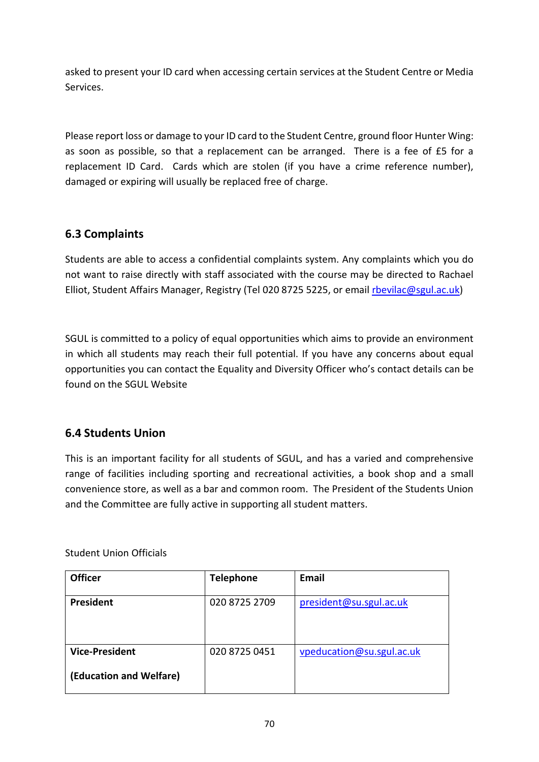asked to present your ID card when accessing certain services at the Student Centre or Media Services.

Please report loss or damage to your ID card to the Student Centre, ground floor Hunter Wing: as soon as possible, so that a replacement can be arranged. There is a fee of £5 for a replacement ID Card. Cards which are stolen (if you have a crime reference number), damaged or expiring will usually be replaced free of charge.

#### **6.3 Complaints**

Students are able to access a confidential complaints system. Any complaints which you do not want to raise directly with staff associated with the course may be directed to Rachael Elliot, Student Affairs Manager, Registry (Tel 020 8725 5225, or email [rbevilac@sgul.ac.uk\)](mailto:rbevilac@sgul.ac.uk)

SGUL is committed to a policy of equal opportunities which aims to provide an environment in which all students may reach their full potential. If you have any concerns about equal opportunities you can contact the Equality and Diversity Officer who's contact details can be found on the SGUL Website

#### **6.4 Students Union**

This is an important facility for all students of SGUL, and has a varied and comprehensive range of facilities including sporting and recreational activities, a book shop and a small convenience store, as well as a bar and common room. The President of the Students Union and the Committee are fully active in supporting all student matters.

Student Union Officials

| <b>Officer</b>                                   | <b>Telephone</b> | Email                     |
|--------------------------------------------------|------------------|---------------------------|
| President                                        | 020 8725 2709    | president@su.sgul.ac.uk   |
| <b>Vice-President</b><br>(Education and Welfare) | 020 8725 0451    | vpeducation@su.sgul.ac.uk |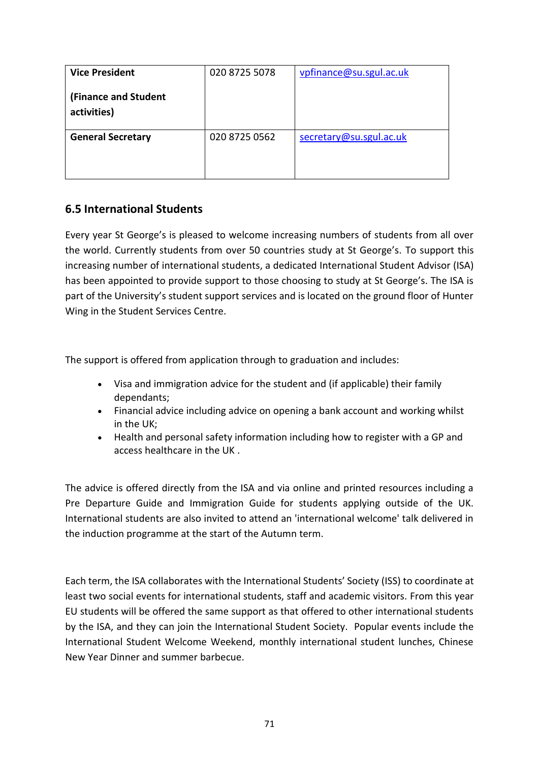| <b>Vice President</b>               | 020 8725 5078 | vpfinance@su.sgul.ac.uk |
|-------------------------------------|---------------|-------------------------|
| (Finance and Student<br>activities) |               |                         |
| <b>General Secretary</b>            | 020 8725 0562 | secretary@su.sgul.ac.uk |

#### **6.5 International Students**

Every year St George's is pleased to welcome increasing numbers of students from all over the world. Currently students from over 50 countries study at St George's. To support this increasing number of international students, a dedicated International Student Advisor (ISA) has been appointed to provide support to those choosing to study at St George's. The ISA is part of the University's student support services and is located on the ground floor of Hunter Wing in the Student Services Centre.

The support is offered from application through to graduation and includes:

- Visa and immigration advice for the student and (if applicable) their family dependants;
- Financial advice including advice on opening a bank account and working whilst in the UK;
- Health and personal safety information including how to register with a GP and access healthcare in the UK .

The advice is offered directly from the ISA and via online and printed resources including a Pre Departure Guide and Immigration Guide for students applying outside of the UK. International students are also invited to attend an 'international welcome' talk delivered in the induction programme at the start of the Autumn term.

Each term, the ISA collaborates with the International Students' Society (ISS) to coordinate at least two social events for international students, staff and academic visitors. From this year EU students will be offered the same support as that offered to other international students by the ISA, and they can join the International Student Society. Popular events include the International Student Welcome Weekend, monthly international student lunches, Chinese New Year Dinner and summer barbecue.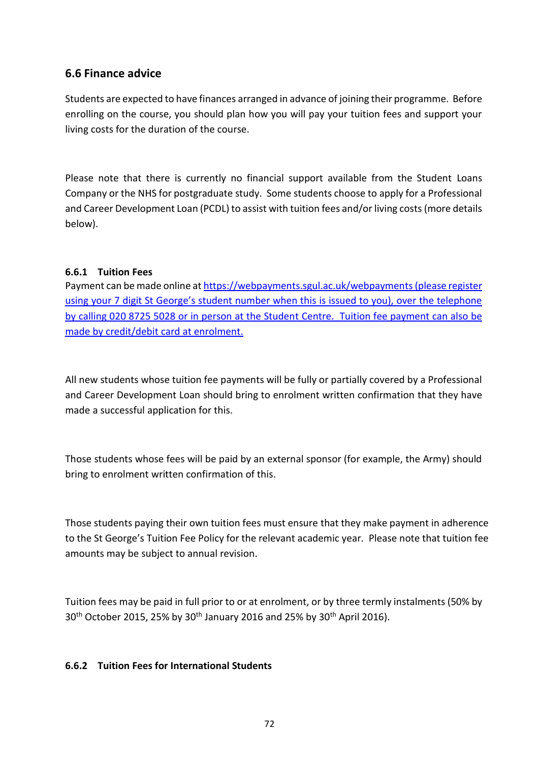#### **6.6 Finance advice**

Students are expected to have finances arranged in advance of joining their programme. Before enrolling on the course, you should plan how you will pay your tuition fees and support your living costs for the duration of the course.

Please note that there is currently no financial support available from the Student Loans Company or the NHS for postgraduate study. Some students choose to apply for a Professional and Career Development Loan (PCDL) to assist with tuition fees and/or living costs (more details below).

#### **6.6.1 Tuition Fees**

Payment can be made online a[t https://webpayments.sgul.ac.uk/webpayments](https://webpayments.sgul.ac.uk/webpayments)(please register using your 7 digit St George's student number when this is issued to you), over the telephone by calling 020 8725 5028 or in person at the Student Centre. Tuition fee payment can also be made by credit/debit card at enrolment.

All new students whose tuition fee payments will be fully or partially covered by a Professional and Career Development Loan should bring to enrolment written confirmation that they have made a successful application for this.

Those students whose fees will be paid by an external sponsor (for example, the Army) should bring to enrolment written confirmation of this.

Those students paying their own tuition fees must ensure that they make payment in adherence to the St George's Tuition Fee Policy for the relevant academic year. Please note that tuition fee amounts may be subject to annual revision.

Tuition fees may be paid in full prior to or at enrolment, or by three termly instalments (50% by 30<sup>th</sup> October 2015, 25% by 30<sup>th</sup> January 2016 and 25% by 30<sup>th</sup> April 2016).

#### **6.6.2 Tuition Fees for International Students**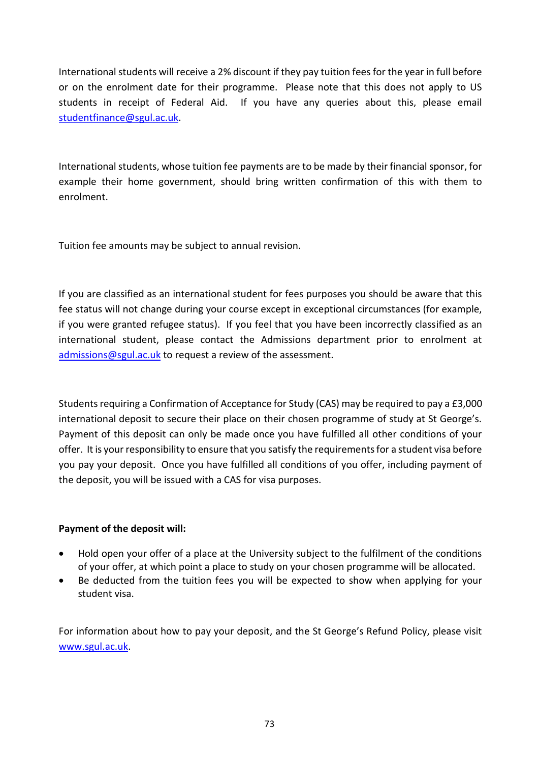International students will receive a 2% discount if they pay tuition fees for the year in full before or on the enrolment date for their programme. Please note that this does not apply to US students in receipt of Federal Aid. If you have any queries about this, please email [studentfinance@sgul.ac.uk.](mailto:studentfinance@sgul.ac.uk)

International students, whose tuition fee payments are to be made by their financial sponsor, for example their home government, should bring written confirmation of this with them to enrolment.

Tuition fee amounts may be subject to annual revision.

If you are classified as an international student for fees purposes you should be aware that this fee status will not change during your course except in exceptional circumstances (for example, if you were granted refugee status). If you feel that you have been incorrectly classified as an international student, please contact the Admissions department prior to enrolment at [admissions@sgul.ac.uk](mailto:admissions@sgul.ac.uk) to request a review of the assessment.

Students requiring a Confirmation of Acceptance for Study (CAS) may be required to pay a £3,000 international deposit to secure their place on their chosen programme of study at St George's. Payment of this deposit can only be made once you have fulfilled all other conditions of your offer. It is your responsibility to ensure that you satisfy the requirements for a student visa before you pay your deposit. Once you have fulfilled all conditions of you offer, including payment of the deposit, you will be issued with a CAS for visa purposes.

## **Payment of the deposit will:**

- Hold open your offer of a place at the University subject to the fulfilment of the conditions of your offer, at which point a place to study on your chosen programme will be allocated.
- Be deducted from the tuition fees you will be expected to show when applying for your student visa.

For information about how to pay your deposit, and the St George's Refund Policy, please visit [www.sgul.ac.uk.](http://www.sgul.ac.uk/)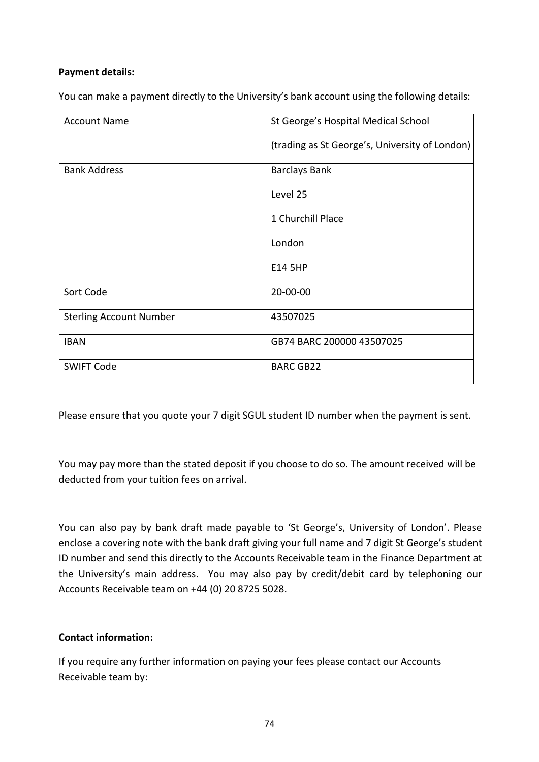#### **Payment details:**

You can make a payment directly to the University's bank account using the following details:

| <b>Account Name</b>            | St George's Hospital Medical School            |
|--------------------------------|------------------------------------------------|
|                                | (trading as St George's, University of London) |
| <b>Bank Address</b>            | <b>Barclays Bank</b>                           |
|                                | Level 25                                       |
|                                | 1 Churchill Place                              |
|                                | London                                         |
|                                | E14 5HP                                        |
| Sort Code                      | 20-00-00                                       |
| <b>Sterling Account Number</b> | 43507025                                       |
| <b>IBAN</b>                    | GB74 BARC 200000 43507025                      |
| <b>SWIFT Code</b>              | <b>BARC GB22</b>                               |

Please ensure that you quote your 7 digit SGUL student ID number when the payment is sent.

You may pay more than the stated deposit if you choose to do so. The amount received will be deducted from your tuition fees on arrival.

You can also pay by bank draft made payable to 'St George's, University of London'. Please enclose a covering note with the bank draft giving your full name and 7 digit St George's student ID number and send this directly to the Accounts Receivable team in the Finance Department at the University's main address. You may also pay by credit/debit card by telephoning our Accounts Receivable team on +44 (0) 20 8725 5028.

#### **Contact information:**

If you require any further information on paying your fees please contact our Accounts Receivable team by: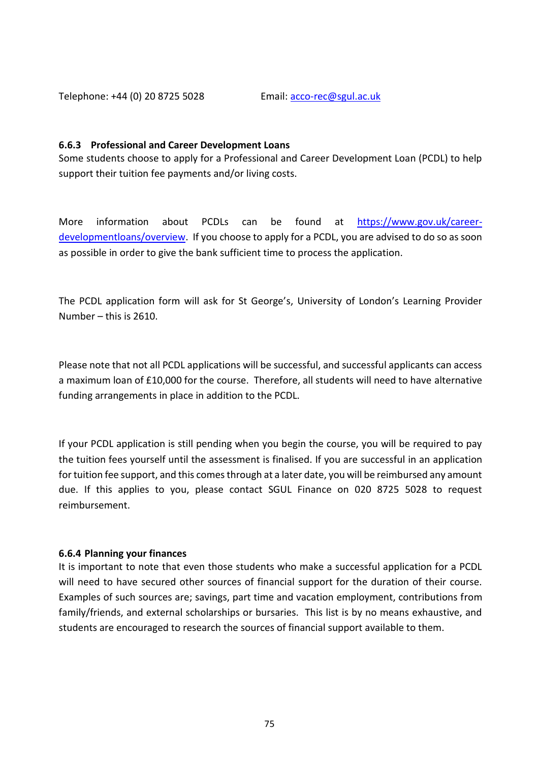Telephone: +44 (0) 20 8725 5028 Email[: acco-rec@sgul.ac.uk](mailto:finance@sgul.ac.uk)

#### **6.6.3 Professional and Career Development Loans**

Some students choose to apply for a Professional and Career Development Loan (PCDL) to help support their tuition fee payments and/or living costs.

More information about PCDLs can be found at [https://www.gov.uk/career](https://www.gov.uk/career-developmentloans/overview)[developmentloans/overview.](https://www.gov.uk/career-developmentloans/overview) If you choose to apply for a PCDL, you are advised to do so as soon as possible in order to give the bank sufficient time to process the application.

The PCDL application form will ask for St George's, University of London's Learning Provider Number – this is 2610.

Please note that not all PCDL applications will be successful, and successful applicants can access a maximum loan of £10,000 for the course. Therefore, all students will need to have alternative funding arrangements in place in addition to the PCDL.

If your PCDL application is still pending when you begin the course, you will be required to pay the tuition fees yourself until the assessment is finalised. If you are successful in an application for tuition fee support, and this comes through at a later date, you will be reimbursed any amount due. If this applies to you, please contact SGUL Finance on 020 8725 5028 to request reimbursement.

#### **6.6.4 Planning your finances**

It is important to note that even those students who make a successful application for a PCDL will need to have secured other sources of financial support for the duration of their course. Examples of such sources are; savings, part time and vacation employment, contributions from family/friends, and external scholarships or bursaries. This list is by no means exhaustive, and students are encouraged to research the sources of financial support available to them.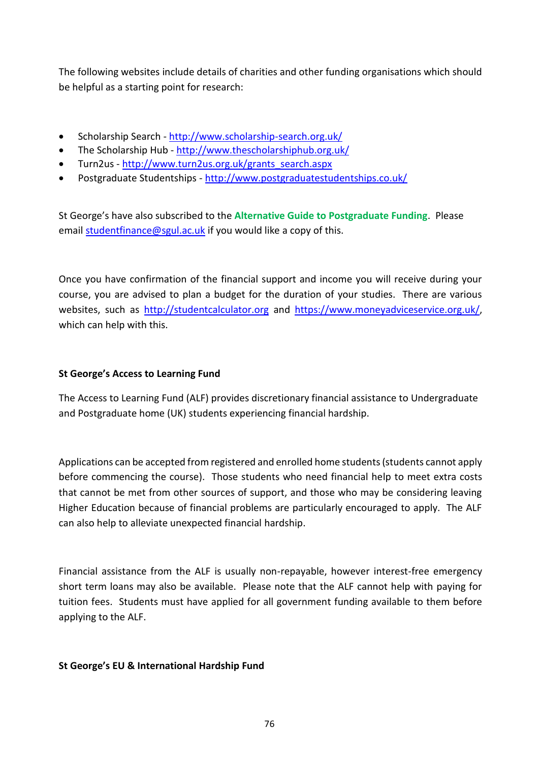The following websites include details of charities and other funding organisations which should be helpful as a starting point for research:

- Scholarship Search <http://www.scholarship-search.org.uk/>
- The Scholarship Hub <http://www.thescholarshiphub.org.uk/>
- Turn2us [http://www.turn2us.org.uk/grants\\_search.aspx](http://www.turn2us.org.uk/grants_search.aspx)
- Postgraduate Studentships <http://www.postgraduatestudentships.co.uk/>

St George's have also subscribed to the **Alternative Guide to Postgraduate Funding**. Please email [studentfinance@sgul.ac.uk](mailto:studentfinance@sgul.ac.uk) if you would like a copy of this.

Once you have confirmation of the financial support and income you will receive during your course, you are advised to plan a budget for the duration of your studies. There are various websites, such as [http://studentcalculator.org](http://studentcalculator.org/) and [https://www.moneyadviceservice.org.uk/,](https://www.moneyadviceservice.org.uk/) which can help with this.

#### **St George's Access to Learning Fund**

The Access to Learning Fund (ALF) provides discretionary financial assistance to Undergraduate and Postgraduate home (UK) students experiencing financial hardship.

Applications can be accepted from registered and enrolled home students (students cannot apply before commencing the course). Those students who need financial help to meet extra costs that cannot be met from other sources of support, and those who may be considering leaving Higher Education because of financial problems are particularly encouraged to apply. The ALF can also help to alleviate unexpected financial hardship.

Financial assistance from the ALF is usually non-repayable, however interest-free emergency short term loans may also be available. Please note that the ALF cannot help with paying for tuition fees. Students must have applied for all government funding available to them before applying to the ALF.

#### **St George's EU & International Hardship Fund**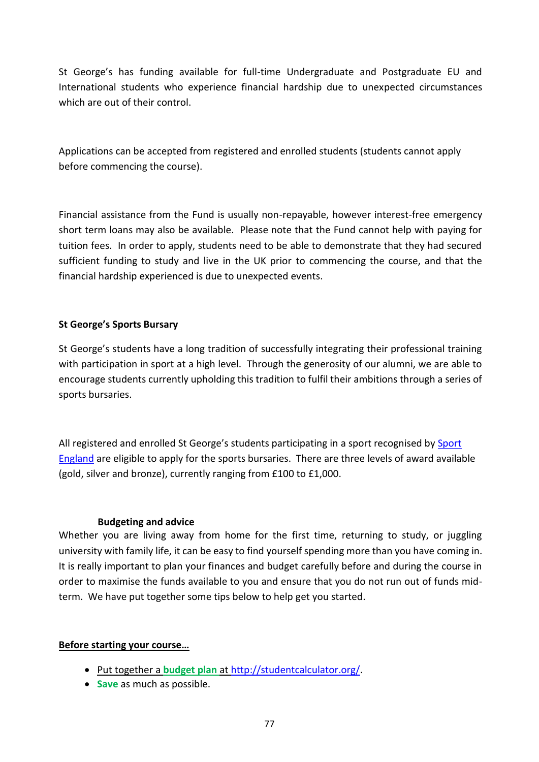St George's has funding available for full-time Undergraduate and Postgraduate EU and International students who experience financial hardship due to unexpected circumstances which are out of their control.

Applications can be accepted from registered and enrolled students (students cannot apply before commencing the course).

Financial assistance from the Fund is usually non-repayable, however interest-free emergency short term loans may also be available. Please note that the Fund cannot help with paying for tuition fees. In order to apply, students need to be able to demonstrate that they had secured sufficient funding to study and live in the UK prior to commencing the course, and that the financial hardship experienced is due to unexpected events.

#### **St George's Sports Bursary**

St George's students have a long tradition of successfully integrating their professional training with participation in sport at a high level. Through the generosity of our alumni, we are able to encourage students currently upholding this tradition to fulfil their ambitions through a series of sports bursaries.

All registered and enrolled St George's students participating in a sport recognised by [Sport](http://www.sportengland.org/our-work/national-work/national-governing-bodies/sports-that-we-recognise)  [England](http://www.sportengland.org/our-work/national-work/national-governing-bodies/sports-that-we-recognise) are eligible to apply for the sports bursaries. There are three levels of award available (gold, silver and bronze), currently ranging from £100 to £1,000.

#### **6.6.5 Budgeting and advice**

Whether you are living away from home for the first time, returning to study, or juggling university with family life, it can be easy to find yourself spending more than you have coming in. It is really important to plan your finances and budget carefully before and during the course in order to maximise the funds available to you and ensure that you do not run out of funds midterm. We have put together some tips below to help get you started.

#### **Before starting your course…**

- Put together a **budget plan** at [http://studentcalculator.org/.](http://studentcalculator.org/)
- **Save** as much as possible.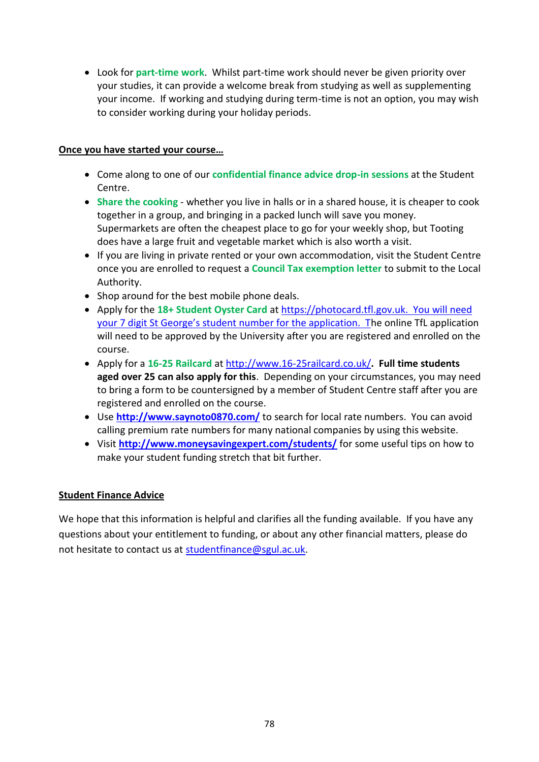• Look for **part-time work**. Whilst part-time work should never be given priority over your studies, it can provide a welcome break from studying as well as supplementing your income. If working and studying during term-time is not an option, you may wish to consider working during your holiday periods.

#### **Once you have started your course…**

- Come along to one of our **confidential finance advice drop-in sessions** at the Student Centre.
- **Share the cooking** whether you live in halls or in a shared house, it is cheaper to cook together in a group, and bringing in a packed lunch will save you money. Supermarkets are often the cheapest place to go for your weekly shop, but Tooting does have a large fruit and vegetable market which is also worth a visit.
- If you are living in private rented or your own accommodation, visit the Student Centre once you are enrolled to request a **Council Tax exemption letter** to submit to the Local Authority.
- Shop around for the best mobile phone deals.
- Apply for the **18+ Student Oyster Card** a[t https://photocard.tfl.gov.uk.](https://photocard.tfl.gov.uk/) You will need your 7 digit St George's student number for the application. The online TfL application will need to be approved by the University after you are registered and enrolled on the course.
- Apply for a **16-25 Railcard** at<http://www.16-25railcard.co.uk/>**. Full time students aged over 25 can also apply for this**. Depending on your circumstances, you may need to bring a form to be countersigned by a member of Student Centre staff after you are registered and enrolled on the course.
- Use **<http://www.saynoto0870.com/>** to search for local rate numbers. You can avoid calling premium rate numbers for many national companies by using this website.
- Visit **<http://www.moneysavingexpert.com/students/>** for some useful tips on how to make your student funding stretch that bit further.

#### **Student Finance Advice**

We hope that this information is helpful and clarifies all the funding available. If you have any questions about your entitlement to funding, or about any other financial matters, please do not hesitate to contact us at [studentfinance@sgul.ac.uk.](mailto:studentfinance@sgul.ac.uk)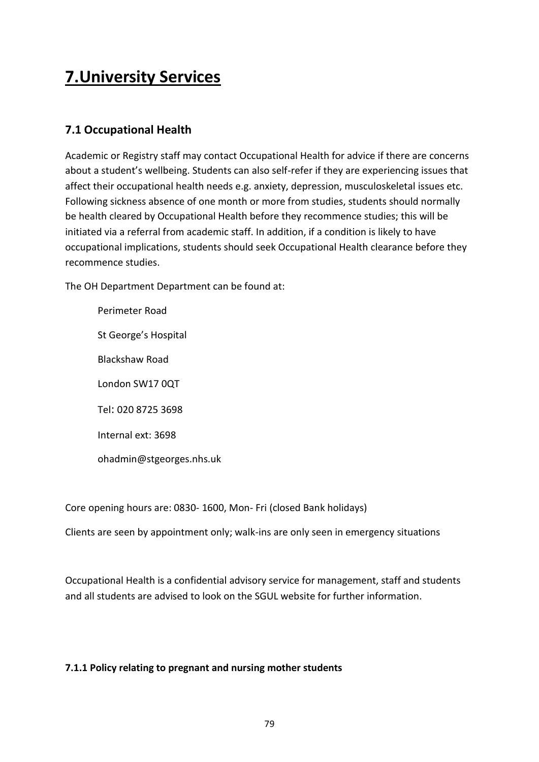# **7.University Services**

# **7.1 Occupational Health**

Academic or Registry staff may contact Occupational Health for advice if there are concerns about a student's wellbeing. Students can also self-refer if they are experiencing issues that affect their occupational health needs e.g. anxiety, depression, musculoskeletal issues etc. Following sickness absence of one month or more from studies, students should normally be health cleared by Occupational Health before they recommence studies; this will be initiated via a referral from academic staff. In addition, if a condition is likely to have occupational implications, students should seek Occupational Health clearance before they recommence studies.

The OH Department Department can be found at:

Perimeter Road St George's Hospital Blackshaw Road London SW17 0QT Tel: 020 8725 3698 Internal ext: 3698 ohadmin@stgeorges.nhs.uk

Core opening hours are: 0830- 1600, Mon- Fri (closed Bank holidays)

Clients are seen by appointment only; walk-ins are only seen in emergency situations

Occupational Health is a confidential advisory service for management, staff and students and all students are advised to look on the SGUL website for further information.

## **7.1.1 Policy relating to pregnant and nursing mother students**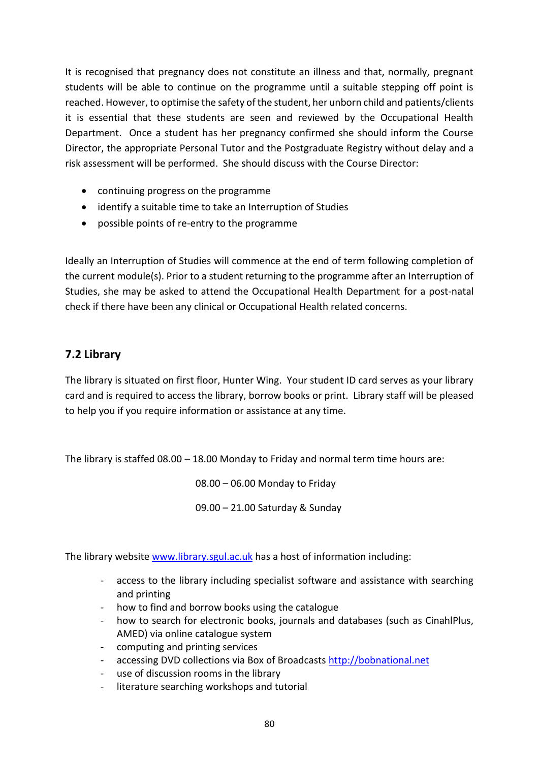It is recognised that pregnancy does not constitute an illness and that, normally, pregnant students will be able to continue on the programme until a suitable stepping off point is reached. However, to optimise the safety of the student, her unborn child and patients/clients it is essential that these students are seen and reviewed by the Occupational Health Department. Once a student has her pregnancy confirmed she should inform the Course Director, the appropriate Personal Tutor and the Postgraduate Registry without delay and a risk assessment will be performed. She should discuss with the Course Director:

- continuing progress on the programme
- identify a suitable time to take an Interruption of Studies
- possible points of re-entry to the programme

Ideally an Interruption of Studies will commence at the end of term following completion of the current module(s). Prior to a student returning to the programme after an Interruption of Studies, she may be asked to attend the Occupational Health Department for a post-natal check if there have been any clinical or Occupational Health related concerns.

# **7.2 Library**

The library is situated on first floor, Hunter Wing. Your student ID card serves as your library card and is required to access the library, borrow books or print. Library staff will be pleased to help you if you require information or assistance at any time.

The library is staffed 08.00 – 18.00 Monday to Friday and normal term time hours are:

08.00 – 06.00 Monday to Friday

09.00 – 21.00 Saturday & Sunday

The library website [www.library.sgul.ac.uk](http://www.library.sgul.ac.uk/) has a host of information including:

- access to the library including specialist software and assistance with searching and printing
- how to find and borrow books using the catalogue
- how to search for electronic books, journals and databases (such as CinahlPlus, AMED) via online catalogue system
- computing and printing services
- accessing DVD collections via Box of Broadcasts [http://bobnational.net](http://bobnational.net/)
- use of discussion rooms in the library
- literature searching workshops and tutorial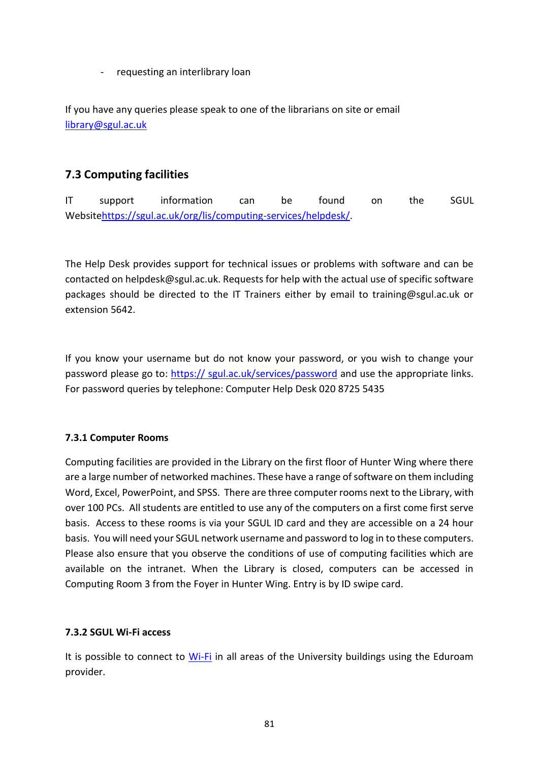requesting an interlibrary loan

If you have any queries please speak to one of the librarians on site or email [library@sgul.ac.uk](mailto:library@sgul.ac.uk)

# **7.3 Computing facilities**

IT support information can be found on the SGUL Websit[ehttps://sgul.ac.uk/org/lis/computing-services/helpdesk/.](https://sgul.ac.uk/org/lis/computing-services/helpdesk/)

The Help Desk provides support for technical issues or problems with software and can be contacted on helpdesk@sgul.ac.uk. Requests for help with the actual use of specific software packages should be directed to the IT Trainers either by email to training@sgul.ac.uk or extension 5642.

If you know your username but do not know your password, or you wish to change your password please go to: https:// [sgul.ac.uk/services/password](https://portal.sgul.ac.uk/services/password) and use the appropriate links. For password queries by telephone: Computer Help Desk 020 8725 5435

## **7.3.1 Computer Rooms**

Computing facilities are provided in the Library on the first floor of Hunter Wing where there are a large number of networked machines. These have a range of software on them including Word, Excel, PowerPoint, and SPSS. There are three computer rooms next to the Library, with over 100 PCs. All students are entitled to use any of the computers on a first come first serve basis. Access to these rooms is via your SGUL ID card and they are accessible on a 24 hour basis. You will need your SGUL network username and password to log in to these computers. Please also ensure that you observe the conditions of use of computing facilities which are available on the intranet. When the Library is closed, computers can be accessed in Computing Room 3 from the Foyer in Hunter Wing. Entry is by ID swipe card.

#### **7.3.2 SGUL Wi-Fi access**

It is possible to connect to [Wi-Fi](file://///shares1/MScSportsCardio/Wi-Fi) in all areas of the University buildings using the Eduroam provider.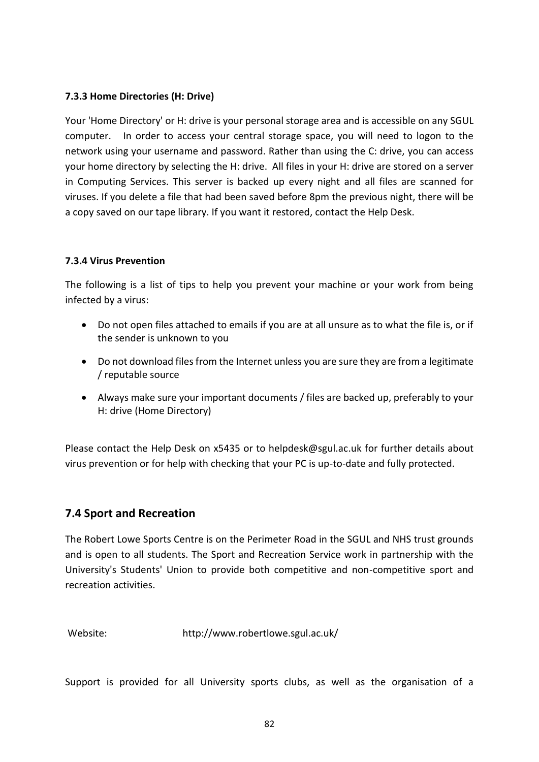#### **7.3.3 Home Directories (H: Drive)**

Your 'Home Directory' or H: drive is your personal storage area and is accessible on any SGUL computer. In order to access your central storage space, you will need to logon to the network using your username and password. Rather than using the C: drive, you can access your home directory by selecting the H: drive. All files in your H: drive are stored on a server in Computing Services. This server is backed up every night and all files are scanned for viruses. If you delete a file that had been saved before 8pm the previous night, there will be a copy saved on our tape library. If you want it restored, contact the Help Desk.

#### **7.3.4 Virus Prevention**

The following is a list of tips to help you prevent your machine or your work from being infected by a virus:

- Do not open files attached to emails if you are at all unsure as to what the file is, or if the sender is unknown to you
- Do not download files from the Internet unless you are sure they are from a legitimate / reputable source
- Always make sure your important documents / files are backed up, preferably to your H: drive (Home Directory)

Please contact the Help Desk on x5435 or to helpdesk@sgul.ac.uk for further details about virus prevention or for help with checking that your PC is up-to-date and fully protected.

# **7.4 Sport and Recreation**

The Robert Lowe Sports Centre is on the Perimeter Road in the SGUL and NHS trust grounds and is open to all students. The Sport and Recreation Service work in partnership with the University's Students' Union to provide both competitive and non-competitive sport and recreation activities.

Website: http://www.robertlowe.sgul.ac.uk/

Support is provided for all University sports clubs, as well as the organisation of a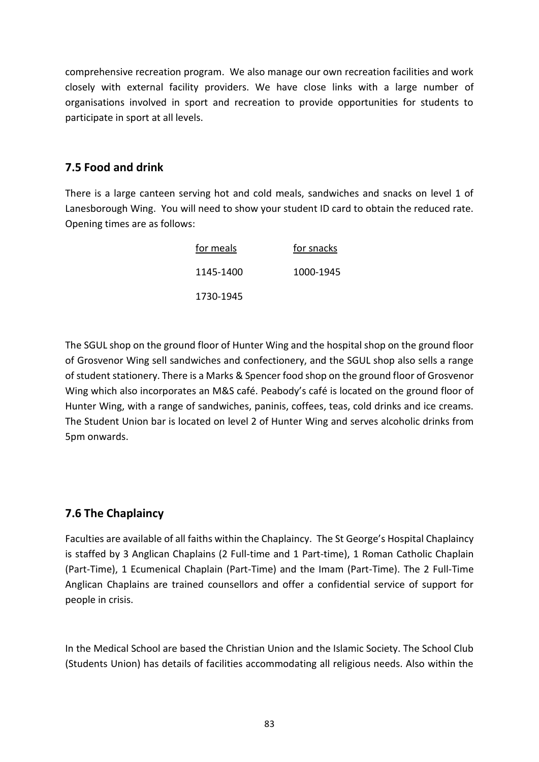comprehensive recreation program. We also manage our own recreation facilities and work closely with external facility providers. We have close links with a large number of organisations involved in sport and recreation to provide opportunities for students to participate in sport at all levels.

## **7.5 Food and drink**

There is a large canteen serving hot and cold meals, sandwiches and snacks on level 1 of Lanesborough Wing. You will need to show your student ID card to obtain the reduced rate. Opening times are as follows:

| for meals | for snacks |
|-----------|------------|
| 1145-1400 | 1000-1945  |
| 1730-1945 |            |

The SGUL shop on the ground floor of Hunter Wing and the hospital shop on the ground floor of Grosvenor Wing sell sandwiches and confectionery, and the SGUL shop also sells a range of student stationery. There is a Marks & Spencer food shop on the ground floor of Grosvenor Wing which also incorporates an M&S café. Peabody's café is located on the ground floor of Hunter Wing, with a range of sandwiches, paninis, coffees, teas, cold drinks and ice creams. The Student Union bar is located on level 2 of Hunter Wing and serves alcoholic drinks from 5pm onwards.

# **7.6 The Chaplaincy**

Faculties are available of all faiths within the Chaplaincy. The St George's Hospital Chaplaincy is staffed by 3 Anglican Chaplains (2 Full-time and 1 Part-time), 1 Roman Catholic Chaplain (Part-Time), 1 Ecumenical Chaplain (Part-Time) and the Imam (Part-Time). The 2 Full-Time Anglican Chaplains are trained counsellors and offer a confidential service of support for people in crisis.

In the Medical School are based the Christian Union and the Islamic Society. The School Club (Students Union) has details of facilities accommodating all religious needs. Also within the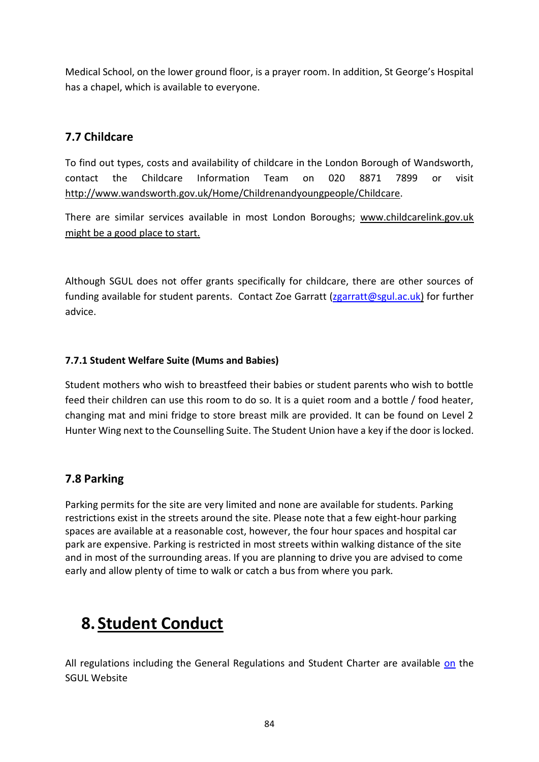Medical School, on the lower ground floor, is a prayer room. In addition, St George's Hospital has a chapel, which is available to everyone.

# **7.7 Childcare**

To find out types, costs and availability of childcare in the London Borough of Wandsworth, contact the Childcare Information Team on 020 8871 7899 or visit http://www.wandsworth.gov.uk/Home/Childrenandyoungpeople/Childcare.

There are similar services available in most London Boroughs; www.childcarelink.gov.uk might be a good place to start.

Although SGUL does not offer grants specifically for childcare, there are other sources of funding available for student parents. Contact Zoe Garratt [\(zgarratt@sgul.ac.uk\)](mailto:zgarratt@sgul.ac.uk) for further advice.

## **7.7.1 Student Welfare Suite (Mums and Babies)**

Student mothers who wish to breastfeed their babies or student parents who wish to bottle feed their children can use this room to do so. It is a quiet room and a bottle / food heater, changing mat and mini fridge to store breast milk are provided. It can be found on Level 2 Hunter Wing next to the Counselling Suite. The Student Union have a key if the door is locked.

# **7.8 Parking**

Parking permits for the site are very limited and none are available for students. Parking restrictions exist in the streets around the site. Please note that a few eight-hour parking spaces are available at a reasonable cost, however, the four hour spaces and hospital car park are expensive. Parking is restricted in most streets within walking distance of the site and in most of the surrounding areas. If you are planning to drive you are advised to come early and allow plenty of time to walk or catch a bus from where you park.

# **8. Student Conduct**

All regulations including the General Regulations and Student Charter are available [on](file://///shares1/MScSportsCardio/on) the SGUL Website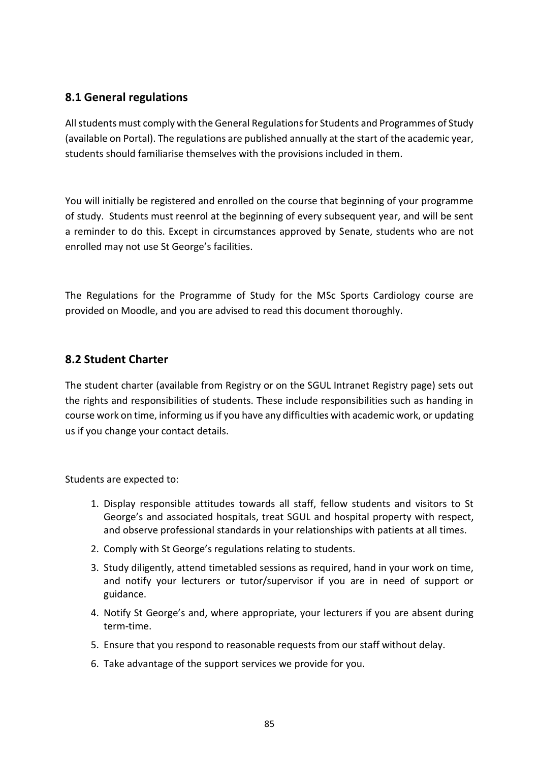# **8.1 General regulations**

All students must comply with the General Regulations for Students and Programmes of Study (available on Portal). The regulations are published annually at the start of the academic year, students should familiarise themselves with the provisions included in them.

You will initially be registered and enrolled on the course that beginning of your programme of study. Students must reenrol at the beginning of every subsequent year, and will be sent a reminder to do this. Except in circumstances approved by Senate, students who are not enrolled may not use St George's facilities.

The Regulations for the Programme of Study for the MSc Sports Cardiology course are provided on Moodle, and you are advised to read this document thoroughly.

## **8.2 Student Charter**

The student charter (available from Registry or on the SGUL Intranet Registry page) sets out the rights and responsibilities of students. These include responsibilities such as handing in course work on time, informing us if you have any difficulties with academic work, or updating us if you change your contact details.

Students are expected to:

- 1. Display responsible attitudes towards all staff, fellow students and visitors to St George's and associated hospitals, treat SGUL and hospital property with respect, and observe professional standards in your relationships with patients at all times.
- 2. Comply with St George's regulations relating to students.
- 3. Study diligently, attend timetabled sessions as required, hand in your work on time, and notify your lecturers or tutor/supervisor if you are in need of support or guidance.
- 4. Notify St George's and, where appropriate, your lecturers if you are absent during term-time.
- 5. Ensure that you respond to reasonable requests from our staff without delay.
- 6. Take advantage of the support services we provide for you.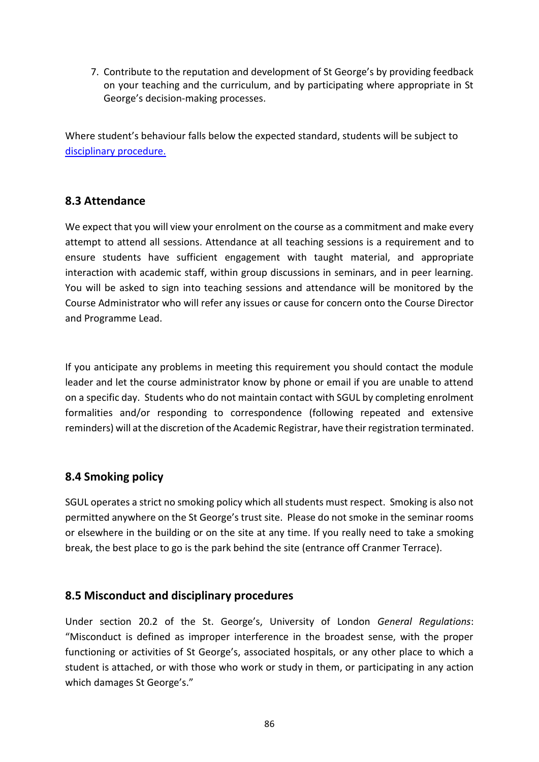7. Contribute to the reputation and development of St George's by providing feedback on your teaching and the curriculum, and by participating where appropriate in St George's decision-making processes.

Where student's behaviour falls below the expected standard, students will be subject to [disciplinary procedure.](https://portal.sgul.ac.uk/org/lis/reg/student-centre/student-affairs-and-compliance-pages/student-disciplinary-procedure.doc/view)

## **8.3 Attendance**

We expect that you will view your enrolment on the course as a commitment and make every attempt to attend all sessions. Attendance at all teaching sessions is a requirement and to ensure students have sufficient engagement with taught material, and appropriate interaction with academic staff, within group discussions in seminars, and in peer learning. You will be asked to sign into teaching sessions and attendance will be monitored by the Course Administrator who will refer any issues or cause for concern onto the Course Director and Programme Lead.

If you anticipate any problems in meeting this requirement you should contact the module leader and let the course administrator know by phone or email if you are unable to attend on a specific day. Students who do not maintain contact with SGUL by completing enrolment formalities and/or responding to correspondence (following repeated and extensive reminders) will at the discretion of the Academic Registrar, have their registration terminated.

# **8.4 Smoking policy**

SGUL operates a strict no smoking policy which all students must respect. Smoking is also not permitted anywhere on the St George's trust site. Please do not smoke in the seminar rooms or elsewhere in the building or on the site at any time. If you really need to take a smoking break, the best place to go is the park behind the site (entrance off Cranmer Terrace).

# **8.5 Misconduct and disciplinary procedures**

Under section 20.2 of the St. George's, University of London *General Regulations*: "Misconduct is defined as improper interference in the broadest sense, with the proper functioning or activities of St George's, associated hospitals, or any other place to which a student is attached, or with those who work or study in them, or participating in any action which damages St George's."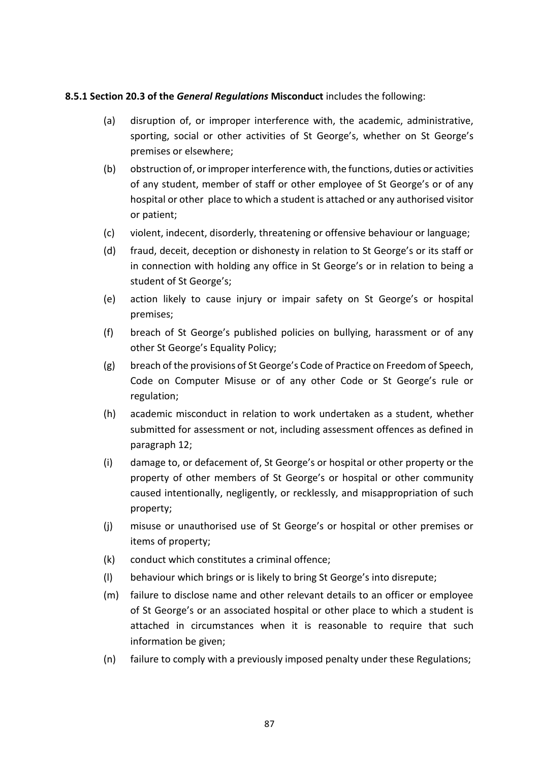#### **8.5.1 Section 20.3 of the** *General Regulations* **Misconduct** includes the following:

- (a) disruption of, or improper interference with, the academic, administrative, sporting, social or other activities of St George's, whether on St George's premises or elsewhere;
- (b) obstruction of, or improper interference with, the functions, duties or activities of any student, member of staff or other employee of St George's or of any hospital or other place to which a student is attached or any authorised visitor or patient;
- (c) violent, indecent, disorderly, threatening or offensive behaviour or language;
- (d) fraud, deceit, deception or dishonesty in relation to St George's or its staff or in connection with holding any office in St George's or in relation to being a student of St George's;
- (e) action likely to cause injury or impair safety on St George's or hospital premises;
- (f) breach of St George's published policies on bullying, harassment or of any other St George's Equality Policy;
- (g) breach of the provisions of St George's Code of Practice on Freedom of Speech, Code on Computer Misuse or of any other Code or St George's rule or regulation;
- (h) academic misconduct in relation to work undertaken as a student, whether submitted for assessment or not, including assessment offences as defined in paragraph 12;
- (i) damage to, or defacement of, St George's or hospital or other property or the property of other members of St George's or hospital or other community caused intentionally, negligently, or recklessly, and misappropriation of such property;
- (j) misuse or unauthorised use of St George's or hospital or other premises or items of property;
- (k) conduct which constitutes a criminal offence;
- (l) behaviour which brings or is likely to bring St George's into disrepute;
- (m) failure to disclose name and other relevant details to an officer or employee of St George's or an associated hospital or other place to which a student is attached in circumstances when it is reasonable to require that such information be given;
- (n) failure to comply with a previously imposed penalty under these Regulations;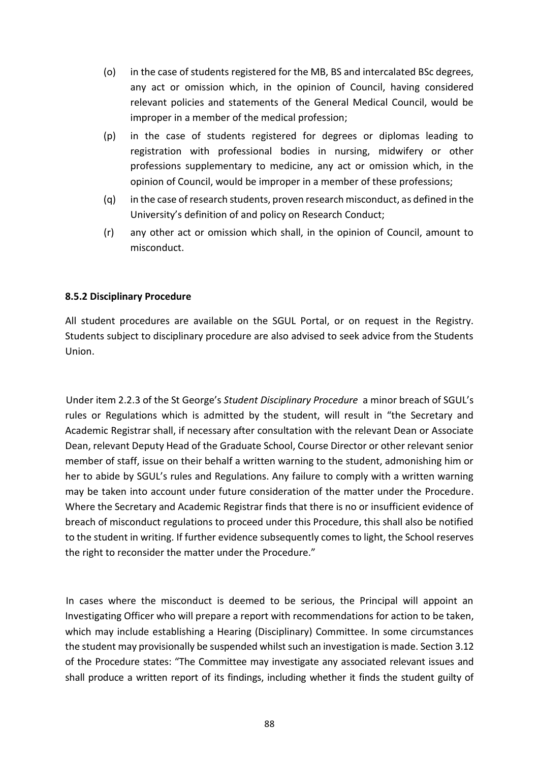- (o) in the case of students registered for the MB, BS and intercalated BSc degrees, any act or omission which, in the opinion of Council, having considered relevant policies and statements of the General Medical Council, would be improper in a member of the medical profession;
- (p) in the case of students registered for degrees or diplomas leading to registration with professional bodies in nursing, midwifery or other professions supplementary to medicine, any act or omission which, in the opinion of Council, would be improper in a member of these professions;
- (q) in the case of research students, proven research misconduct, as defined in the University's definition of and policy on Research Conduct;
- (r) any other act or omission which shall, in the opinion of Council, amount to misconduct.

#### **8.5.2 Disciplinary Procedure**

All student procedures are available on the SGUL Portal, or on request in the Registry. Students subject to disciplinary procedure are also advised to seek advice from the Students Union.

Under item 2.2.3 of the St George's *Student Disciplinary Procedure* a minor breach of SGUL's rules or Regulations which is admitted by the student, will result in "the Secretary and Academic Registrar shall, if necessary after consultation with the relevant Dean or Associate Dean, relevant Deputy Head of the Graduate School, Course Director or other relevant senior member of staff, issue on their behalf a written warning to the student, admonishing him or her to abide by SGUL's rules and Regulations. Any failure to comply with a written warning may be taken into account under future consideration of the matter under the Procedure. Where the Secretary and Academic Registrar finds that there is no or insufficient evidence of breach of misconduct regulations to proceed under this Procedure, this shall also be notified to the student in writing. If further evidence subsequently comes to light, the School reserves the right to reconsider the matter under the Procedure."

In cases where the misconduct is deemed to be serious, the Principal will appoint an Investigating Officer who will prepare a report with recommendations for action to be taken, which may include establishing a Hearing (Disciplinary) Committee. In some circumstances the student may provisionally be suspended whilst such an investigation is made. Section 3.12 of the Procedure states: "The Committee may investigate any associated relevant issues and shall produce a written report of its findings, including whether it finds the student guilty of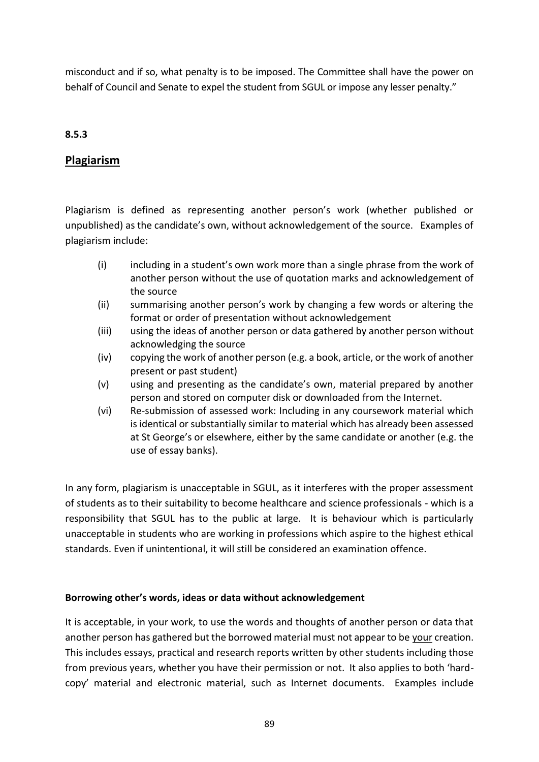misconduct and if so, what penalty is to be imposed. The Committee shall have the power on behalf of Council and Senate to expel the student from SGUL or impose any lesser penalty."

## **8.5.3**

## **Plagiarism**

Plagiarism is defined as representing another person's work (whether published or unpublished) as the candidate's own, without acknowledgement of the source. Examples of plagiarism include:

- (i) including in a student's own work more than a single phrase from the work of another person without the use of quotation marks and acknowledgement of the source
- (ii) summarising another person's work by changing a few words or altering the format or order of presentation without acknowledgement
- (iii) using the ideas of another person or data gathered by another person without acknowledging the source
- (iv) copying the work of another person (e.g. a book, article, or the work of another present or past student)
- (v) using and presenting as the candidate's own, material prepared by another person and stored on computer disk or downloaded from the Internet.
- (vi) Re-submission of assessed work: Including in any coursework material which is identical or substantially similar to material which has already been assessed at St George's or elsewhere, either by the same candidate or another (e.g. the use of essay banks).

In any form, plagiarism is unacceptable in SGUL, as it interferes with the proper assessment of students as to their suitability to become healthcare and science professionals - which is a responsibility that SGUL has to the public at large. It is behaviour which is particularly unacceptable in students who are working in professions which aspire to the highest ethical standards. Even if unintentional, it will still be considered an examination offence.

#### **Borrowing other's words, ideas or data without acknowledgement**

It is acceptable, in your work, to use the words and thoughts of another person or data that another person has gathered but the borrowed material must not appear to be your creation. This includes essays, practical and research reports written by other students including those from previous years, whether you have their permission or not. It also applies to both 'hardcopy' material and electronic material, such as Internet documents. Examples include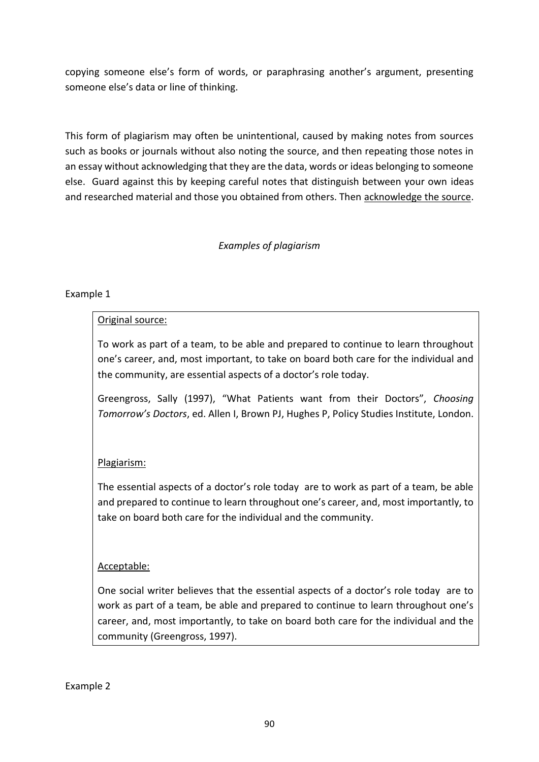copying someone else's form of words, or paraphrasing another's argument, presenting someone else's data or line of thinking.

This form of plagiarism may often be unintentional, caused by making notes from sources such as books or journals without also noting the source, and then repeating those notes in an essay without acknowledging that they are the data, words or ideas belonging to someone else. Guard against this by keeping careful notes that distinguish between your own ideas and researched material and those you obtained from others. Then acknowledge the source.

## *Examples of plagiarism*

## Example 1

## Original source:

To work as part of a team, to be able and prepared to continue to learn throughout one's career, and, most important, to take on board both care for the individual and the community, are essential aspects of a doctor's role today.

Greengross, Sally (1997), "What Patients want from their Doctors", *Choosing Tomorrow's Doctors*, ed. Allen I, Brown PJ, Hughes P, Policy Studies Institute, London.

## Plagiarism:

The essential aspects of a doctor's role today are to work as part of a team, be able and prepared to continue to learn throughout one's career, and, most importantly, to take on board both care for the individual and the community.

## Acceptable:

One social writer believes that the essential aspects of a doctor's role today are to work as part of a team, be able and prepared to continue to learn throughout one's career, and, most importantly, to take on board both care for the individual and the community (Greengross, 1997).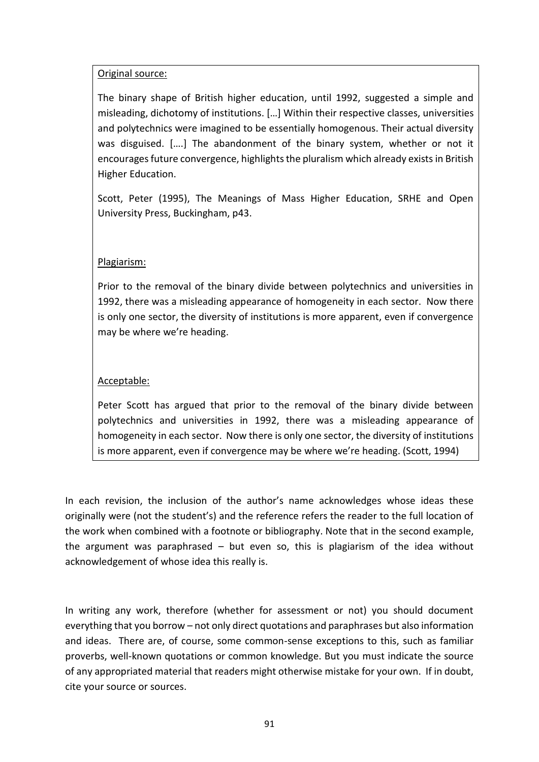## Original source:

The binary shape of British higher education, until 1992, suggested a simple and misleading, dichotomy of institutions. […] Within their respective classes, universities and polytechnics were imagined to be essentially homogenous. Their actual diversity was disguised. [….] The abandonment of the binary system, whether or not it encourages future convergence, highlights the pluralism which already exists in British Higher Education.

Scott, Peter (1995), The Meanings of Mass Higher Education, SRHE and Open University Press, Buckingham, p43.

## Plagiarism:

Prior to the removal of the binary divide between polytechnics and universities in 1992, there was a misleading appearance of homogeneity in each sector. Now there is only one sector, the diversity of institutions is more apparent, even if convergence may be where we're heading.

## Acceptable:

Peter Scott has argued that prior to the removal of the binary divide between polytechnics and universities in 1992, there was a misleading appearance of homogeneity in each sector. Now there is only one sector, the diversity of institutions is more apparent, even if convergence may be where we're heading. (Scott, 1994)

In each revision, the inclusion of the author's name acknowledges whose ideas these originally were (not the student's) and the reference refers the reader to the full location of the work when combined with a footnote or bibliography. Note that in the second example, the argument was paraphrased – but even so, this is plagiarism of the idea without acknowledgement of whose idea this really is.

In writing any work, therefore (whether for assessment or not) you should document everything that you borrow – not only direct quotations and paraphrases but also information and ideas. There are, of course, some common-sense exceptions to this, such as familiar proverbs, well-known quotations or common knowledge. But you must indicate the source of any appropriated material that readers might otherwise mistake for your own. If in doubt, cite your source or sources.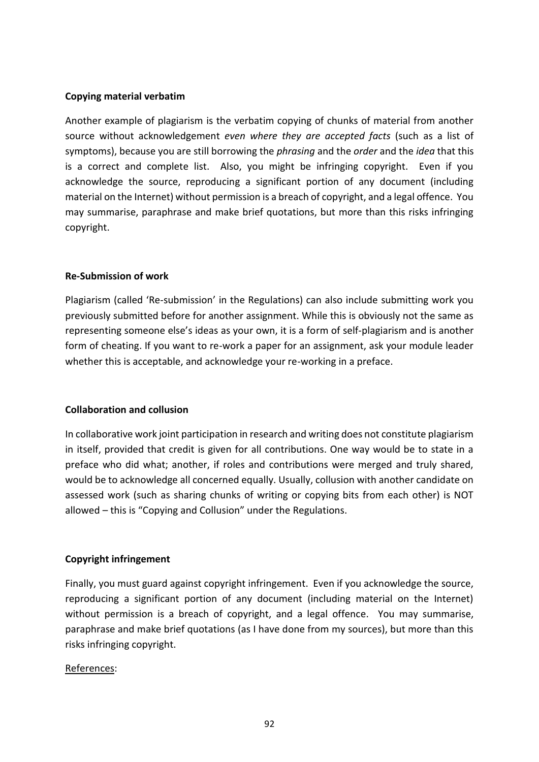#### **Copying material verbatim**

Another example of plagiarism is the verbatim copying of chunks of material from another source without acknowledgement *even where they are accepted facts* (such as a list of symptoms), because you are still borrowing the *phrasing* and the *order* and the *idea* that this is a correct and complete list. Also, you might be infringing copyright. Even if you acknowledge the source, reproducing a significant portion of any document (including material on the Internet) without permission is a breach of copyright, and a legal offence. You may summarise, paraphrase and make brief quotations, but more than this risks infringing copyright.

#### **Re-Submission of work**

Plagiarism (called 'Re-submission' in the Regulations) can also include submitting work you previously submitted before for another assignment. While this is obviously not the same as representing someone else's ideas as your own, it is a form of self-plagiarism and is another form of cheating. If you want to re-work a paper for an assignment, ask your module leader whether this is acceptable, and acknowledge your re-working in a preface.

#### **Collaboration and collusion**

In collaborative work joint participation in research and writing does not constitute plagiarism in itself, provided that credit is given for all contributions. One way would be to state in a preface who did what; another, if roles and contributions were merged and truly shared, would be to acknowledge all concerned equally. Usually, collusion with another candidate on assessed work (such as sharing chunks of writing or copying bits from each other) is NOT allowed – this is "Copying and Collusion" under the Regulations.

#### **Copyright infringement**

Finally, you must guard against copyright infringement. Even if you acknowledge the source, reproducing a significant portion of any document (including material on the Internet) without permission is a breach of copyright, and a legal offence. You may summarise, paraphrase and make brief quotations (as I have done from my sources), but more than this risks infringing copyright.

#### References: